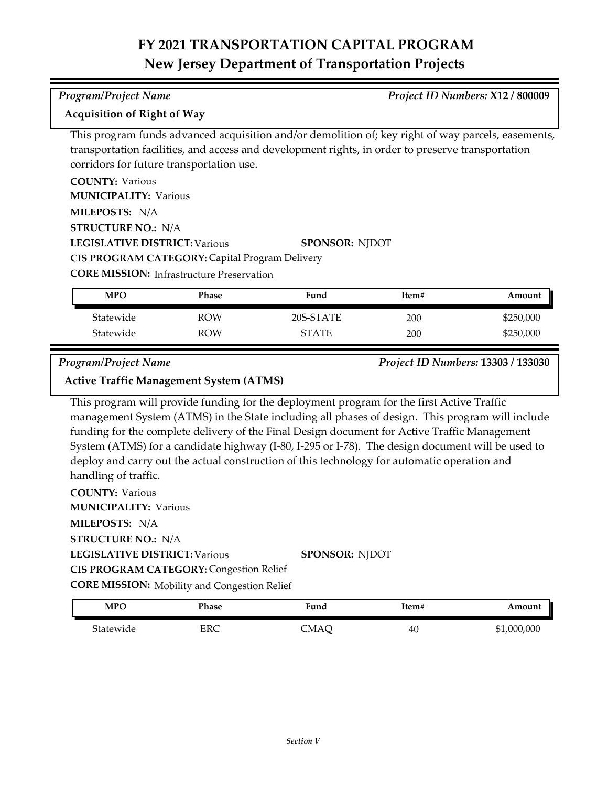### *Program/Project Name Project ID Numbers:* **X12 / 800009**

### **Acquisition of Right of Way**

This program funds advanced acquisition and/or demolition of; key right of way parcels, easements, transportation facilities, and access and development rights, in order to preserve transportation corridors for future transportation use.

| <b>COUNTY: Various</b>                                |                       |
|-------------------------------------------------------|-----------------------|
| <b>MUNICIPALITY: Various</b>                          |                       |
| MILEPOSTS: N/A                                        |                       |
| <b>STRUCTURE NO.: N/A</b>                             |                       |
| <b>LEGISLATIVE DISTRICT: Various</b>                  | <b>SPONSOR: NJDOT</b> |
| <b>CIS PROGRAM CATEGORY: Capital Program Delivery</b> |                       |
| <b>CORE MISSION:</b> Infrastructure Preservation      |                       |

| MPO       | Phase      | Fund         | Item# | Amount    |
|-----------|------------|--------------|-------|-----------|
| Statewide | ROW        | 20S-STATE    | 200   | \$250,000 |
| Statewide | <b>ROW</b> | <b>STATE</b> | 200   | \$250,000 |

*Program/Project Name Project ID Numbers:* **13303 / 133030**

### **Active Traffic Management System (ATMS)**

This program will provide funding for the deployment program for the first Active Traffic management System (ATMS) in the State including all phases of design. This program will include funding for the complete delivery of the Final Design document for Active Traffic Management System (ATMS) for a candidate highway (I-80, I-295 or I-78). The design document will be used to deploy and carry out the actual construction of this technology for automatic operation and handling of traffic.

| <b>COUNTY: Various</b>                              |                       |
|-----------------------------------------------------|-----------------------|
| <b>MUNICIPALITY: Various</b>                        |                       |
| <b>MILEPOSTS: N/A</b>                               |                       |
| <b>STRUCTURE NO.: N/A</b>                           |                       |
| LEGISLATIVE DISTRICT: Various                       | <b>SPONSOR: NIDOT</b> |
| <b>CIS PROGRAM CATEGORY: Congestion Relief</b>      |                       |
| <b>CORE MISSION:</b> Mobility and Congestion Relief |                       |
|                                                     |                       |

| <b>MPC</b> | Phase | 'und | Item# | Amount      |
|------------|-------|------|-------|-------------|
| Statewide  | ERC   | CMAÇ | 40    | \$1,000,000 |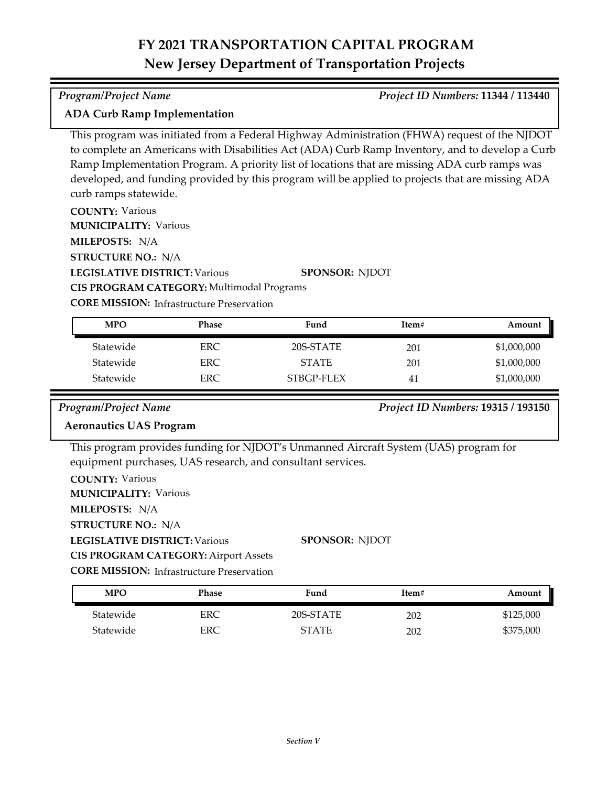### *Program/Project Name Project ID Numbers:* **11344 / 113440**

### **ADA Curb Ramp Implementation**

This program was initiated from a Federal Highway Administration (FHWA) request of the NJDOT to complete an Americans with Disabilities Act (ADA) Curb Ramp Inventory, and to develop a Curb Ramp Implementation Program. A priority list of locations that are missing ADA curb ramps was developed, and funding provided by this program will be applied to projects that are missing ADA curb ramps statewide.

**COUNTY:** Various

**MUNICIPALITY: Various** 

**MILEPOSTS:** N/A

**STRUCTURE NO.:** N/A

**LEGISLATIVE DISTRICT:** Various **CIS PROGRAM CATEGORY:** Multimodal Programs

**SPONSOR:** NJDOT

**CORE MISSION: Infrastructure Preservation** 

| <b>MPO</b> | Phase | Fund         | Item# | Amount      |
|------------|-------|--------------|-------|-------------|
| Statewide  | ERC.  | 20S-STATE    | 201   | \$1,000,000 |
| Statewide  | ERC.  | <b>STATE</b> | 201   | \$1,000,000 |
| Statewide  | ERC.  | STBGP-FLEX   | 41    | \$1,000,000 |

### *Program/Project Name Project ID Numbers:* **19315 / 193150**

### **Aeronautics UAS Program**

This program provides funding for NJDOT's Unmanned Aircraft System (UAS) program for equipment purchases, UAS research, and consultant services.

**COUNTY:** Various

**MUNICIPALITY: Various** 

**MILEPOSTS:** N/A

**STRUCTURE NO.:** N/A

**LEGISLATIVE DISTRICT:** Various

**CIS PROGRAM CATEGORY:** Airport Assets

**CORE MISSION:** Infrastructure Preservation

| <b>MPO</b> | Phase | Fund         | Item# | Amount    |
|------------|-------|--------------|-------|-----------|
| Statewide  | ERC   | 20S-STATE    | 202   | \$125,000 |
| Statewide  | ERC   | <b>STATE</b> | 202   | \$375,000 |

**SPONSOR:** NJDOT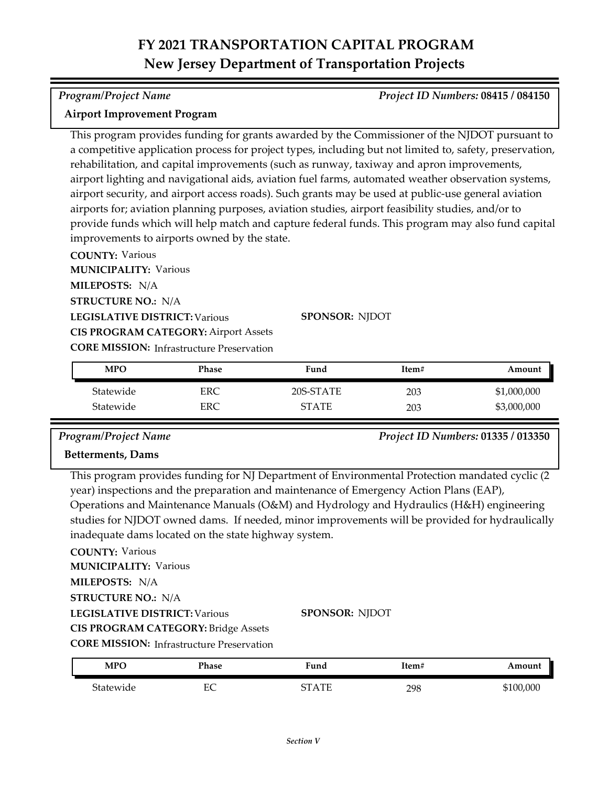### *Program/Project Name Project ID Numbers:* **08415 / 084150**

### **Airport Improvement Program**

This program provides funding for grants awarded by the Commissioner of the NJDOT pursuant to a competitive application process for project types, including but not limited to, safety, preservation, rehabilitation, and capital improvements (such as runway, taxiway and apron improvements, airport lighting and navigational aids, aviation fuel farms, automated weather observation systems, airport security, and airport access roads). Such grants may be used at public‐use general aviation airports for; aviation planning purposes, aviation studies, airport feasibility studies, and/or to provide funds which will help match and capture federal funds. This program may also fund capital improvements to airports owned by the state.

**COUNTY:** Various **LEGISLATIVE DISTRICT:** Various **MILEPOSTS:** N/A **STRUCTURE NO.:** N/A **MUNICIPALITY: Various CORE MISSION:** Infrastructure Preservation **SPONSOR:** NJDOT **CIS PROGRAM CATEGORY:** Airport Assets

| <b>MPO</b> | Phase | Fund         | Item# | Amount      |
|------------|-------|--------------|-------|-------------|
| Statewide  | ERC   | 20S-STATE    | 203   | \$1,000,000 |
| Statewide  | ERC   | <b>STATE</b> | 203   | \$3,000,000 |

*Program/Project Name Project ID Numbers:* **01335 / 013350**

### **Betterments, Dams**

This program provides funding for NJ Department of Environmental Protection mandated cyclic (2 year) inspections and the preparation and maintenance of Emergency Action Plans (EAP), Operations and Maintenance Manuals (O&M) and Hydrology and Hydraulics (H&H) engineering studies for NJDOT owned dams. If needed, minor improvements will be provided for hydraulically inadequate dams located on the state highway system.

### **COUNTY:** Various

**MUNICIPALITY: Various** 

**MILEPOSTS:** N/A

**STRUCTURE NO.:** N/A

**LEGISLATIVE DISTRICT:** Various

**SPONSOR:** NJDOT

**CIS PROGRAM CATEGORY:** Bridge Assets

| <b>MPO</b> | Phase         | Fund    | Item# | Amount  |
|------------|---------------|---------|-------|---------|
| Statewide  | г $\cap$<br>∼ | CT A TE | 298   | 100,000 |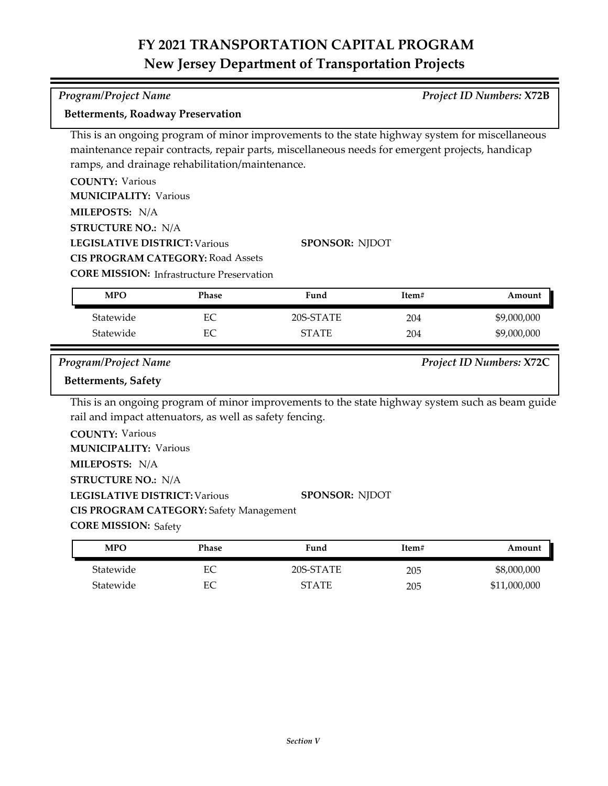*Program/Project Name Project ID Numbers:* **X72B**

**Betterments, Roadway Preservation**

| ramps, and drainage rehabilitation/maintenance.<br><b>COUNTY: Various</b><br><b>MUNICIPALITY: Various</b><br>MILEPOSTS: N/A<br><b>STRUCTURE NO.: N/A</b><br><b>LEGISLATIVE DISTRICT: Various</b> | <b>CIS PROGRAM CATEGORY: Road Assets</b>                  | This is an ongoing program of minor improvements to the state highway system for miscellaneous<br>maintenance repair contracts, repair parts, miscellaneous needs for emergent projects, handicap<br><b>SPONSOR: NJDOT</b> |       |                          |
|--------------------------------------------------------------------------------------------------------------------------------------------------------------------------------------------------|-----------------------------------------------------------|----------------------------------------------------------------------------------------------------------------------------------------------------------------------------------------------------------------------------|-------|--------------------------|
| <b>MPO</b>                                                                                                                                                                                       | <b>CORE MISSION: Infrastructure Preservation</b><br>Phase | Fund                                                                                                                                                                                                                       | Item# | Amount                   |
| Statewide                                                                                                                                                                                        | EC                                                        | 20S-STATE                                                                                                                                                                                                                  | 204   | \$9,000,000              |
| Statewide                                                                                                                                                                                        | EC                                                        | <b>STATE</b>                                                                                                                                                                                                               | 204   | \$9,000,000              |
| Program/Project Name<br><b>Betterments, Safety</b>                                                                                                                                               |                                                           | This is an ongoing program of minor improvements to the state highway system such as beam guide                                                                                                                            |       | Project ID Numbers: X72C |
| rail and impact attenuators, as well as safety fencing.<br><b>COUNTY: Various</b><br><b>MUNICIPALITY: Various</b><br>MILEPOSTS: N/A                                                              |                                                           |                                                                                                                                                                                                                            |       |                          |
| <b>STRUCTURE NO.: N/A</b><br><b>LEGISLATIVE DISTRICT: Various</b><br><b>CORE MISSION: Safety</b>                                                                                                 | <b>CIS PROGRAM CATEGORY: Safety Management</b>            | <b>SPONSOR: NJDOT</b>                                                                                                                                                                                                      |       |                          |

| <b>MPO</b> | Phase | Fund         | Item# | Amount       |
|------------|-------|--------------|-------|--------------|
| Statewide  |       | 20S-STATE    | 205   | \$8,000,000  |
| Statewide  | EС    | <b>STATE</b> | 205   | \$11,000,000 |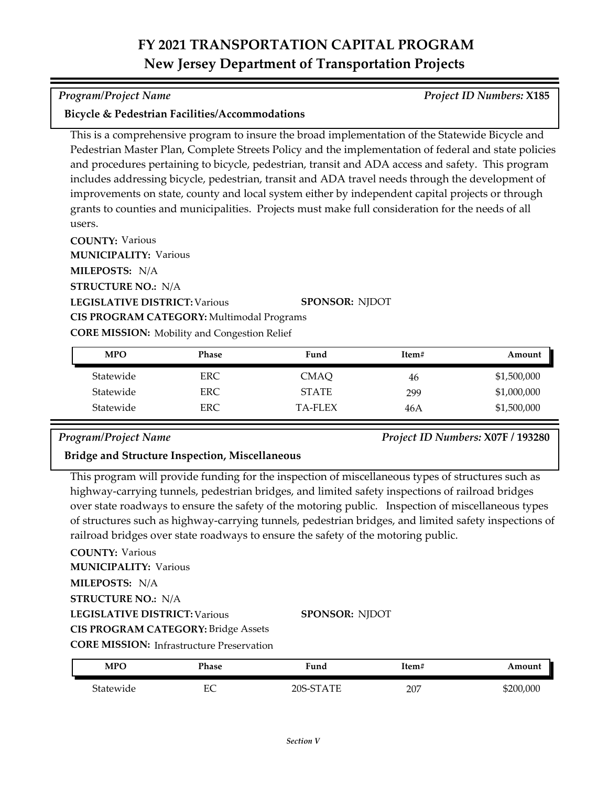### *Program/Project Name Project ID Numbers:* **X185**

### **Bicycle & Pedestrian Facilities/Accommodations**

This is a comprehensive program to insure the broad implementation of the Statewide Bicycle and Pedestrian Master Plan, Complete Streets Policy and the implementation of federal and state policies and procedures pertaining to bicycle, pedestrian, transit and ADA access and safety. This program includes addressing bicycle, pedestrian, transit and ADA travel needs through the development of improvements on state, county and local system either by independent capital projects or through grants to counties and municipalities. Projects must make full consideration for the needs of all users.

**COUNTY:** Various **MUNICIPALITY: Various** 

**MILEPOSTS:** N/A

**STRUCTURE NO.:** N/A

**LEGISLATIVE DISTRICT:** Various

**SPONSOR:** NJDOT

**CORE MISSION:** Mobility and Congestion Relief

**CIS PROGRAM CATEGORY:** Multimodal Programs

| <b>MPO</b> | Phase | Fund           | Item# | Amount      |
|------------|-------|----------------|-------|-------------|
| Statewide  | ERC.  | CMAO           | 46    | \$1,500,000 |
| Statewide  | ERC.  | <b>STATE</b>   | 299   | \$1,000,000 |
| Statewide  | ERC.  | <b>TA-FLEX</b> | 46A   | \$1,500,000 |

*Program/Project Name Project ID Numbers:* **X07F / 193280**

### **Bridge and Structure Inspection, Miscellaneous**

This program will provide funding for the inspection of miscellaneous types of structures such as highway-carrying tunnels, pedestrian bridges, and limited safety inspections of railroad bridges over state roadways to ensure the safety of the motoring public. Inspection of miscellaneous types of structures such as highway-carrying tunnels, pedestrian bridges, and limited safety inspections of railroad bridges over state roadways to ensure the safety of the motoring public.

### **COUNTY:** Various

**MUNICIPALITY: Various** 

**MILEPOSTS:** N/A

**STRUCTURE NO.:** N/A

**LEGISLATIVE DISTRICT:** Various

### **SPONSOR:** NJDOT

**CIS PROGRAM CATEGORY:** Bridge Assets

| <b>MPO</b> | Phase  | Fund                                                        | !tem# | Amount    |
|------------|--------|-------------------------------------------------------------|-------|-----------|
| Statewide  | ┍<br>◡ | າດs-<br>$C^{\mathbf{T}}$<br>١TE<br>$\overline{\phantom{a}}$ | 207   | \$200,000 |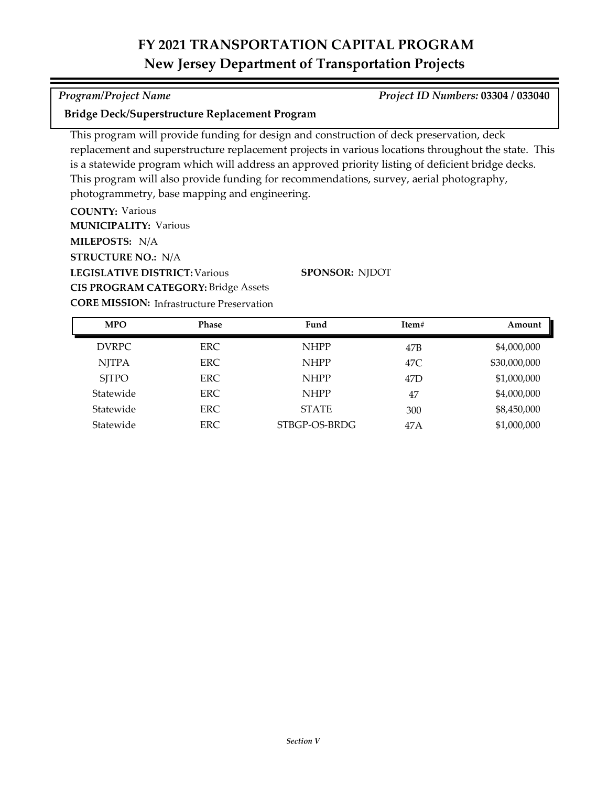### *Program/Project Name Project ID Numbers:* **03304 / 033040**

### **Bridge Deck/Superstructure Replacement Program**

This program will provide funding for design and construction of deck preservation, deck replacement and superstructure replacement projects in various locations throughout the state. This is a statewide program which will address an approved priority listing of deficient bridge decks. This program will also provide funding for recommendations, survey, aerial photography, photogrammetry, base mapping and engineering.

**COUNTY:** Various **LEGISLATIVE DISTRICT:** Various **MILEPOSTS:** N/A **STRUCTURE NO.:** N/A **MUNICIPALITY: Various CIS PROGRAM CATEGORY:** Bridge Assets

**SPONSOR:** NJDOT

| <b>MPO</b>   | <b>Phase</b> | Fund          | Item# | Amount       |
|--------------|--------------|---------------|-------|--------------|
| <b>DVRPC</b> | ERC.         | <b>NHPP</b>   | 47B   | \$4,000,000  |
| <b>NJTPA</b> | ERC.         | <b>NHPP</b>   | 47C   | \$30,000,000 |
| <b>SITPO</b> | ERC.         | <b>NHPP</b>   | 47D   | \$1,000,000  |
| Statewide    | ERC.         | <b>NHPP</b>   | 47    | \$4,000,000  |
| Statewide    | ERC.         | <b>STATE</b>  | 300   | \$8,450,000  |
| Statewide    | ERC.         | STBGP-OS-BRDG | 47A   | \$1,000,000  |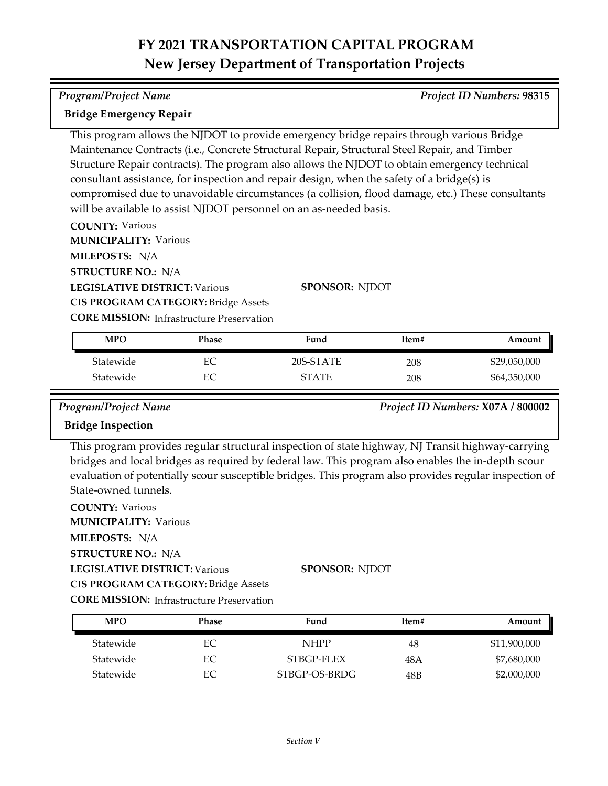| Program/Project Name | <b>Project ID Numbers: 98315</b> |
|----------------------|----------------------------------|

### **Bridge Emergency Repair**

This program allows the NJDOT to provide emergency bridge repairs through various Bridge Maintenance Contracts (i.e., Concrete Structural Repair, Structural Steel Repair, and Timber Structure Repair contracts). The program also allows the NJDOT to obtain emergency technical consultant assistance, for inspection and repair design, when the safety of a bridge(s) is compromised due to unavoidable circumstances (a collision, flood damage, etc.) These consultants will be available to assist NJDOT personnel on an as-needed basis.

**COUNTY:** Various

**MUNICIPALITY: Various** 

**MILEPOSTS:** N/A

**STRUCTURE NO.:** N/A

**LEGISLATIVE DISTRICT:** Various

**SPONSOR:** NJDOT

**CIS PROGRAM CATEGORY:** Bridge Assets

**CORE MISSION:** Infrastructure Preservation

| <b>MPO</b> | Phase | Fund         | Item# | Amount       |
|------------|-------|--------------|-------|--------------|
| Statewide  | EС    | 20S-STATE    | 208   | \$29,050,000 |
| Statewide  | EС    | <b>STATE</b> | 208   | \$64,350,000 |

*Program/Project Name Project ID Numbers:* **X07A / 800002**

### **Bridge Inspection**

This program provides regular structural inspection of state highway, NJ Transit highway-carrying bridges and local bridges as required by federal law. This program also enables the in-depth scour evaluation of potentially scour susceptible bridges. This program also provides regular inspection of State-owned tunnels.

**COUNTY:** Various **LEGISLATIVE DISTRICT:** Various **MILEPOSTS:** N/A **STRUCTURE NO.:** N/A **MUNICIPALITY: Various CIS PROGRAM CATEGORY:** Bridge Assets

**SPONSOR:** NJDOT

| <b>MPO</b> | Phase | Fund          | Item# | Amount       |
|------------|-------|---------------|-------|--------------|
| Statewide  | EС    | <b>NHPP</b>   | 48    | \$11,900,000 |
| Statewide  | EС    | STBGP-FLEX    | 48 A  | \$7,680,000  |
| Statewide  | EС    | STBGP-OS-BRDG | 48B   | \$2,000,000  |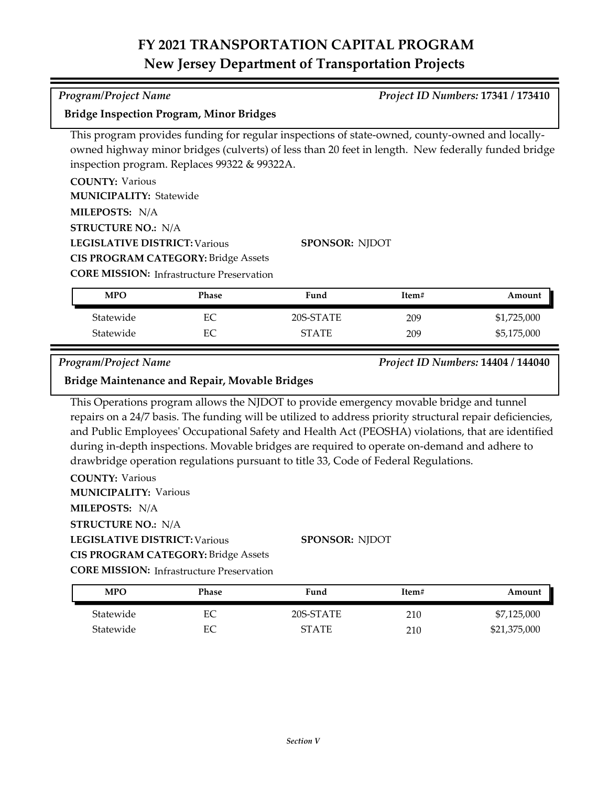### **Bridge Inspection Program, Minor Bridges**

This program provides funding for regular inspections of state-owned, county-owned and locallyowned highway minor bridges (culverts) of less than 20 feet in length. New federally funded bridge inspection program. Replaces 99322 & 99322A.

**COUNTY:** Various **LEGISLATIVE DISTRICT:** Various **MILEPOSTS:** N/A **STRUCTURE NO.:** N/A **MUNICIPALITY: Statewide** 

**CIS PROGRAM CATEGORY:** Bridge Assets

**CORE MISSION:** Infrastructure Preservation

| MPO       | Phase | Fund         | Item# | Amount      |
|-----------|-------|--------------|-------|-------------|
| Statewide |       | 20S-STATE    | 209   | \$1,725,000 |
| Statewide |       | <b>STATE</b> | 209   | \$5,175,000 |

**SPONSOR:** NJDOT

*Program/Project Name Project ID Numbers:* **14404 / 144040**

**Bridge Maintenance and Repair, Movable Bridges**

This Operations program allows the NJDOT to provide emergency movable bridge and tunnel repairs on a 24/7 basis. The funding will be utilized to address priority structural repair deficiencies, and Public Employees' Occupational Safety and Health Act (PEOSHA) violations, that are identified during in‐depth inspections. Movable bridges are required to operate on-demand and adhere to drawbridge operation regulations pursuant to title 33, Code of Federal Regulations.

**COUNTY:** Various

**MUNICIPALITY: Various** 

**MILEPOSTS:** N/A

**STRUCTURE NO.:** N/A

### **LEGISLATIVE DISTRICT:** Various

**CIS PROGRAM CATEGORY:** Bridge Assets

**CORE MISSION:** Infrastructure Preservation

| <b>MPO</b> | Phase | Fund         | Item# | Amount       |
|------------|-------|--------------|-------|--------------|
| Statewide  | EС    | 20S-STATE    | 210   | \$7,125,000  |
| Statewide  | EС    | <b>STATE</b> | 210   | \$21,375,000 |

**SPONSOR:** NJDOT

### *Program/Project Name Project ID Numbers:* **17341 / 173410**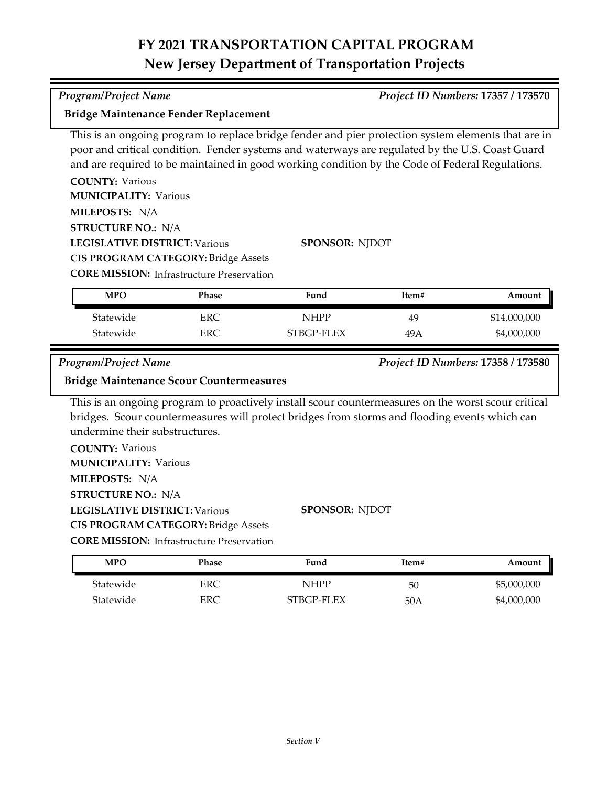This is an ongoing program to replace bridge fender and pier protection system elements that are in poor and critical condition. Fender systems and waterways are regulated by the U.S. Coast Guard and are required to be maintained in good working condition by the Code of Federal Regulations.

| <b>COUNTY: Various</b>                           |              |                       |       |                                    |
|--------------------------------------------------|--------------|-----------------------|-------|------------------------------------|
| <b>MUNICIPALITY: Various</b>                     |              |                       |       |                                    |
| MILEPOSTS: N/A                                   |              |                       |       |                                    |
| <b>STRUCTURE NO.: N/A</b>                        |              |                       |       |                                    |
| <b>LEGISLATIVE DISTRICT: Various</b>             |              | <b>SPONSOR: NJDOT</b> |       |                                    |
| <b>CIS PROGRAM CATEGORY: Bridge Assets</b>       |              |                       |       |                                    |
| <b>CORE MISSION:</b> Infrastructure Preservation |              |                       |       |                                    |
|                                                  |              |                       |       |                                    |
| <b>MPO</b>                                       | <b>Phase</b> | Fund                  | Item# | Amount                             |
| Statewide                                        | ERC          | <b>NHPP</b>           | 49    | \$14,000,000                       |
| Statewide                                        | ERC.         | STBGP-FLEX            | 49A   | \$4,000,000                        |
|                                                  |              |                       |       |                                    |
| Program/Project Name                             |              |                       |       | Project ID Numbers: 17358 / 173580 |

This is an ongoing program to proactively install scour countermeasures on the worst scour critical bridges. Scour countermeasures will protect bridges from storms and flooding events which can undermine their substructures.

**COUNTY:** Various **LEGISLATIVE DISTRICT:** Various **MILEPOSTS:** N/A **STRUCTURE NO.:** N/A **MUNICIPALITY: Various CORE MISSION:** Infrastructure Preservation **SPONSOR:** NJDOT **CIS PROGRAM CATEGORY:** Bridge Assets

Statewide ERC NHPP 50 \$5,000,000 Statewide ERC STBGP-FLEX 50A \$4,000,000 **MPO Phase Fund Item# Amount**

# **Bridge Maintenance Fender Replacement**

### *Program/Project Name Project ID Numbers:* **17357 / 173570**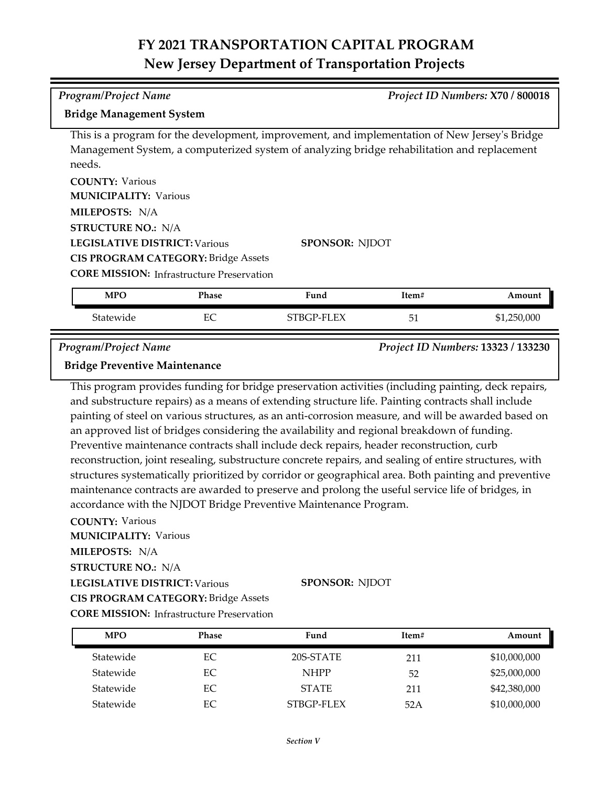# *Program/Project Name Project ID Numbers:* **X70 / 800018**

### **Bridge Management System**

This is a program for the development, improvement, and implementation of New Jersey's Bridge Management System, a computerized system of analyzing bridge rehabilitation and replacement needs.

**COUNTY:** Various **LEGISLATIVE DISTRICT:** Various **MILEPOSTS:** N/A **STRUCTURE NO.:** N/A **MUNICIPALITY: Various CIS PROGRAM CATEGORY:** Bridge Assets

**SPONSOR:** NJDOT

**CORE MISSION:** Infrastructure Preservation

| <b>MPO</b> | Phase   | Fund       | Item#          | Amount      |
|------------|---------|------------|----------------|-------------|
| Statewide  | гr<br>◡ | STBGP-FLEX | E o<br>5<br>ັບ | \$1,250,000 |

*Program/Project Name Project ID Numbers:* **13323 / 133230**

### **Bridge Preventive Maintenance**

This program provides funding for bridge preservation activities (including painting, deck repairs, and substructure repairs) as a means of extending structure life. Painting contracts shall include painting of steel on various structures, as an anti-corrosion measure, and will be awarded based on an approved list of bridges considering the availability and regional breakdown of funding. Preventive maintenance contracts shall include deck repairs, header reconstruction, curb reconstruction, joint resealing, substructure concrete repairs, and sealing of entire structures, with structures systematically prioritized by corridor or geographical area. Both painting and preventive maintenance contracts are awarded to preserve and prolong the useful service life of bridges, in accordance with the NJDOT Bridge Preventive Maintenance Program.

**COUNTY:** Various

**MUNICIPALITY: Various** 

**MILEPOSTS:** N/A

**STRUCTURE NO.:** N/A

**LEGISLATIVE DISTRICT:** Various **SPONSOR:** NJDOT

**CIS PROGRAM CATEGORY:** Bridge Assets

| <b>MPO</b> | <b>Phase</b> | Fund         | Item# | Amount       |
|------------|--------------|--------------|-------|--------------|
| Statewide  | EС           | 20S-STATE    | 211   | \$10,000,000 |
| Statewide  | EС           | <b>NHPP</b>  | 52    | \$25,000,000 |
| Statewide  | EС           | <b>STATE</b> | 211   | \$42,380,000 |
| Statewide  | EС           | STBGP-FLEX   | 52A   | \$10,000,000 |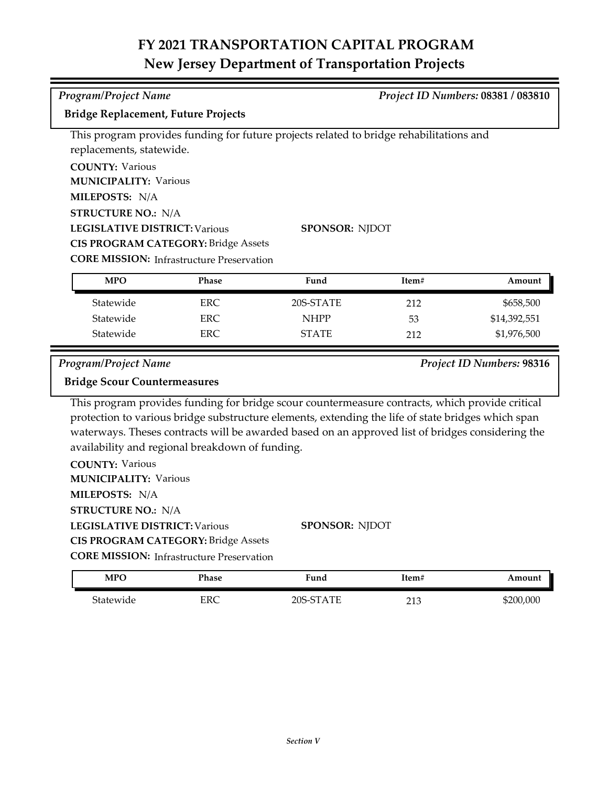| Program/Project Name                                          |                                                  |                                                                                                                                                                                                        |       | Project ID Numbers: 08381 / 083810 |
|---------------------------------------------------------------|--------------------------------------------------|--------------------------------------------------------------------------------------------------------------------------------------------------------------------------------------------------------|-------|------------------------------------|
| <b>Bridge Replacement, Future Projects</b>                    |                                                  |                                                                                                                                                                                                        |       |                                    |
|                                                               |                                                  | This program provides funding for future projects related to bridge rehabilitations and                                                                                                                |       |                                    |
| replacements, statewide.                                      |                                                  |                                                                                                                                                                                                        |       |                                    |
| <b>COUNTY: Various</b>                                        |                                                  |                                                                                                                                                                                                        |       |                                    |
| <b>MUNICIPALITY: Various</b>                                  |                                                  |                                                                                                                                                                                                        |       |                                    |
| MILEPOSTS: N/A                                                |                                                  |                                                                                                                                                                                                        |       |                                    |
| <b>STRUCTURE NO.: N/A</b>                                     |                                                  |                                                                                                                                                                                                        |       |                                    |
| <b>LEGISLATIVE DISTRICT: Various</b><br><b>SPONSOR: NJDOT</b> |                                                  |                                                                                                                                                                                                        |       |                                    |
|                                                               | <b>CIS PROGRAM CATEGORY: Bridge Assets</b>       |                                                                                                                                                                                                        |       |                                    |
|                                                               | <b>CORE MISSION: Infrastructure Preservation</b> |                                                                                                                                                                                                        |       |                                    |
| <b>MPO</b>                                                    | Phase                                            | Fund                                                                                                                                                                                                   | Item# | Amount                             |
| Statewide                                                     | <b>ERC</b>                                       | 20S-STATE                                                                                                                                                                                              | 212   | \$658,500                          |
| Statewide                                                     | <b>ERC</b>                                       | <b>NHPP</b>                                                                                                                                                                                            | 53    | \$14,392,551                       |
| Statewide                                                     | <b>ERC</b>                                       | <b>STATE</b>                                                                                                                                                                                           | 212   | \$1,976,500                        |
| Program/Project Name                                          |                                                  |                                                                                                                                                                                                        |       | Project ID Numbers: 98316          |
|                                                               |                                                  |                                                                                                                                                                                                        |       |                                    |
| <b>Bridge Scour Countermeasures</b>                           |                                                  |                                                                                                                                                                                                        |       |                                    |
|                                                               |                                                  |                                                                                                                                                                                                        |       |                                    |
|                                                               |                                                  | This program provides funding for bridge scour countermeasure contracts, which provide critical                                                                                                        |       |                                    |
|                                                               |                                                  | protection to various bridge substructure elements, extending the life of state bridges which span<br>waterways. Theses contracts will be awarded based on an approved list of bridges considering the |       |                                    |
|                                                               | availability and regional breakdown of funding.  |                                                                                                                                                                                                        |       |                                    |
| <b>COUNTY: Various</b>                                        |                                                  |                                                                                                                                                                                                        |       |                                    |
| <b>MUNICIPALITY: Various</b>                                  |                                                  |                                                                                                                                                                                                        |       |                                    |
| MILEPOSTS: N/A                                                |                                                  |                                                                                                                                                                                                        |       |                                    |
| <b>STRUCTURE NO.: N/A</b>                                     |                                                  |                                                                                                                                                                                                        |       |                                    |
| <b>LEGISLATIVE DISTRICT: Various</b>                          |                                                  | SPONSOR: NJDOT                                                                                                                                                                                         |       |                                    |
|                                                               | <b>CIS PROGRAM CATEGORY: Bridge Assets</b>       |                                                                                                                                                                                                        |       |                                    |
|                                                               | <b>CORE MISSION:</b> Infrastructure Preservation |                                                                                                                                                                                                        |       |                                    |
| <b>MPO</b>                                                    | Phase                                            | Fund                                                                                                                                                                                                   | Item# | Amount                             |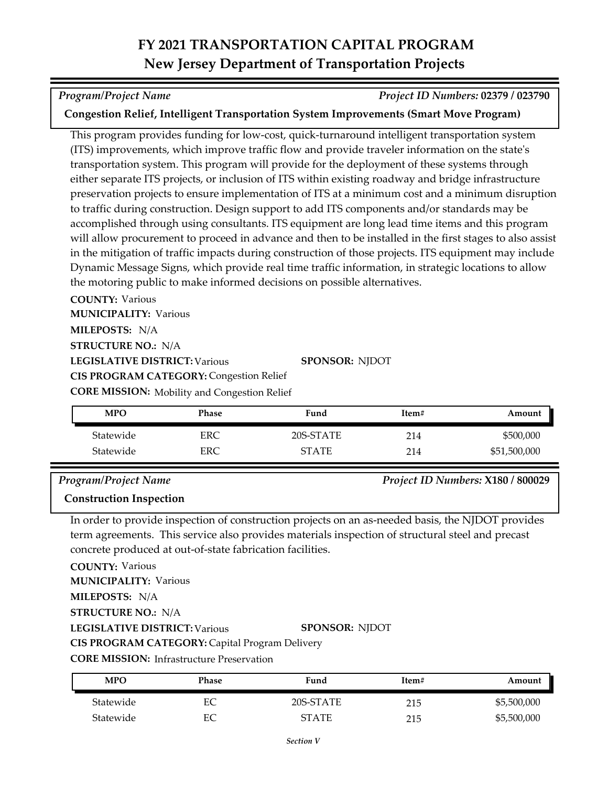### *Program/Project Name Project ID Numbers:* **02379 / 023790**

### **Congestion Relief, Intelligent Transportation System Improvements (Smart Move Program)**

This program provides funding for low‐cost, quick‐turnaround intelligent transportation system (ITS) improvements, which improve traffic flow and provide traveler information on the state's transportation system. This program will provide for the deployment of these systems through either separate ITS projects, or inclusion of ITS within existing roadway and bridge infrastructure preservation projects to ensure implementation of ITS at a minimum cost and a minimum disruption to traffic during construction. Design support to add ITS components and/or standards may be accomplished through using consultants. ITS equipment are long lead time items and this program will allow procurement to proceed in advance and then to be installed in the first stages to also assist in the mitigation of traffic impacts during construction of those projects. ITS equipment may include Dynamic Message Signs, which provide real time traffic information, in strategic locations to allow the motoring public to make informed decisions on possible alternatives.

**COUNTY:** Various **MUNICIPALITY: Various** 

**MILEPOSTS:** N/A

**STRUCTURE NO.:** N/A

**LEGISLATIVE DISTRICT:** Various

**SPONSOR:** NJDOT

**CORE MISSION:** Mobility and Congestion Relief **CIS PROGRAM CATEGORY: Congestion Relief** 

| <b>MPO</b> | Phase | Fund         | Item# | Amount       |
|------------|-------|--------------|-------|--------------|
| Statewide  | ERC   | 20S-STATE    | 214   | \$500,000    |
| Statewide  | ERC   | <b>STATE</b> | 214   | \$51,500,000 |

### *Program/Project Name Project ID Numbers:* **X180 / 800029**

### **Construction Inspection**

In order to provide inspection of construction projects on an as-needed basis, the NJDOT provides term agreements. This service also provides materials inspection of structural steel and precast concrete produced at out-of-state fabrication facilities.

**COUNTY:** Various

**MUNICIPALITY: Various** 

**MILEPOSTS:** N/A

**STRUCTURE NO.:** N/A

**LEGISLATIVE DISTRICT:** Various

**SPONSOR:** NJDOT

**CIS PROGRAM CATEGORY:** Capital Program Delivery

| <b>MPO</b> | Phase | Fund         | Item# | Amount      |
|------------|-------|--------------|-------|-------------|
| Statewide  | EС    | 20S-STATE    | 215   | \$5,500,000 |
| Statewide  | EС    | <b>STATE</b> | 215   | \$5,500,000 |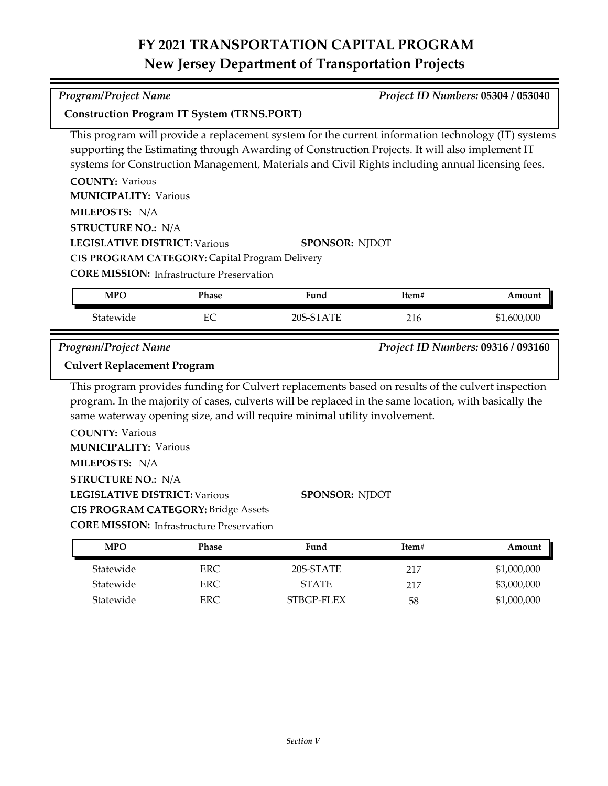### *Program/Project Name Project ID Numbers:* **05304 / 053040**

### **Construction Program IT System (TRNS.PORT)**

This program will provide a replacement system for the current information technology (IT) systems supporting the Estimating through Awarding of Construction Projects. It will also implement IT systems for Construction Management, Materials and Civil Rights including annual licensing fees.

**COUNTY:** Various **LEGISLATIVE DISTRICT:** Various **MILEPOSTS:** N/A **STRUCTURE NO.:** N/A **MUNICIPALITY: Various SPONSOR:** NJDOT **CIS PROGRAM CATEGORY:** Capital Program Delivery

**CORE MISSION:** Infrastructure Preservation

| <b>MPO</b> | Phase    | Fund                       | Item# | Amount             |
|------------|----------|----------------------------|-------|--------------------|
| Statewide  | ᄄ<br>LV. | $\sqrt{2}$<br>'∆ TΓ<br>2UC | 216   | 000,000,ا<br>. Փ - |

*Program/Project Name Project ID Numbers:* **09316 / 093160**

### **Culvert Replacement Program**

This program provides funding for Culvert replacements based on results of the culvert inspection program. In the majority of cases, culverts will be replaced in the same location, with basically the same waterway opening size, and will require minimal utility involvement.

**COUNTY:** Various **LEGISLATIVE DISTRICT:** Various **MILEPOSTS:** N/A **STRUCTURE NO.:** N/A **MUNICIPALITY: Various CIS PROGRAM CATEGORY:** Bridge Assets

**SPONSOR:** NJDOT

| <b>MPO</b> | Phase | Fund         | Item# | Amount      |
|------------|-------|--------------|-------|-------------|
| Statewide  | ERC.  | 20S-STATE    | 217   | \$1,000,000 |
| Statewide  | ERC.  | <b>STATE</b> | 217   | \$3,000,000 |
| Statewide  | ERC.  | STBGP-FLEX   | 58    | \$1,000,000 |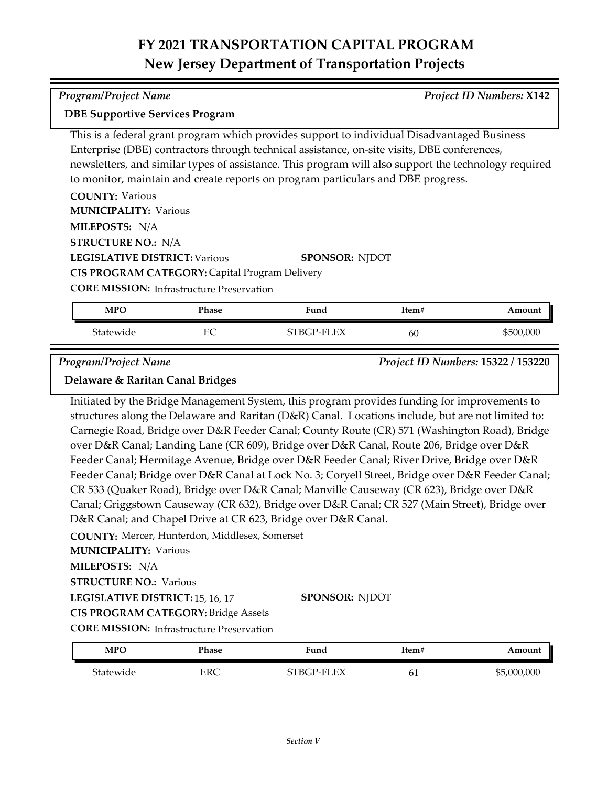| <b>DBE Supportive Services Program</b>                                                               |
|------------------------------------------------------------------------------------------------------|
| This is a federal grant program which provides support to individual Disadvantaged Business          |
| Enterprise (DBE) contractors through technical assistance, on-site visits, DBE conferences,          |
| newsletters, and similar types of assistance. This program will also support the technology required |
| to monitor, maintain and create reports on program particulars and DBE progress.                     |
| <b>COUNTY: Various</b>                                                                               |

| <b>MUNICIPALITY: Various</b>                          |                       |
|-------------------------------------------------------|-----------------------|
| <b>MILEPOSTS: N/A</b>                                 |                       |
| <b>STRUCTURE NO.: N/A</b>                             |                       |
| <b>LEGISLATIVE DISTRICT: Various</b>                  | <b>SPONSOR: NIDOT</b> |
| <b>CIS PROGRAM CATEGORY: Capital Program Delivery</b> |                       |

**CORE MISSION: Infrastructure Preservation** 

| <b>MPO</b> | Phase   | Fund       | Item# | Amount    |
|------------|---------|------------|-------|-----------|
| Statewide  | гσ<br>∽ | STBGP-FLEX | 60    | \$500,000 |

*Program/Project Name Project ID Numbers:* **15322 / 153220**

### **Delaware & Raritan Canal Bridges**

Initiated by the Bridge Management System, this program provides funding for improvements to structures along the Delaware and Raritan (D&R) Canal. Locations include, but are not limited to: Carnegie Road, Bridge over D&R Feeder Canal; County Route (CR) 571 (Washington Road), Bridge over D&R Canal; Landing Lane (CR 609), Bridge over D&R Canal, Route 206, Bridge over D&R Feeder Canal; Hermitage Avenue, Bridge over D&R Feeder Canal; River Drive, Bridge over D&R Feeder Canal; Bridge over D&R Canal at Lock No. 3; Coryell Street, Bridge over D&R Feeder Canal; CR 533 (Quaker Road), Bridge over D&R Canal; Manville Causeway (CR 623), Bridge over D&R Canal; Griggstown Causeway (CR 632), Bridge over D&R Canal; CR 527 (Main Street), Bridge over D&R Canal; and Chapel Drive at CR 623, Bridge over D&R Canal.

**COUNTY:** Mercer, Hunterdon, Middlesex, Somerset

**MUNICIPALITY: Various** 

**MILEPOSTS:** N/A

**STRUCTURE NO.: Various** 

**LEGISLATIVE DISTRICT:** 15, 16, 17

**SPONSOR:** NJDOT

**CORE MISSION:** Infrastructure Preservation **CIS PROGRAM CATEGORY:** Bridge Assets

| <b>MPC</b> | Phase | Fund                    | Item# | Amount           |
|------------|-------|-------------------------|-------|------------------|
| Statewide  | ERC   | FX<br>FТ<br>STRCP-<br>- | 01    | \$5<br>5,000,000 |

*Program/Project Name Project ID Numbers:* **X142**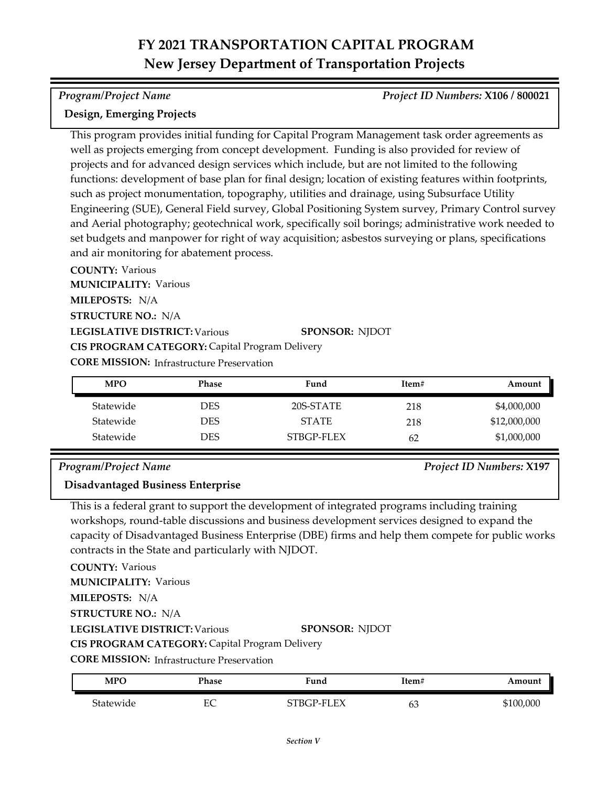### *Program/Project Name Project ID Numbers:* **X106 / 800021**

### **Design, Emerging Projects**

This program provides initial funding for Capital Program Management task order agreements as well as projects emerging from concept development. Funding is also provided for review of projects and for advanced design services which include, but are not limited to the following functions: development of base plan for final design; location of existing features within footprints, such as project monumentation, topography, utilities and drainage, using Subsurface Utility Engineering (SUE), General Field survey, Global Positioning System survey, Primary Control survey and Aerial photography; geotechnical work, specifically soil borings; administrative work needed to set budgets and manpower for right of way acquisition; asbestos surveying or plans, specifications and air monitoring for abatement process.

**COUNTY:** Various **LEGISLATIVE DISTRICT:** Various **MILEPOSTS:** N/A **STRUCTURE NO.:** N/A **MUNICIPALITY: Various CORE MISSION: Infrastructure Preservation SPONSOR:** NJDOT **CIS PROGRAM CATEGORY:** Capital Program Delivery

| <b>MPO</b> | Phase      | Fund         | Item# | Amount       |
|------------|------------|--------------|-------|--------------|
| Statewide  | DES        | 20S-STATE    | 218   | \$4,000,000  |
| Statewide  | <b>DES</b> | <b>STATE</b> | 218   | \$12,000,000 |
| Statewide  | DES        | STBGP-FLEX   | 62    | \$1,000,000  |

### *Program/Project Name Project ID Numbers:* **X197**

### **Disadvantaged Business Enterprise**

This is a federal grant to support the development of integrated programs including training workshops, round-table discussions and business development services designed to expand the capacity of Disadvantaged Business Enterprise (DBE) firms and help them compete for public works contracts in the State and particularly with NJDOT.

**COUNTY:** Various **LEGISLATIVE DISTRICT:** Various **MILEPOSTS:** N/A **STRUCTURE NO.:** N/A **MUNICIPALITY: Various SPONSOR:** NJDOT **CIS PROGRAM CATEGORY:** Capital Program Delivery

| <b>MPO</b> | Phase | Fund       | Item# | Amount    |
|------------|-------|------------|-------|-----------|
| Statewide  | EС    | STBGP-FLEX | ნა    | \$100,000 |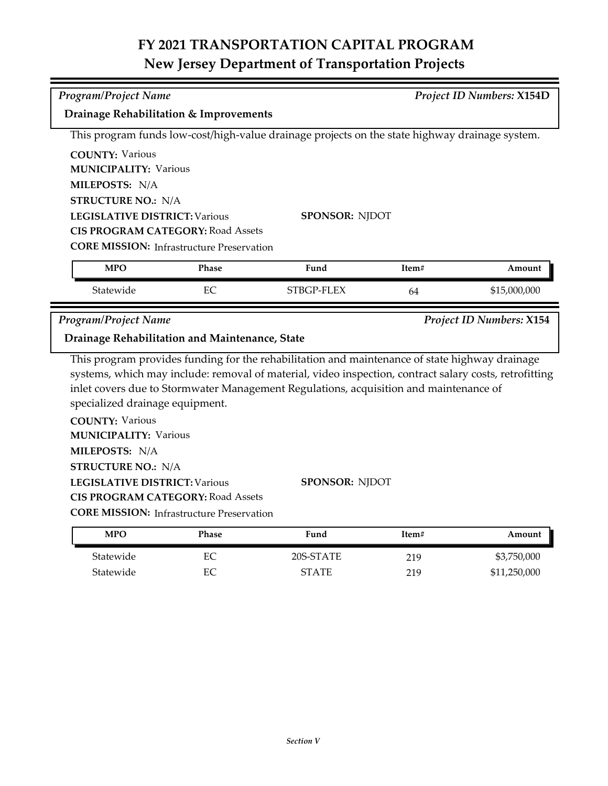| <b>Program/Project Name</b>                                   |              |                                                                                                        |       | <b>Project ID Numbers: X154D</b> |
|---------------------------------------------------------------|--------------|--------------------------------------------------------------------------------------------------------|-------|----------------------------------|
| Drainage Rehabilitation & Improvements                        |              |                                                                                                        |       |                                  |
|                                                               |              | This program funds low-cost/high-value drainage projects on the state highway drainage system.         |       |                                  |
| <b>COUNTY: Various</b>                                        |              |                                                                                                        |       |                                  |
| <b>MUNICIPALITY: Various</b>                                  |              |                                                                                                        |       |                                  |
| MILEPOSTS: N/A                                                |              |                                                                                                        |       |                                  |
| <b>STRUCTURE NO.: N/A</b>                                     |              |                                                                                                        |       |                                  |
| <b>LEGISLATIVE DISTRICT: Various</b><br><b>SPONSOR: NJDOT</b> |              |                                                                                                        |       |                                  |
| <b>CIS PROGRAM CATEGORY: Road Assets</b>                      |              |                                                                                                        |       |                                  |
| <b>CORE MISSION:</b> Infrastructure Preservation              |              |                                                                                                        |       |                                  |
| <b>MPO</b>                                                    | <b>Phase</b> | Fund                                                                                                   | Item# | Amount                           |
| Statewide                                                     | EC           | STBGP-FLEX                                                                                             | 64    | \$15,000,000                     |
| Program/Project Name                                          |              |                                                                                                        |       | <b>Project ID Numbers: X154</b>  |
| Drainage Rehabilitation and Maintenance, State                |              |                                                                                                        |       |                                  |
|                                                               |              | This program provides funding for the rehabilitation and maintenance of state highway drainage         |       |                                  |
|                                                               |              | systems, which may include: removal of material, video inspection, contract salary costs, retrofitting |       |                                  |
|                                                               |              | inlet covers due to Stormwater Management Regulations, acquisition and maintenance of                  |       |                                  |
| specialized drainage equipment.                               |              |                                                                                                        |       |                                  |
| <b>COUNTY: Various</b>                                        |              |                                                                                                        |       |                                  |
| <b>MUNICIPALITY: Various</b>                                  |              |                                                                                                        |       |                                  |
| MILEPOSTS: N/A                                                |              |                                                                                                        |       |                                  |

**STRUCTURE NO.:** N/A

**LEGISLATIVE DISTRICT:** Various

**SPONSOR:** NJDOT

**CIS PROGRAM CATEGORY:** Road Assets

| <b>MPO</b> | Phase | Fund         | Item# | Amount       |
|------------|-------|--------------|-------|--------------|
| Statewide  | EС    | 20S-STATE    | 219   | \$3,750,000  |
| Statewide  | EС    | <b>STATE</b> | 219   | \$11,250,000 |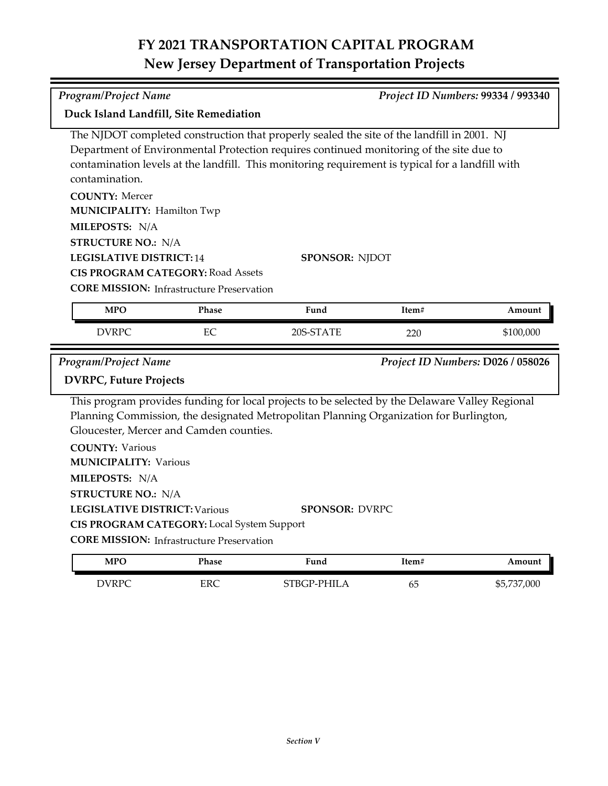|                                                                                                                                                                                                                                                                                                             | <b>Program/Project Name</b><br>Project ID Numbers: 99334 / 993340                              |                                                                                                                                                                                                                    |       |                                   |  |  |
|-------------------------------------------------------------------------------------------------------------------------------------------------------------------------------------------------------------------------------------------------------------------------------------------------------------|------------------------------------------------------------------------------------------------|--------------------------------------------------------------------------------------------------------------------------------------------------------------------------------------------------------------------|-------|-----------------------------------|--|--|
| Duck Island Landfill, Site Remediation                                                                                                                                                                                                                                                                      |                                                                                                |                                                                                                                                                                                                                    |       |                                   |  |  |
| The NJDOT completed construction that properly sealed the site of the landfill in 2001. NJ<br>Department of Environmental Protection requires continued monitoring of the site due to<br>contamination levels at the landfill. This monitoring requirement is typical for a landfill with<br>contamination. |                                                                                                |                                                                                                                                                                                                                    |       |                                   |  |  |
| <b>COUNTY: Mercer</b><br><b>MUNICIPALITY: Hamilton Twp</b><br>MILEPOSTS: N/A<br><b>STRUCTURE NO.: N/A</b><br><b>LEGISLATIVE DISTRICT: 14</b>                                                                                                                                                                | <b>CIS PROGRAM CATEGORY: Road Assets</b><br><b>CORE MISSION: Infrastructure Preservation</b>   | <b>SPONSOR: NJDOT</b>                                                                                                                                                                                              |       |                                   |  |  |
| <b>MPO</b>                                                                                                                                                                                                                                                                                                  | Phase                                                                                          | Fund                                                                                                                                                                                                               | Item# | Amount                            |  |  |
| <b>DVRPC</b>                                                                                                                                                                                                                                                                                                | EC                                                                                             | 20S-STATE                                                                                                                                                                                                          | 220   | \$100,000                         |  |  |
| <b>Program/Project Name</b><br><b>DVRPC, Future Projects</b><br><b>COUNTY: Various</b><br><b>MUNICIPALITY: Various</b><br>MILEPOSTS: N/A<br><b>STRUCTURE NO.: N/A</b><br><b>LEGISLATIVE DISTRICT: Various</b>                                                                                               | Gloucester, Mercer and Camden counties.                                                        | This program provides funding for local projects to be selected by the Delaware Valley Regional<br>Planning Commission, the designated Metropolitan Planning Organization for Burlington,<br><b>SPONSOR: DVRPC</b> |       | Project ID Numbers: D026 / 058026 |  |  |
|                                                                                                                                                                                                                                                                                                             | CIS PROGRAM CATEGORY: Local System Support<br><b>CORE MISSION: Infrastructure Preservation</b> |                                                                                                                                                                                                                    |       |                                   |  |  |
| <b>MPO</b>                                                                                                                                                                                                                                                                                                  | Phase                                                                                          | Fund                                                                                                                                                                                                               | Item# | Amount                            |  |  |
|                                                                                                                                                                                                                                                                                                             |                                                                                                |                                                                                                                                                                                                                    |       |                                   |  |  |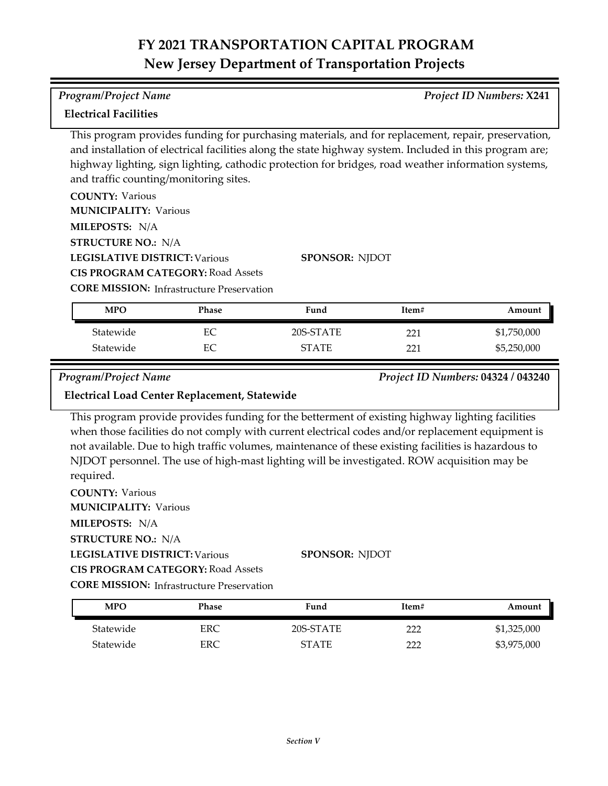### **Electrical Facilities**

This program provides funding for purchasing materials, and for replacement, repair, preservation, and installation of electrical facilities along the state highway system. Included in this program are; highway lighting, sign lighting, cathodic protection for bridges, road weather information systems, and traffic counting/monitoring sites.

| <b>COUNTY: Various</b>                           |                       |
|--------------------------------------------------|-----------------------|
| <b>MUNICIPALITY: Various</b>                     |                       |
| <b>MILEPOSTS: N/A</b>                            |                       |
| <b>STRUCTURE NO.: N/A</b>                        |                       |
| <b>LEGISLATIVE DISTRICT: Various</b>             | <b>SPONSOR: NIDOT</b> |
| <b>CIS PROGRAM CATEGORY: Road Assets</b>         |                       |
| <b>CORE MISSION:</b> Infrastructure Preservation |                       |

Statewide EC 20S-STATE 221 \$1,750,000 Statewide EC STATE 221 \$5,250,000 **MPO Phase Fund Item# Amount**

*Program/Project Name Project ID Numbers:* **04324 / 043240**

### **Electrical Load Center Replacement, Statewide**

This program provide provides funding for the betterment of existing highway lighting facilities when those facilities do not comply with current electrical codes and/or replacement equipment is not available. Due to high traffic volumes, maintenance of these existing facilities is hazardous to NJDOT personnel. The use of high‐mast lighting will be investigated. ROW acquisition may be required.

**COUNTY:** Various **LEGISLATIVE DISTRICT:** Various **MILEPOSTS:** N/A **STRUCTURE NO.:** N/A **MUNICIPALITY: Various CORE MISSION: Infrastructure Preservation SPONSOR:** NJDOT **CIS PROGRAM CATEGORY:** Road Assets

| <b>MPO</b> | Phase | Fund         | Item# | Amount      |
|------------|-------|--------------|-------|-------------|
| Statewide  | ERC   | 20S-STATE    | ררר   | \$1,325,000 |
| Statewide  | ERC   | <b>STATE</b> | ררר   | \$3,975,000 |

*Program/Project Name Project ID Numbers:* **X241**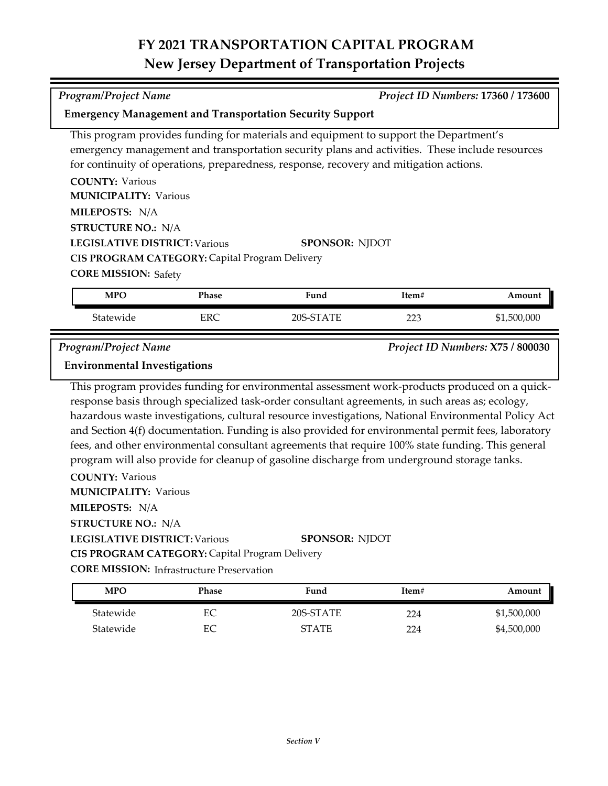*Program/Project Name Project ID Numbers:* **17360 / 173600**

**Emergency Management and Transportation Security Support**

| This program provides funding for materials and equipment to support the Department's  |                                                                                                |
|----------------------------------------------------------------------------------------|------------------------------------------------------------------------------------------------|
|                                                                                        | emergency management and transportation security plans and activities. These include resources |
| for continuity of operations, preparedness, response, recovery and mitigation actions. |                                                                                                |
| <b>COUNTY: Various</b>                                                                 |                                                                                                |
| <b>MUNICIPALITY: Various</b>                                                           |                                                                                                |
| MILEPOSTS: N/A                                                                         |                                                                                                |
| <b>STRUCTURE NO.: N/A</b>                                                              |                                                                                                |
| <b>LEGISLATIVE DISTRICT: Various</b>                                                   | <b>SPONSOR: NJDOT</b>                                                                          |
| CIS PROGRAM CATEGORY: Capital Program Delivery                                         |                                                                                                |
| <b>CORE MISSION: Safety</b>                                                            |                                                                                                |
|                                                                                        |                                                                                                |

| MPO       | Phase | Fund         | ftem# | Amount    |
|-----------|-------|--------------|-------|-----------|
| Statewide | EDC   | 205.         | ר ר   | 1,500,000 |
|           | ւռա   | <b>STATE</b> | سكك   | \$1       |

*Program/Project Name Project ID Numbers:* **X75 / 800030**

### **Environmental Investigations**

This program provides funding for environmental assessment work-products produced on a quick‐ response basis through specialized task-order consultant agreements, in such areas as; ecology, hazardous waste investigations, cultural resource investigations, National Environmental Policy Act and Section 4(f) documentation. Funding is also provided for environmental permit fees, laboratory fees, and other environmental consultant agreements that require 100% state funding. This general program will also provide for cleanup of gasoline discharge from underground storage tanks.

**COUNTY:** Various

**MUNICIPALITY: Various** 

**MILEPOSTS:** N/A

**STRUCTURE NO.:** N/A

### **LEGISLATIVE DISTRICT:** Various **SPONSOR:** NJDOT

**CIS PROGRAM CATEGORY:** Capital Program Delivery

| <b>MPO</b> | Phase | Fund         | Item# | Amount      |
|------------|-------|--------------|-------|-------------|
| Statewide  | EС    | 20S-STATE    | 224   | \$1,500,000 |
| Statewide  | EС    | <b>STATE</b> | 224   | \$4,500,000 |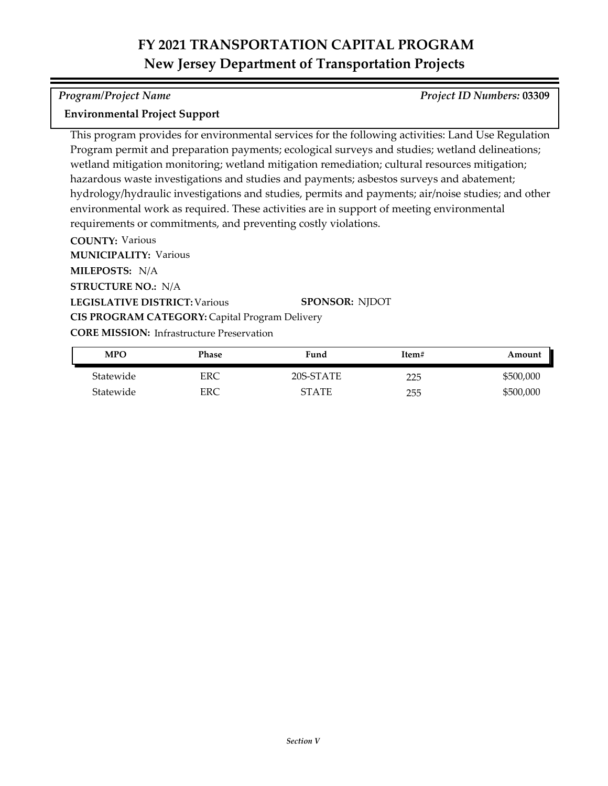### *Program/Project Name Project ID Numbers:* **03309**

### **Environmental Project Support**

This program provides for environmental services for the following activities: Land Use Regulation Program permit and preparation payments; ecological surveys and studies; wetland delineations; wetland mitigation monitoring; wetland mitigation remediation; cultural resources mitigation; hazardous waste investigations and studies and payments; asbestos surveys and abatement; hydrology/hydraulic investigations and studies, permits and payments; air/noise studies; and other environmental work as required. These activities are in support of meeting environmental requirements or commitments, and preventing costly violations.

**COUNTY:** Various

**MILEPOSTS:** N/A **MUNICIPALITY: Various** 

**STRUCTURE NO.:** N/A

**LEGISLATIVE DISTRICT:** Various

**SPONSOR:** NJDOT

**CORE MISSION: Infrastructure Preservation** 

**CIS PROGRAM CATEGORY:** Capital Program Delivery

| <b>MPO</b> | Phase | Fund      | Item# | Amount    |
|------------|-------|-----------|-------|-----------|
| Statewide  | ERC   | 20S-STATE | 225   | \$500,000 |
| Statewide  | ERC   | STATF     | 255   | \$500,000 |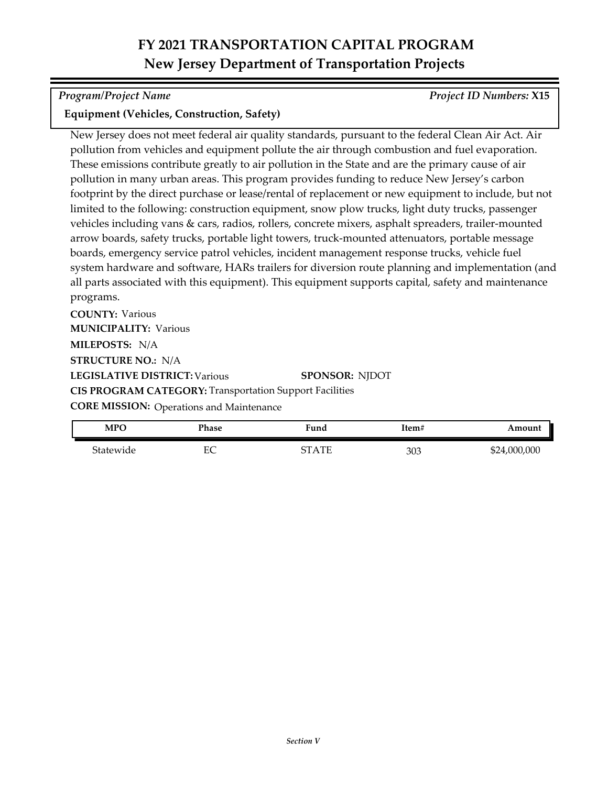*Program/Project Name Project ID Numbers:* **X15**

### **Equipment (Vehicles, Construction, Safety)**

New Jersey does not meet federal air quality standards, pursuant to the federal Clean Air Act. Air pollution from vehicles and equipment pollute the air through combustion and fuel evaporation. These emissions contribute greatly to air pollution in the State and are the primary cause of air pollution in many urban areas. This program provides funding to reduce New Jersey's carbon footprint by the direct purchase or lease/rental of replacement or new equipment to include, but not limited to the following: construction equipment, snow plow trucks, light duty trucks, passenger vehicles including vans & cars, radios, rollers, concrete mixers, asphalt spreaders, trailer-mounted arrow boards, safety trucks, portable light towers, truck-mounted attenuators, portable message boards, emergency service patrol vehicles, incident management response trucks, vehicle fuel system hardware and software, HARs trailers for diversion route planning and implementation (and all parts associated with this equipment). This equipment supports capital, safety and maintenance programs.

**COUNTY:** Various **LEGISLATIVE DISTRICT:** Various **MILEPOSTS:** N/A **STRUCTURE NO.:** N/A **MUNICIPALITY: Various CORE MISSION: Operations and Maintenance SPONSOR:** NJDOT **CIS PROGRAM CATEGORY:** Transportation Support Facilities

| <b>MPC</b> | Phase   | Fund    | Item# | Amount                         |
|------------|---------|---------|-------|--------------------------------|
| Statewide  | гΩ<br>◡ | CT A TE | 303   | .000,000,<br><b>CO</b><br>ے دπ |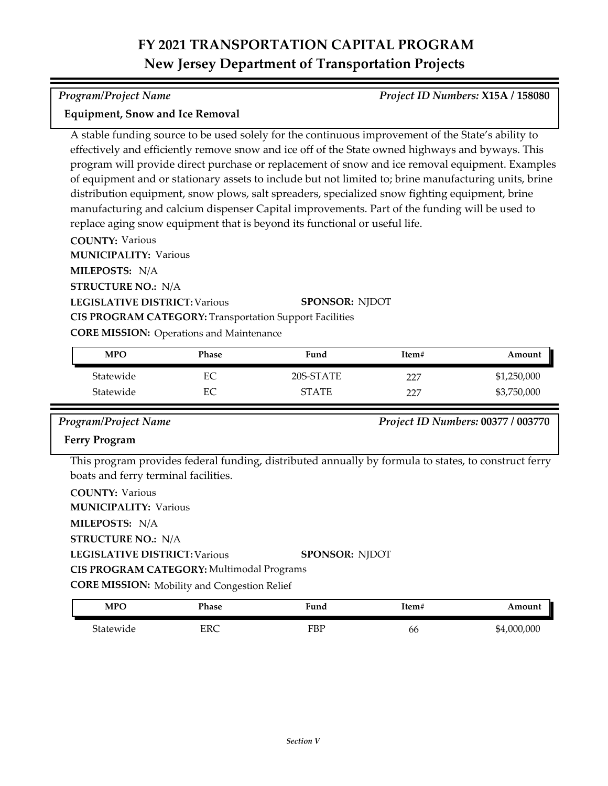### *Program/Project Name Project ID Numbers:* **X15A / 158080**

### **Equipment, Snow and Ice Removal**

A stable funding source to be used solely for the continuous improvement of the State's ability to effectively and efficiently remove snow and ice off of the State owned highways and byways. This program will provide direct purchase or replacement of snow and ice removal equipment. Examples of equipment and or stationary assets to include but not limited to; brine manufacturing units, brine distribution equipment, snow plows, salt spreaders, specialized snow fighting equipment, brine manufacturing and calcium dispenser Capital improvements. Part of the funding will be used to replace aging snow equipment that is beyond its functional or useful life.

**COUNTY:** Various

**MUNICIPALITY: Various** 

**MILEPOSTS:** N/A

**STRUCTURE NO.:** N/A

**LEGISLATIVE DISTRICT:** Various

**SPONSOR:** NJDOT

**CIS PROGRAM CATEGORY:** Transportation Support Facilities

**CORE MISSION: Operations and Maintenance** 

| <b>MPO</b> | Phase | Fund         | Item# | Amount      |
|------------|-------|--------------|-------|-------------|
| Statewide  | EС    | 20S-STATE    | 227   | \$1,250,000 |
| Statewide  | EС    | <b>STATE</b> | フフワ   | \$3,750,000 |

*Program/Project Name Project ID Numbers:* **00377 / 003770**

### **Ferry Program**

This program provides federal funding, distributed annually by formula to states, to construct ferry boats and ferry terminal facilities.

| <b>COUNTY: Various</b>                              |                       |
|-----------------------------------------------------|-----------------------|
| <b>MUNICIPALITY: Various</b>                        |                       |
| MILEPOSTS: N/A                                      |                       |
| <b>STRUCTURE NO.: N/A</b>                           |                       |
| <b>LEGISLATIVE DISTRICT: Various</b>                | <b>SPONSOR: NIDOT</b> |
| CIS PROGRAM CATEGORY: Multimodal Programs           |                       |
| <b>CORE MISSION:</b> Mobility and Congestion Relief |                       |
|                                                     |                       |

| <b>MPC</b> | Phase               | Fund | ltem# | Amount          |
|------------|---------------------|------|-------|-----------------|
| Statewide  | $_{\rm FRC}$<br>ے د | FBP  | bb    | .000.000<br>\$4 |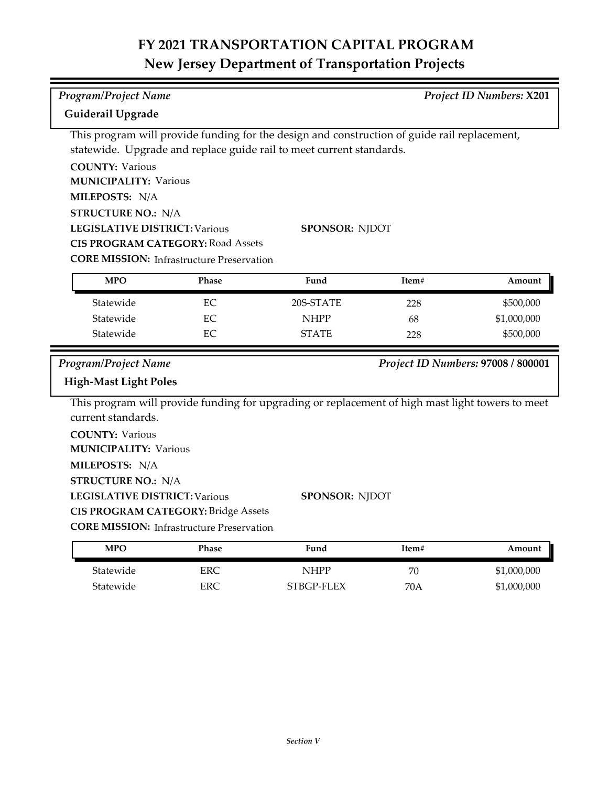| <b>Program/Project Name</b><br><b>Project ID Numbers: X201</b><br>Guiderail Upgrade |                                                  |                                                                                                  |       |                                    |
|-------------------------------------------------------------------------------------|--------------------------------------------------|--------------------------------------------------------------------------------------------------|-------|------------------------------------|
|                                                                                     |                                                  | This program will provide funding for the design and construction of guide rail replacement,     |       |                                    |
|                                                                                     |                                                  | statewide. Upgrade and replace guide rail to meet current standards.                             |       |                                    |
| <b>COUNTY: Various</b>                                                              |                                                  |                                                                                                  |       |                                    |
| <b>MUNICIPALITY: Various</b>                                                        |                                                  |                                                                                                  |       |                                    |
| MILEPOSTS: N/A                                                                      |                                                  |                                                                                                  |       |                                    |
| <b>STRUCTURE NO.: N/A</b>                                                           |                                                  |                                                                                                  |       |                                    |
| <b>LEGISLATIVE DISTRICT: Various</b>                                                |                                                  | <b>SPONSOR: NJDOT</b>                                                                            |       |                                    |
| <b>CIS PROGRAM CATEGORY: Road Assets</b>                                            |                                                  |                                                                                                  |       |                                    |
|                                                                                     | <b>CORE MISSION:</b> Infrastructure Preservation |                                                                                                  |       |                                    |
| <b>MPO</b>                                                                          | Phase                                            | Fund                                                                                             | Item# | Amount                             |
| Statewide                                                                           | EC                                               | 20S-STATE                                                                                        | 228   | \$500,000                          |
| Statewide                                                                           | EC                                               | <b>NHPP</b>                                                                                      | 68    | \$1,000,000                        |
| Statewide                                                                           | EC                                               | <b>STATE</b>                                                                                     | 228   | \$500,000                          |
|                                                                                     |                                                  |                                                                                                  |       |                                    |
| <b>Program/Project Name</b>                                                         |                                                  |                                                                                                  |       | Project ID Numbers: 97008 / 800001 |
| <b>High-Mast Light Poles</b>                                                        |                                                  |                                                                                                  |       |                                    |
|                                                                                     |                                                  | This program will provide funding for upgrading or replacement of high mast light towers to meet |       |                                    |
| current standards.                                                                  |                                                  |                                                                                                  |       |                                    |
| <b>COUNTY: Various</b>                                                              |                                                  |                                                                                                  |       |                                    |
| <b>MUNICIPALITY: Various</b>                                                        |                                                  |                                                                                                  |       |                                    |
| MILEPOSTS: N/A                                                                      |                                                  |                                                                                                  |       |                                    |
| <b>STRUCTURE NO.: N/A</b>                                                           |                                                  |                                                                                                  |       |                                    |
| <b>LEGISLATIVE DISTRICT: Various</b><br><b>SPONSOR: NJDOT</b>                       |                                                  |                                                                                                  |       |                                    |
|                                                                                     | <b>CIS PROGRAM CATEGORY: Bridge Assets</b>       |                                                                                                  |       |                                    |
|                                                                                     | <b>CORE MISSION:</b> Infrastructure Preservation |                                                                                                  |       |                                    |
| <b>MPO</b>                                                                          | Phase                                            | Fund                                                                                             | Item# | Amount                             |
| Statewide                                                                           | <b>ERC</b>                                       | <b>NHPP</b>                                                                                      | 70    | \$1,000,000                        |
| Statewide                                                                           | ERC                                              | STBGP-FLEX                                                                                       | 70A   | \$1,000,000                        |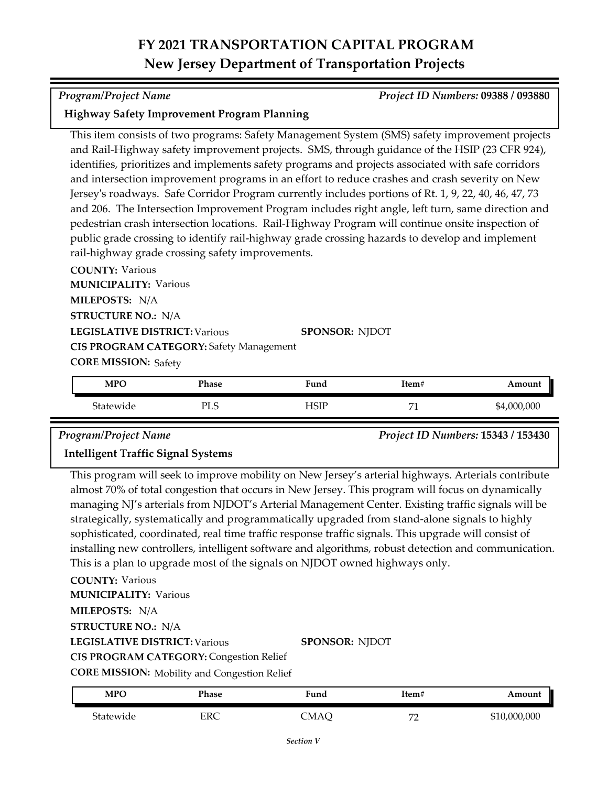### *Program/Project Name Project ID Numbers:* **09388 / 093880**

### **Highway Safety Improvement Program Planning**

This item consists of two programs: Safety Management System (SMS) safety improvement projects and Rail-Highway safety improvement projects. SMS, through guidance of the HSIP (23 CFR 924), identifies, prioritizes and implements safety programs and projects associated with safe corridors and intersection improvement programs in an effort to reduce crashes and crash severity on New Jersey's roadways. Safe Corridor Program currently includes portions of Rt. 1, 9, 22, 40, 46, 47, 73 and 206. The Intersection Improvement Program includes right angle, left turn, same direction and pedestrian crash intersection locations. Rail-Highway Program will continue onsite inspection of public grade crossing to identify rail-highway grade crossing hazards to develop and implement rail-highway grade crossing safety improvements.

**COUNTY:** Various **LEGISLATIVE DISTRICT:** Various **MILEPOSTS:** N/A **STRUCTURE NO.:** N/A **MUNICIPALITY: Various CORE MISSION: Safety SPONSOR:** NJDOT **CIS PROGRAM CATEGORY:** Safety Management

| <b>MPO</b> | Phase | $\mathbf{r}$<br>Fund | Item#    | Amount      |
|------------|-------|----------------------|----------|-------------|
| Statewide  | PLS   | HSIF                 | H1<br>л. | \$4,000,000 |

*Program/Project Name Project ID Numbers:* **15343 / 153430**

### **Intelligent Traffic Signal Systems**

This program will seek to improve mobility on New Jersey's arterial highways. Arterials contribute almost 70% of total congestion that occurs in New Jersey. This program will focus on dynamically managing NJ's arterials from NJDOT's Arterial Management Center. Existing traffic signals will be strategically, systematically and programmatically upgraded from stand-alone signals to highly sophisticated, coordinated, real time traffic response traffic signals. This upgrade will consist of installing new controllers, intelligent software and algorithms, robust detection and communication. This is a plan to upgrade most of the signals on NJDOT owned highways only.

**COUNTY:** Various **LEGISLATIVE DISTRICT:** Various **MILEPOSTS:** N/A **STRUCTURE NO.:** N/A **MUNICIPALITY: Various CIS PROGRAM CATEGORY:** Congestion Relief

**SPONSOR:** NJDOT

**CORE MISSION:** Mobility and Congestion Relief

| MPO       | Phase | <b>Fund</b> | ltem#                     | Amount       |
|-----------|-------|-------------|---------------------------|--------------|
| Statewide | ERC   | CMAQ        | $H^{\prime}$<br><b>__</b> | \$10,000,000 |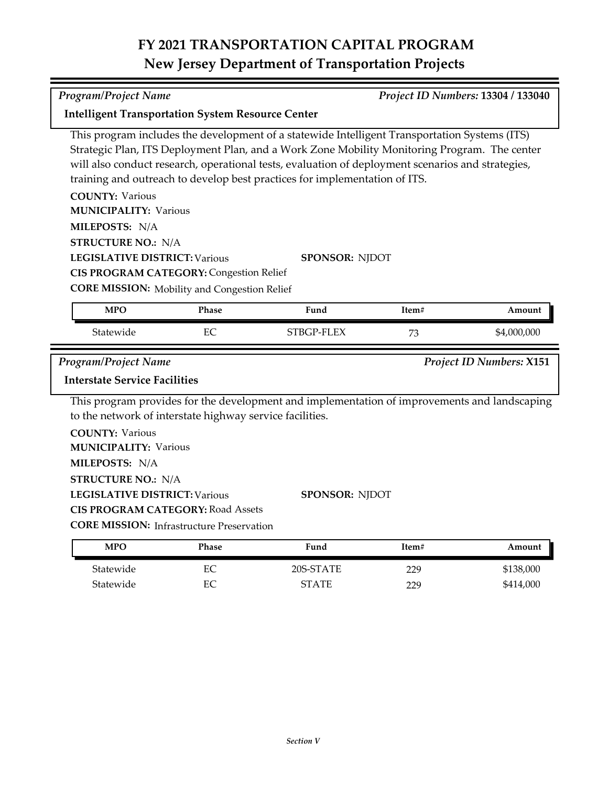*Program/Project Name Project ID Numbers:* **13304 / 133040**

| This program includes the development of a statewide Intelligent Transportation Systems (ITS)<br>Strategic Plan, ITS Deployment Plan, and a Work Zone Mobility Monitoring Program. The center<br>will also conduct research, operational tests, evaluation of deployment scenarios and strategies,<br>training and outreach to develop best practices for implementation of ITS.<br><b>COUNTY: Various</b><br><b>MUNICIPALITY: Various</b><br>MILEPOSTS: N/A<br><b>STRUCTURE NO.: N/A</b><br><b>LEGISLATIVE DISTRICT: Various</b><br><b>SPONSOR: NJDOT</b><br><b>CIS PROGRAM CATEGORY: Congestion Relief</b><br><b>CORE MISSION:</b> Mobility and Congestion Relief<br>Phase<br><b>MPO</b><br>Fund<br>Item#<br>Amount<br>EC<br>STBGP-FLEX<br>Statewide<br>\$4,000,000<br>73<br><b>Program/Project Name</b><br>Project ID Numbers: X151<br><b>Interstate Service Facilities</b><br>This program provides for the development and implementation of improvements and landscaping<br>to the network of interstate highway service facilities.<br><b>COUNTY: Various</b><br><b>MUNICIPALITY: Various</b><br>MILEPOSTS: N/A<br><b>STRUCTURE NO.: N/A</b><br><b>LEGISLATIVE DISTRICT: Various</b><br><b>SPONSOR: NJDOT</b><br><b>CIS PROGRAM CATEGORY: Road Assets</b><br><b>CORE MISSION:</b> Infrastructure Preservation<br><b>MPO</b><br>Fund<br><b>Phase</b><br>Item#<br>Amount<br>Statewide<br>EC<br>20S-STATE<br>\$138,000<br>229<br>Statewide<br>EC<br><b>STATE</b><br>\$414,000<br>229 | <b>Intelligent Transportation System Resource Center</b> |  |  |
|------------------------------------------------------------------------------------------------------------------------------------------------------------------------------------------------------------------------------------------------------------------------------------------------------------------------------------------------------------------------------------------------------------------------------------------------------------------------------------------------------------------------------------------------------------------------------------------------------------------------------------------------------------------------------------------------------------------------------------------------------------------------------------------------------------------------------------------------------------------------------------------------------------------------------------------------------------------------------------------------------------------------------------------------------------------------------------------------------------------------------------------------------------------------------------------------------------------------------------------------------------------------------------------------------------------------------------------------------------------------------------------------------------------------------------------------------------------------------------------|----------------------------------------------------------|--|--|
|                                                                                                                                                                                                                                                                                                                                                                                                                                                                                                                                                                                                                                                                                                                                                                                                                                                                                                                                                                                                                                                                                                                                                                                                                                                                                                                                                                                                                                                                                          |                                                          |  |  |
|                                                                                                                                                                                                                                                                                                                                                                                                                                                                                                                                                                                                                                                                                                                                                                                                                                                                                                                                                                                                                                                                                                                                                                                                                                                                                                                                                                                                                                                                                          |                                                          |  |  |
|                                                                                                                                                                                                                                                                                                                                                                                                                                                                                                                                                                                                                                                                                                                                                                                                                                                                                                                                                                                                                                                                                                                                                                                                                                                                                                                                                                                                                                                                                          |                                                          |  |  |
|                                                                                                                                                                                                                                                                                                                                                                                                                                                                                                                                                                                                                                                                                                                                                                                                                                                                                                                                                                                                                                                                                                                                                                                                                                                                                                                                                                                                                                                                                          |                                                          |  |  |
|                                                                                                                                                                                                                                                                                                                                                                                                                                                                                                                                                                                                                                                                                                                                                                                                                                                                                                                                                                                                                                                                                                                                                                                                                                                                                                                                                                                                                                                                                          |                                                          |  |  |
|                                                                                                                                                                                                                                                                                                                                                                                                                                                                                                                                                                                                                                                                                                                                                                                                                                                                                                                                                                                                                                                                                                                                                                                                                                                                                                                                                                                                                                                                                          |                                                          |  |  |
|                                                                                                                                                                                                                                                                                                                                                                                                                                                                                                                                                                                                                                                                                                                                                                                                                                                                                                                                                                                                                                                                                                                                                                                                                                                                                                                                                                                                                                                                                          |                                                          |  |  |
|                                                                                                                                                                                                                                                                                                                                                                                                                                                                                                                                                                                                                                                                                                                                                                                                                                                                                                                                                                                                                                                                                                                                                                                                                                                                                                                                                                                                                                                                                          |                                                          |  |  |
|                                                                                                                                                                                                                                                                                                                                                                                                                                                                                                                                                                                                                                                                                                                                                                                                                                                                                                                                                                                                                                                                                                                                                                                                                                                                                                                                                                                                                                                                                          |                                                          |  |  |
|                                                                                                                                                                                                                                                                                                                                                                                                                                                                                                                                                                                                                                                                                                                                                                                                                                                                                                                                                                                                                                                                                                                                                                                                                                                                                                                                                                                                                                                                                          |                                                          |  |  |
|                                                                                                                                                                                                                                                                                                                                                                                                                                                                                                                                                                                                                                                                                                                                                                                                                                                                                                                                                                                                                                                                                                                                                                                                                                                                                                                                                                                                                                                                                          |                                                          |  |  |
|                                                                                                                                                                                                                                                                                                                                                                                                                                                                                                                                                                                                                                                                                                                                                                                                                                                                                                                                                                                                                                                                                                                                                                                                                                                                                                                                                                                                                                                                                          |                                                          |  |  |
|                                                                                                                                                                                                                                                                                                                                                                                                                                                                                                                                                                                                                                                                                                                                                                                                                                                                                                                                                                                                                                                                                                                                                                                                                                                                                                                                                                                                                                                                                          |                                                          |  |  |
|                                                                                                                                                                                                                                                                                                                                                                                                                                                                                                                                                                                                                                                                                                                                                                                                                                                                                                                                                                                                                                                                                                                                                                                                                                                                                                                                                                                                                                                                                          |                                                          |  |  |
|                                                                                                                                                                                                                                                                                                                                                                                                                                                                                                                                                                                                                                                                                                                                                                                                                                                                                                                                                                                                                                                                                                                                                                                                                                                                                                                                                                                                                                                                                          |                                                          |  |  |
|                                                                                                                                                                                                                                                                                                                                                                                                                                                                                                                                                                                                                                                                                                                                                                                                                                                                                                                                                                                                                                                                                                                                                                                                                                                                                                                                                                                                                                                                                          |                                                          |  |  |
|                                                                                                                                                                                                                                                                                                                                                                                                                                                                                                                                                                                                                                                                                                                                                                                                                                                                                                                                                                                                                                                                                                                                                                                                                                                                                                                                                                                                                                                                                          |                                                          |  |  |
|                                                                                                                                                                                                                                                                                                                                                                                                                                                                                                                                                                                                                                                                                                                                                                                                                                                                                                                                                                                                                                                                                                                                                                                                                                                                                                                                                                                                                                                                                          |                                                          |  |  |
|                                                                                                                                                                                                                                                                                                                                                                                                                                                                                                                                                                                                                                                                                                                                                                                                                                                                                                                                                                                                                                                                                                                                                                                                                                                                                                                                                                                                                                                                                          |                                                          |  |  |
|                                                                                                                                                                                                                                                                                                                                                                                                                                                                                                                                                                                                                                                                                                                                                                                                                                                                                                                                                                                                                                                                                                                                                                                                                                                                                                                                                                                                                                                                                          |                                                          |  |  |
|                                                                                                                                                                                                                                                                                                                                                                                                                                                                                                                                                                                                                                                                                                                                                                                                                                                                                                                                                                                                                                                                                                                                                                                                                                                                                                                                                                                                                                                                                          |                                                          |  |  |
|                                                                                                                                                                                                                                                                                                                                                                                                                                                                                                                                                                                                                                                                                                                                                                                                                                                                                                                                                                                                                                                                                                                                                                                                                                                                                                                                                                                                                                                                                          |                                                          |  |  |
|                                                                                                                                                                                                                                                                                                                                                                                                                                                                                                                                                                                                                                                                                                                                                                                                                                                                                                                                                                                                                                                                                                                                                                                                                                                                                                                                                                                                                                                                                          |                                                          |  |  |
|                                                                                                                                                                                                                                                                                                                                                                                                                                                                                                                                                                                                                                                                                                                                                                                                                                                                                                                                                                                                                                                                                                                                                                                                                                                                                                                                                                                                                                                                                          |                                                          |  |  |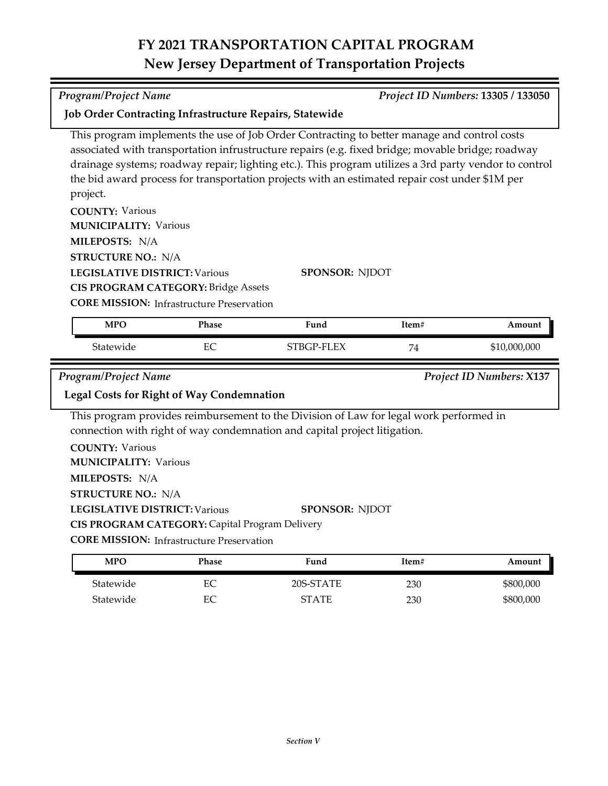| <b>Program/Project Name</b><br>Project ID Numbers: 13305 / 133050                                                                                                                                                                                          |          |                                                                                                                                                                                                                                                                                                                                                                                                             |       |                                 |  |
|------------------------------------------------------------------------------------------------------------------------------------------------------------------------------------------------------------------------------------------------------------|----------|-------------------------------------------------------------------------------------------------------------------------------------------------------------------------------------------------------------------------------------------------------------------------------------------------------------------------------------------------------------------------------------------------------------|-------|---------------------------------|--|
| <b>Job Order Contracting Infrastructure Repairs, Statewide</b>                                                                                                                                                                                             |          |                                                                                                                                                                                                                                                                                                                                                                                                             |       |                                 |  |
| project.                                                                                                                                                                                                                                                   |          | This program implements the use of Job Order Contracting to better manage and control costs<br>associated with transportation infrustructure repairs (e.g. fixed bridge; movable bridge; roadway<br>drainage systems; roadway repair; lighting etc.). This program utilizes a 3rd party vendor to control<br>the bid award process for transportation projects with an estimated repair cost under \$1M per |       |                                 |  |
| <b>COUNTY: Various</b><br><b>MUNICIPALITY: Various</b><br>MILEPOSTS: N/A                                                                                                                                                                                   |          |                                                                                                                                                                                                                                                                                                                                                                                                             |       |                                 |  |
| <b>STRUCTURE NO.: N/A</b>                                                                                                                                                                                                                                  |          |                                                                                                                                                                                                                                                                                                                                                                                                             |       |                                 |  |
| <b>LEGISLATIVE DISTRICT: Various</b><br><b>SPONSOR: NJDOT</b><br><b>CIS PROGRAM CATEGORY: Bridge Assets</b><br><b>CORE MISSION:</b> Infrastructure Preservation                                                                                            |          |                                                                                                                                                                                                                                                                                                                                                                                                             |       |                                 |  |
| <b>MPO</b>                                                                                                                                                                                                                                                 | Phase    | Fund                                                                                                                                                                                                                                                                                                                                                                                                        | Item# | Amount                          |  |
| Statewide                                                                                                                                                                                                                                                  | EC       | STBGP-FLEX                                                                                                                                                                                                                                                                                                                                                                                                  | 74    | \$10,000,000                    |  |
| <b>Program/Project Name</b>                                                                                                                                                                                                                                |          |                                                                                                                                                                                                                                                                                                                                                                                                             |       | <b>Project ID Numbers: X137</b> |  |
| <b>Legal Costs for Right of Way Condemnation</b>                                                                                                                                                                                                           |          |                                                                                                                                                                                                                                                                                                                                                                                                             |       |                                 |  |
| <b>COUNTY: Various</b><br><b>MUNICIPALITY: Various</b><br>MILEPOSTS: N/A<br><b>STRUCTURE NO.: N/A</b><br><b>LEGISLATIVE DISTRICT: Various</b><br><b>CIS PROGRAM CATEGORY: Capital Program Delivery</b><br><b>CORE MISSION:</b> Infrastructure Preservation |          | This program provides reimbursement to the Division of Law for legal work performed in<br>connection with right of way condemnation and capital project litigation.<br><b>SPONSOR: NJDOT</b>                                                                                                                                                                                                                |       |                                 |  |
| <b>MPO</b>                                                                                                                                                                                                                                                 | Phase    | Fund                                                                                                                                                                                                                                                                                                                                                                                                        | Item# | Amount                          |  |
| Statewide                                                                                                                                                                                                                                                  | EC       | 20S-STATE                                                                                                                                                                                                                                                                                                                                                                                                   | 230   | \$800,000                       |  |
| Statewide                                                                                                                                                                                                                                                  | $\rm EC$ | <b>STATE</b>                                                                                                                                                                                                                                                                                                                                                                                                | 230   | \$800,000                       |  |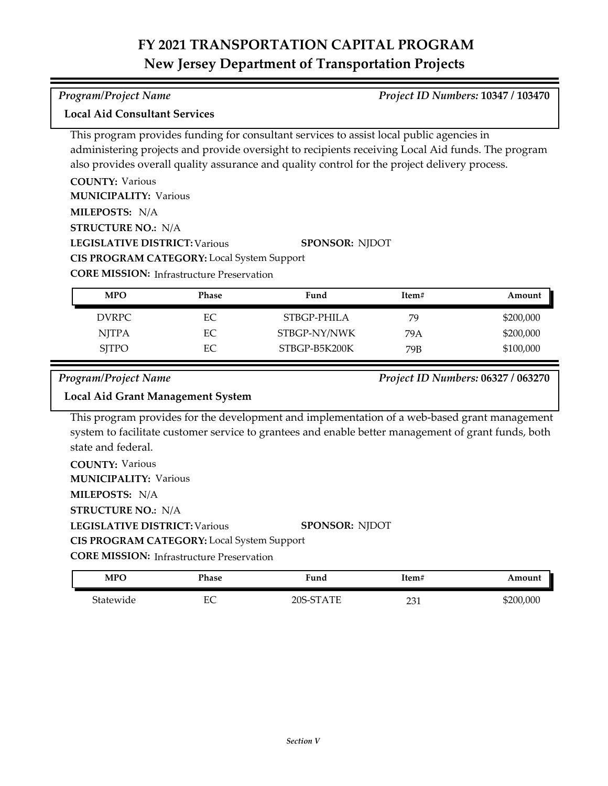### *Program/Project Name Project ID Numbers:* **10347 / 103470**

**Local Aid Consultant Services**

This program provides funding for consultant services to assist local public agencies in administering projects and provide oversight to recipients receiving Local Aid funds. The program also provides overall quality assurance and quality control for the project delivery process.

| <b>COUNTY: Various</b>                            |                       |
|---------------------------------------------------|-----------------------|
| <b>MUNICIPALITY: Various</b>                      |                       |
| <b>MILEPOSTS: N/A</b>                             |                       |
| <b>STRUCTURE NO.: N/A</b>                         |                       |
| <b>LEGISLATIVE DISTRICT: Various</b>              | <b>SPONSOR: NIDOT</b> |
| <b>CIS PROGRAM CATEGORY:</b> Local System Support |                       |
| <b>CORE MISSION:</b> Infrastructure Preservation  |                       |

| <b>MPO</b>   | Phase | Fund          | Item# | Amount    |
|--------------|-------|---------------|-------|-----------|
| DVRPC        | EС    | STBGP-PHILA   | 79    | \$200,000 |
| <b>NITPA</b> | EС    | STBGP-NY/NWK  | 79 A  | \$200,000 |
| <b>SITPO</b> | EС    | STBGP-B5K200K | 79B   | \$100,000 |

*Program/Project Name Project ID Numbers:* **06327 / 063270**

### **Local Aid Grant Management System**

This program provides for the development and implementation of a web-based grant management system to facilitate customer service to grantees and enable better management of grant funds, both state and federal.

**COUNTY:** Various **LEGISLATIVE DISTRICT:** Various **MILEPOSTS:** N/A **STRUCTURE NO.:** N/A **MUNICIPALITY: Various CORE MISSION: Infrastructure Preservation SPONSOR:** NJDOT **CIS PROGRAM CATEGORY:** Local System Support

| MPO       | Phase   | Fund      | Item#     | Amount    |
|-----------|---------|-----------|-----------|-----------|
| Statewide | FС<br>Ľ | 20S-STATE | 221<br>∠∪ | \$200,000 |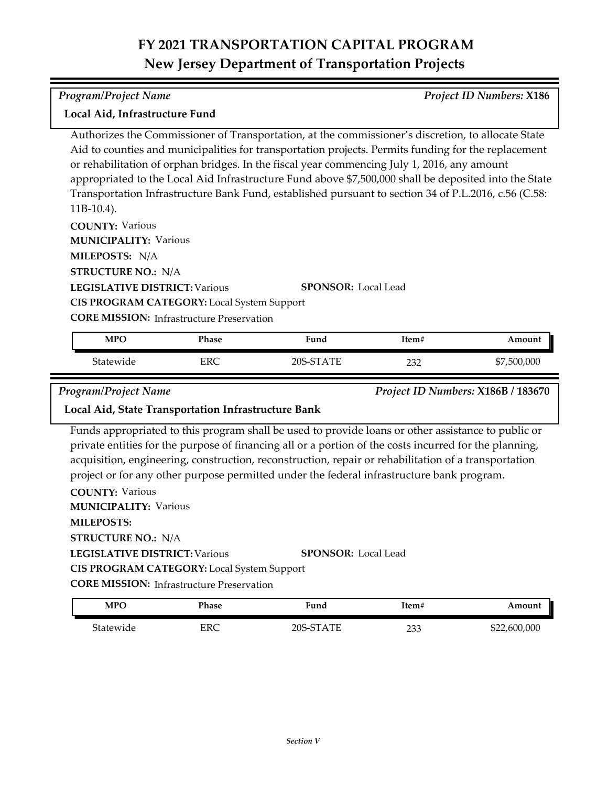| <b>Program/Project Name</b>                                                                                                                                                                                                                                                                                                                                                                                                                                                                                                                                                                                                                                                                                                                                                    |                                                  |           |       | <b>Project ID Numbers: X186</b> |  |
|--------------------------------------------------------------------------------------------------------------------------------------------------------------------------------------------------------------------------------------------------------------------------------------------------------------------------------------------------------------------------------------------------------------------------------------------------------------------------------------------------------------------------------------------------------------------------------------------------------------------------------------------------------------------------------------------------------------------------------------------------------------------------------|--------------------------------------------------|-----------|-------|---------------------------------|--|
| Local Aid, Infrastructure Fund                                                                                                                                                                                                                                                                                                                                                                                                                                                                                                                                                                                                                                                                                                                                                 |                                                  |           |       |                                 |  |
| Authorizes the Commissioner of Transportation, at the commissioner's discretion, to allocate State<br>Aid to counties and municipalities for transportation projects. Permits funding for the replacement<br>or rehabilitation of orphan bridges. In the fiscal year commencing July 1, 2016, any amount<br>appropriated to the Local Aid Infrastructure Fund above \$7,500,000 shall be deposited into the State<br>Transportation Infrastructure Bank Fund, established pursuant to section 34 of P.L.2016, c.56 (C.58:<br>$11B-10.4$ ).<br><b>COUNTY: Various</b><br><b>MUNICIPALITY: Various</b><br>MILEPOSTS: N/A<br><b>STRUCTURE NO.: N/A</b><br><b>LEGISLATIVE DISTRICT: Various</b><br><b>SPONSOR: Local Lead</b><br><b>CIS PROGRAM CATEGORY:</b> Local System Support |                                                  |           |       |                                 |  |
|                                                                                                                                                                                                                                                                                                                                                                                                                                                                                                                                                                                                                                                                                                                                                                                | <b>CORE MISSION:</b> Infrastructure Preservation |           |       |                                 |  |
| <b>MPO</b>                                                                                                                                                                                                                                                                                                                                                                                                                                                                                                                                                                                                                                                                                                                                                                     | Phase                                            | Fund      | Item# | Amount                          |  |
| Statewide                                                                                                                                                                                                                                                                                                                                                                                                                                                                                                                                                                                                                                                                                                                                                                      | <b>ERC</b>                                       | 20S-STATE | 232   | \$7,500,000                     |  |
| <b>Program/Project Name</b><br>Project ID Numbers: X186B / 183670<br>Local Aid, State Transportation Infrastructure Bank                                                                                                                                                                                                                                                                                                                                                                                                                                                                                                                                                                                                                                                       |                                                  |           |       |                                 |  |
| Funds appropriated to this program shall be used to provide loans or other assistance to public or<br>private entities for the purpose of financing all or a portion of the costs incurred for the planning,<br>acquisition, engineering, construction, reconstruction, repair or rehabilitation of a transportation<br>project or for any other purpose permitted under the federal infrastructure bank program.<br><b>COUNTY: Various</b>                                                                                                                                                                                                                                                                                                                                    |                                                  |           |       |                                 |  |

**LEGISLATIVE DISTRICT:** Various **MILEPOSTS: STRUCTURE NO.:** N/A **MUNICIPALITY: Various CORE MISSION:** Infrastructure Preservation **SPONSOR:** Local Lead **CIS PROGRAM CATEGORY:** Local System Support

| MPO       | Phase | Fund      | Item#      | Amount       |
|-----------|-------|-----------|------------|--------------|
| Statewide | ERC   | 20S-STATE | ר ר<br>233 | \$22,600,000 |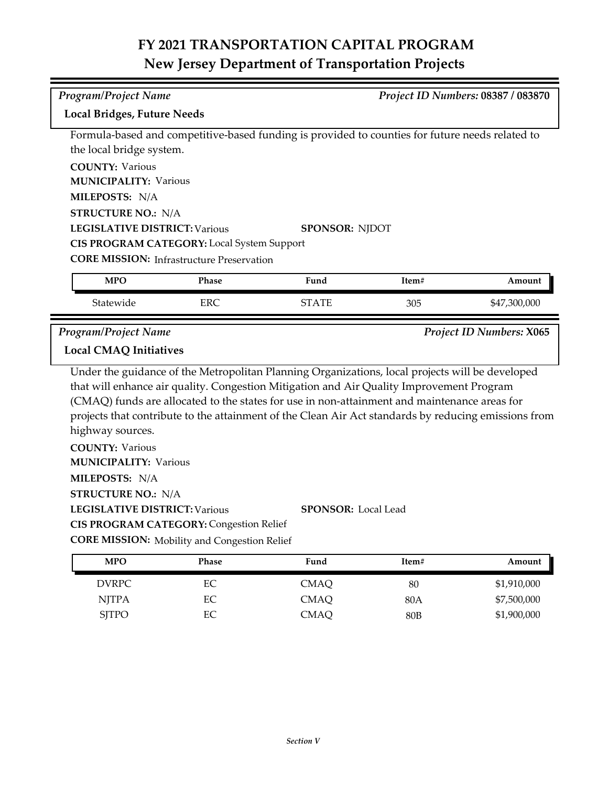| <b>Program/Project Name</b>          |                                                                                                       |                                                                                                      |       | Project ID Numbers: 08387 / 083870 |
|--------------------------------------|-------------------------------------------------------------------------------------------------------|------------------------------------------------------------------------------------------------------|-------|------------------------------------|
| <b>Local Bridges, Future Needs</b>   |                                                                                                       |                                                                                                      |       |                                    |
|                                      |                                                                                                       |                                                                                                      |       |                                    |
| the local bridge system.             |                                                                                                       | Formula-based and competitive-based funding is provided to counties for future needs related to      |       |                                    |
| <b>COUNTY: Various</b>               |                                                                                                       |                                                                                                      |       |                                    |
| <b>MUNICIPALITY: Various</b>         |                                                                                                       |                                                                                                      |       |                                    |
| MILEPOSTS: N/A                       |                                                                                                       |                                                                                                      |       |                                    |
| <b>STRUCTURE NO.: N/A</b>            |                                                                                                       |                                                                                                      |       |                                    |
| <b>LEGISLATIVE DISTRICT: Various</b> |                                                                                                       | <b>SPONSOR: NJDOT</b>                                                                                |       |                                    |
|                                      | CIS PROGRAM CATEGORY: Local System Support                                                            |                                                                                                      |       |                                    |
|                                      | <b>CORE MISSION: Infrastructure Preservation</b>                                                      |                                                                                                      |       |                                    |
| <b>MPO</b>                           | Phase                                                                                                 | Fund                                                                                                 | Item# | Amount                             |
| Statewide                            | <b>ERC</b>                                                                                            | <b>STATE</b>                                                                                         | 305   | \$47,300,000                       |
| <b>Program/Project Name</b>          |                                                                                                       |                                                                                                      |       | Project ID Numbers: X065           |
| <b>Local CMAQ Initiatives</b>        |                                                                                                       |                                                                                                      |       |                                    |
|                                      |                                                                                                       | Under the guidance of the Metropolitan Planning Organizations, local projects will be developed      |       |                                    |
|                                      |                                                                                                       |                                                                                                      |       |                                    |
|                                      |                                                                                                       | that will enhance air quality. Congestion Mitigation and Air Quality Improvement Program             |       |                                    |
|                                      |                                                                                                       | (CMAQ) funds are allocated to the states for use in non-attainment and maintenance areas for         |       |                                    |
|                                      |                                                                                                       | projects that contribute to the attainment of the Clean Air Act standards by reducing emissions from |       |                                    |
| highway sources.                     |                                                                                                       |                                                                                                      |       |                                    |
| <b>COUNTY: Various</b>               |                                                                                                       |                                                                                                      |       |                                    |
| <b>MUNICIPALITY: Various</b>         |                                                                                                       |                                                                                                      |       |                                    |
| MILEPOSTS: N/A                       |                                                                                                       |                                                                                                      |       |                                    |
| <b>STRUCTURE NO.: N/A</b>            |                                                                                                       |                                                                                                      |       |                                    |
| <b>LEGISLATIVE DISTRICT: Various</b> |                                                                                                       | <b>SPONSOR: Local Lead</b>                                                                           |       |                                    |
|                                      | <b>CIS PROGRAM CATEGORY: Congestion Relief</b><br><b>CORE MISSION:</b> Mobility and Congestion Relief |                                                                                                      |       |                                    |
| <b>MPO</b>                           | Phase                                                                                                 | Fund                                                                                                 | Item# | Amount                             |
| <b>DVRPC</b>                         | EC                                                                                                    | <b>CMAQ</b>                                                                                          | 80    | \$1,910,000                        |

SJTPO EC CMAQ 80B \$1,900,000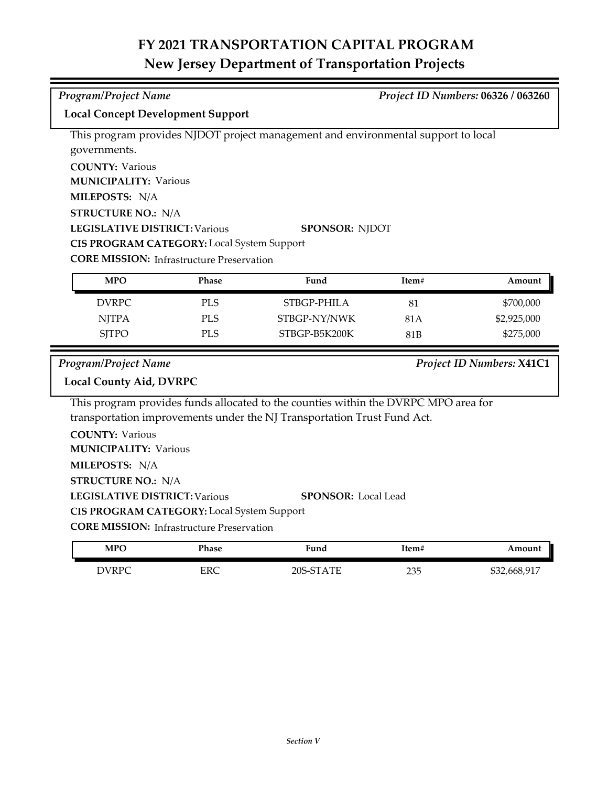*Program/Project Name Project ID Numbers:* **06326 / 063260**

This program provides NJDOT project management and environmental support to local

**Local Concept Development Support**

| governments.                                      |            |                                                                                     |       |                           |
|---------------------------------------------------|------------|-------------------------------------------------------------------------------------|-------|---------------------------|
| <b>COUNTY: Various</b>                            |            |                                                                                     |       |                           |
| <b>MUNICIPALITY: Various</b>                      |            |                                                                                     |       |                           |
| MILEPOSTS: N/A                                    |            |                                                                                     |       |                           |
| <b>STRUCTURE NO.: N/A</b>                         |            |                                                                                     |       |                           |
| <b>LEGISLATIVE DISTRICT: Various</b>              |            | <b>SPONSOR: NJDOT</b>                                                               |       |                           |
| CIS PROGRAM CATEGORY: Local System Support        |            |                                                                                     |       |                           |
| <b>CORE MISSION:</b> Infrastructure Preservation  |            |                                                                                     |       |                           |
| <b>MPO</b>                                        | Phase      | Fund                                                                                | Item# | Amount                    |
| <b>DVRPC</b>                                      | <b>PLS</b> | STBGP-PHILA                                                                         | 81    | \$700,000                 |
| <b>NJTPA</b>                                      | <b>PLS</b> | STBGP-NY/NWK                                                                        | 81A   | \$2,925,000               |
| <b>SJTPO</b>                                      | <b>PLS</b> | STBGP-B5K200K                                                                       | 81B   | \$275,000                 |
|                                                   |            |                                                                                     |       |                           |
| <b>Program/Project Name</b>                       |            |                                                                                     |       | Project ID Numbers: X41C1 |
| <b>Local County Aid, DVRPC</b>                    |            |                                                                                     |       |                           |
|                                                   |            | This program provides funds allocated to the counties within the DVRPC MPO area for |       |                           |
|                                                   |            | transportation improvements under the NJ Transportation Trust Fund Act.             |       |                           |
| <b>COUNTY: Various</b>                            |            |                                                                                     |       |                           |
| <b>MUNICIPALITY: Various</b>                      |            |                                                                                     |       |                           |
| MILEPOSTS: N/A                                    |            |                                                                                     |       |                           |
| <b>STRUCTURE NO.: N/A</b>                         |            |                                                                                     |       |                           |
| <b>LEGISLATIVE DISTRICT: Various</b>              |            | <b>SPONSOR:</b> Local Lead                                                          |       |                           |
| <b>CIS PROGRAM CATEGORY:</b> Local System Support |            |                                                                                     |       |                           |
| <b>CORE MISSION:</b> Infrastructure Preservation  |            |                                                                                     |       |                           |

| <b>MPO</b> | Phase | Fund               | Item# | Amount       |
|------------|-------|--------------------|-------|--------------|
| DVRPC      | ERC   | $20S-ST$<br>' A TF | 235   | \$32,668,917 |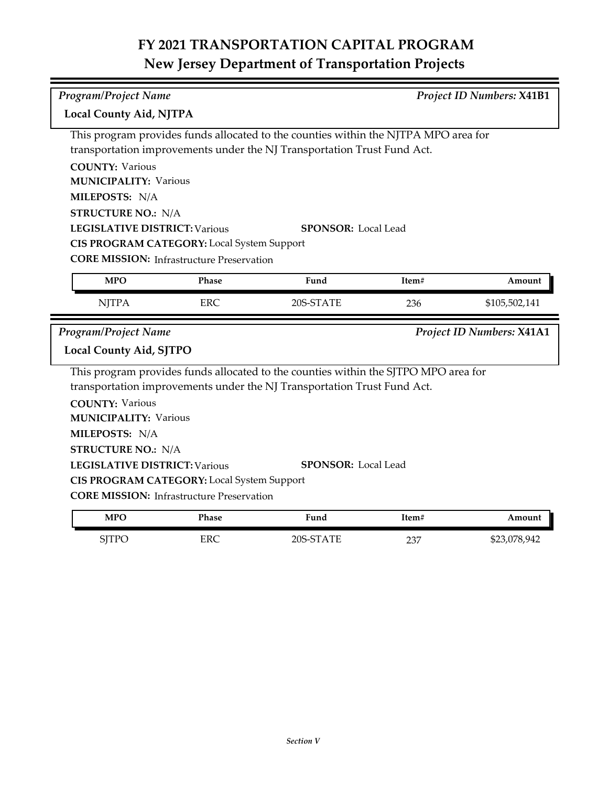| Program/Project Name                 |                                                   |                                                                                                                                                                |       | <b>Project ID Numbers: X41B1</b> |
|--------------------------------------|---------------------------------------------------|----------------------------------------------------------------------------------------------------------------------------------------------------------------|-------|----------------------------------|
| <b>Local County Aid, NJTPA</b>       |                                                   |                                                                                                                                                                |       |                                  |
|                                      |                                                   | This program provides funds allocated to the counties within the NJTPA MPO area for<br>transportation improvements under the NJ Transportation Trust Fund Act. |       |                                  |
| <b>COUNTY: Various</b>               |                                                   |                                                                                                                                                                |       |                                  |
| <b>MUNICIPALITY: Various</b>         |                                                   |                                                                                                                                                                |       |                                  |
| MILEPOSTS: N/A                       |                                                   |                                                                                                                                                                |       |                                  |
| <b>STRUCTURE NO.: N/A</b>            |                                                   |                                                                                                                                                                |       |                                  |
| <b>LEGISLATIVE DISTRICT: Various</b> |                                                   | <b>SPONSOR: Local Lead</b>                                                                                                                                     |       |                                  |
|                                      | CIS PROGRAM CATEGORY: Local System Support        |                                                                                                                                                                |       |                                  |
|                                      | <b>CORE MISSION:</b> Infrastructure Preservation  |                                                                                                                                                                |       |                                  |
| <b>MPO</b>                           | Phase                                             | Fund                                                                                                                                                           | Item# | Amount                           |
| <b>NJTPA</b>                         | <b>ERC</b>                                        | 20S-STATE                                                                                                                                                      | 236   | \$105,502,141                    |
|                                      |                                                   |                                                                                                                                                                |       |                                  |
| <b>Program/Project Name</b>          |                                                   |                                                                                                                                                                |       |                                  |
| Local County Aid, SJTPO              |                                                   |                                                                                                                                                                |       | Project ID Numbers: X41A1        |
|                                      |                                                   | This program provides funds allocated to the counties within the SJTPO MPO area for                                                                            |       |                                  |
|                                      |                                                   | transportation improvements under the NJ Transportation Trust Fund Act.                                                                                        |       |                                  |
| <b>COUNTY: Various</b>               |                                                   |                                                                                                                                                                |       |                                  |
| <b>MUNICIPALITY: Various</b>         |                                                   |                                                                                                                                                                |       |                                  |
| MILEPOSTS: N/A                       |                                                   |                                                                                                                                                                |       |                                  |
| <b>STRUCTURE NO.: N/A</b>            |                                                   |                                                                                                                                                                |       |                                  |
| <b>LEGISLATIVE DISTRICT: Various</b> |                                                   | <b>SPONSOR: Local Lead</b>                                                                                                                                     |       |                                  |
|                                      | <b>CIS PROGRAM CATEGORY:</b> Local System Support |                                                                                                                                                                |       |                                  |
|                                      | <b>CORE MISSION:</b> Infrastructure Preservation  |                                                                                                                                                                |       |                                  |
| <b>MPO</b>                           | Phase                                             | Fund                                                                                                                                                           | Item# | Amount                           |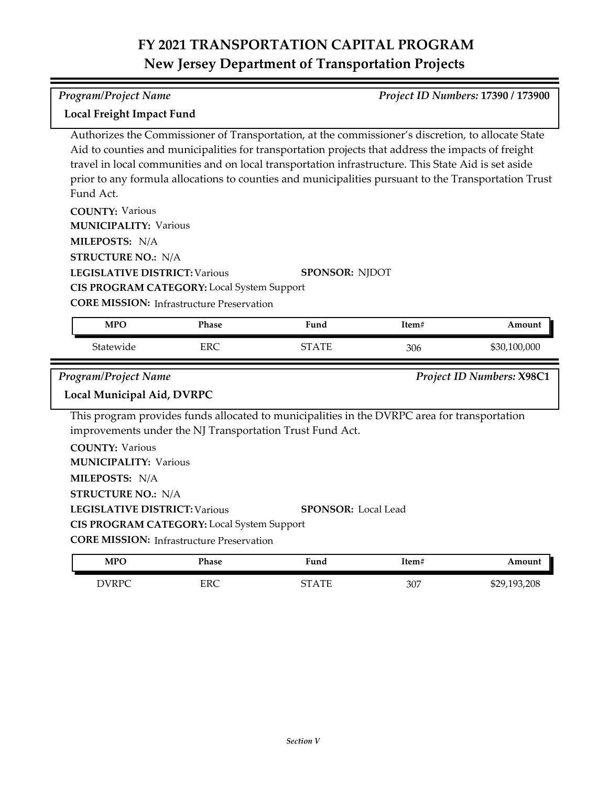*Program/Project Name Project ID Numbers:* **17390 / 173900**

**COUNTY:** Various **LEGISLATIVE DISTRICT:** Various **MILEPOSTS:** N/A **STRUCTURE NO.:** N/A **COUNTY:** Various **LEGISLATIVE DISTRICT:** Various **MILEPOSTS:** N/A **STRUCTURE NO.:** N/A **MUNICIPALITY: Various CORE MISSION: Infrastructure Preservation MUNICIPALITY: Various CORE MISSION: Infrastructure Preservation** Authorizes the Commissioner of Transportation, at the commissioner's discretion, to allocate State Aid to counties and municipalities for transportation projects that address the impacts of freight travel in local communities and on local transportation infrastructure. This State Aid is set aside prior to any formula allocations to counties and municipalities pursuant to the Transportation Trust Fund Act. **SPONSOR:** NJDOT **CIS PROGRAM CATEGORY:** Local System Support This program provides funds allocated to municipalities in the DVRPC area for transportation improvements under the NJ Transportation Trust Fund Act. **SPONSOR:** Local Lead **CIS PROGRAM CATEGORY:** Local System Support **Local Freight Impact Fund** *Program/Project Name Project ID Numbers:* **X98C1 Local Municipal Aid, DVRPC** Statewide ERC ERC STATE 306 \$30,100,000 **MPO Phase Fund Item# Amount**

| <b>MPC</b> | Phase | Fund              | Item# | Amount       |
|------------|-------|-------------------|-------|--------------|
| DVRPC      | ERC   | $\Delta$ TI<br>∼− | 307   | \$29,193,208 |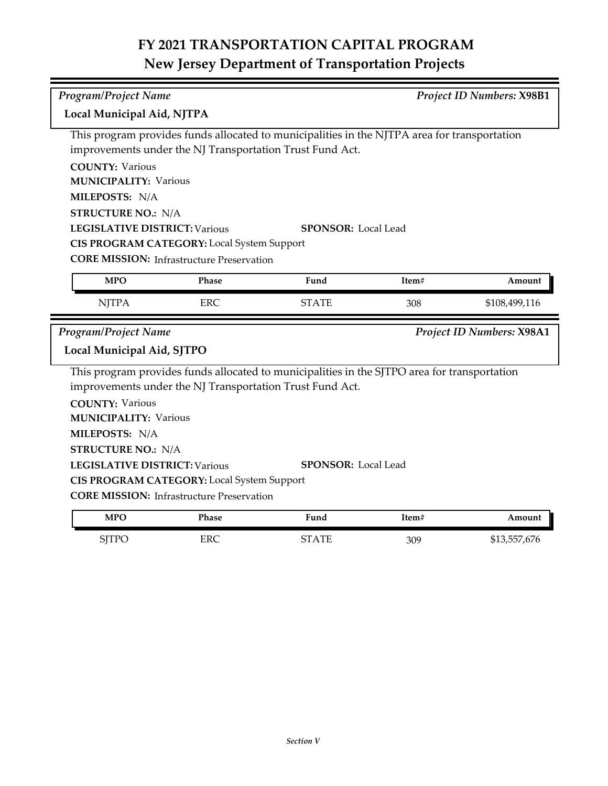| <b>Program/Project Name</b>                                        |                                                                                                                                                          |                            |       | Project ID Numbers: X98B1        |
|--------------------------------------------------------------------|----------------------------------------------------------------------------------------------------------------------------------------------------------|----------------------------|-------|----------------------------------|
| Local Municipal Aid, NJTPA                                         |                                                                                                                                                          |                            |       |                                  |
|                                                                    | This program provides funds allocated to municipalities in the NJTPA area for transportation<br>improvements under the NJ Transportation Trust Fund Act. |                            |       |                                  |
| <b>COUNTY: Various</b>                                             |                                                                                                                                                          |                            |       |                                  |
| <b>MUNICIPALITY: Various</b>                                       |                                                                                                                                                          |                            |       |                                  |
| MILEPOSTS: N/A                                                     |                                                                                                                                                          |                            |       |                                  |
| <b>STRUCTURE NO.: N/A</b>                                          |                                                                                                                                                          |                            |       |                                  |
| <b>LEGISLATIVE DISTRICT: Various</b><br><b>SPONSOR:</b> Local Lead |                                                                                                                                                          |                            |       |                                  |
|                                                                    | CIS PROGRAM CATEGORY: Local System Support                                                                                                               |                            |       |                                  |
|                                                                    | <b>CORE MISSION:</b> Infrastructure Preservation                                                                                                         |                            |       |                                  |
| <b>MPO</b>                                                         | Phase                                                                                                                                                    | Fund                       | Item# | Amount                           |
| <b>NJTPA</b>                                                       | <b>ERC</b>                                                                                                                                               | <b>STATE</b>               | 308   | \$108,499,116                    |
|                                                                    |                                                                                                                                                          |                            |       |                                  |
|                                                                    |                                                                                                                                                          |                            |       |                                  |
| <b>Program/Project Name</b><br>Local Municipal Aid, SJTPO          |                                                                                                                                                          |                            |       | <b>Project ID Numbers: X98A1</b> |
|                                                                    | This program provides funds allocated to municipalities in the SJTPO area for transportation                                                             |                            |       |                                  |
|                                                                    | improvements under the NJ Transportation Trust Fund Act.                                                                                                 |                            |       |                                  |
| <b>COUNTY: Various</b>                                             |                                                                                                                                                          |                            |       |                                  |
| <b>MUNICIPALITY: Various</b>                                       |                                                                                                                                                          |                            |       |                                  |
| MILEPOSTS: N/A                                                     |                                                                                                                                                          |                            |       |                                  |
| <b>STRUCTURE NO.: N/A</b>                                          |                                                                                                                                                          |                            |       |                                  |
| <b>LEGISLATIVE DISTRICT: Various</b>                               |                                                                                                                                                          | <b>SPONSOR: Local Lead</b> |       |                                  |
|                                                                    | <b>CIS PROGRAM CATEGORY:</b> Local System Support                                                                                                        |                            |       |                                  |
|                                                                    | <b>CORE MISSION: Infrastructure Preservation</b>                                                                                                         |                            |       |                                  |
| <b>MPO</b>                                                         | Phase                                                                                                                                                    | Fund                       | Item# | Amount                           |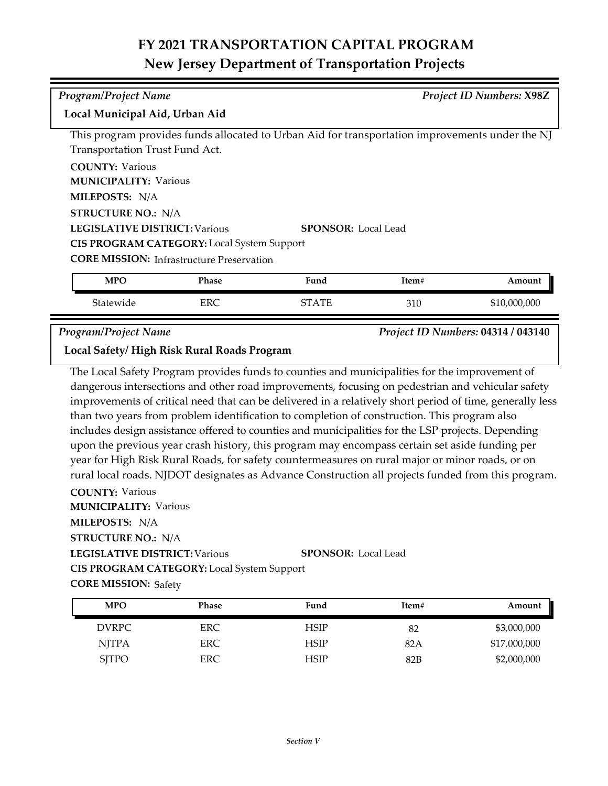| <b>Program/Project Name</b>                                        |                                                                                                       |                                                                                                  |       | <b>Project ID Numbers: X98Z</b> |
|--------------------------------------------------------------------|-------------------------------------------------------------------------------------------------------|--------------------------------------------------------------------------------------------------|-------|---------------------------------|
| Local Municipal Aid, Urban Aid                                     |                                                                                                       |                                                                                                  |       |                                 |
|                                                                    |                                                                                                       | This program provides funds allocated to Urban Aid for transportation improvements under the NJ  |       |                                 |
| Transportation Trust Fund Act.                                     |                                                                                                       |                                                                                                  |       |                                 |
| <b>COUNTY: Various</b>                                             |                                                                                                       |                                                                                                  |       |                                 |
| <b>MUNICIPALITY: Various</b>                                       |                                                                                                       |                                                                                                  |       |                                 |
| MILEPOSTS: N/A                                                     |                                                                                                       |                                                                                                  |       |                                 |
| <b>STRUCTURE NO.: N/A</b>                                          |                                                                                                       |                                                                                                  |       |                                 |
| <b>LEGISLATIVE DISTRICT: Various</b><br><b>SPONSOR: Local Lead</b> |                                                                                                       |                                                                                                  |       |                                 |
|                                                                    | CIS PROGRAM CATEGORY: Local System Support                                                            |                                                                                                  |       |                                 |
|                                                                    | <b>CORE MISSION:</b> Infrastructure Preservation                                                      |                                                                                                  |       |                                 |
| <b>MPO</b>                                                         | Phase                                                                                                 | Fund                                                                                             | Item# | Amount                          |
| Statewide                                                          | <b>ERC</b>                                                                                            | <b>STATE</b>                                                                                     | 310   | \$10,000,000                    |
| Project ID Numbers: 04314 / 043140<br><b>Program/Project Name</b>  |                                                                                                       |                                                                                                  |       |                                 |
| Local Safety/High Risk Rural Roads Program                         |                                                                                                       |                                                                                                  |       |                                 |
|                                                                    |                                                                                                       | The Local Safety Program provides funds to counties and municipalities for the improvement of    |       |                                 |
|                                                                    |                                                                                                       | dangerous intersections and other road improvements, focusing on pedestrian and vehicular safety |       |                                 |
|                                                                    | improvements of exited peed that can be delivered in a relatively short period of time, consully less |                                                                                                  |       |                                 |

improvements of critical need that can be delivered in a relatively short period of time, generally less than two years from problem identification to completion of construction. This program also includes design assistance offered to counties and municipalities for the LSP projects. Depending upon the previous year crash history, this program may encompass certain set aside funding per year for High Risk Rural Roads, for safety countermeasures on rural major or minor roads, or on rural local roads. NJDOT designates as Advance Construction all projects funded from this program.

**COUNTY:** Various **LEGISLATIVE DISTRICT:** Various **MILEPOSTS:** N/A **STRUCTURE NO.:** N/A **MUNICIPALITY: Various CORE MISSION: Safety SPONSOR:** Local Lead **CIS PROGRAM CATEGORY:** Local System Support

| <b>MPO</b>   | <b>Phase</b> | Fund        | Item#           | Amount       |
|--------------|--------------|-------------|-----------------|--------------|
| <b>DVRPC</b> | ERC          | HSIP        | 82              | \$3,000,000  |
| <b>NJTPA</b> | ERC          | <b>HSIP</b> | 82A             | \$17,000,000 |
| <b>SITPO</b> | ERC          | <b>HSIP</b> | 82 <sub>B</sub> | \$2,000,000  |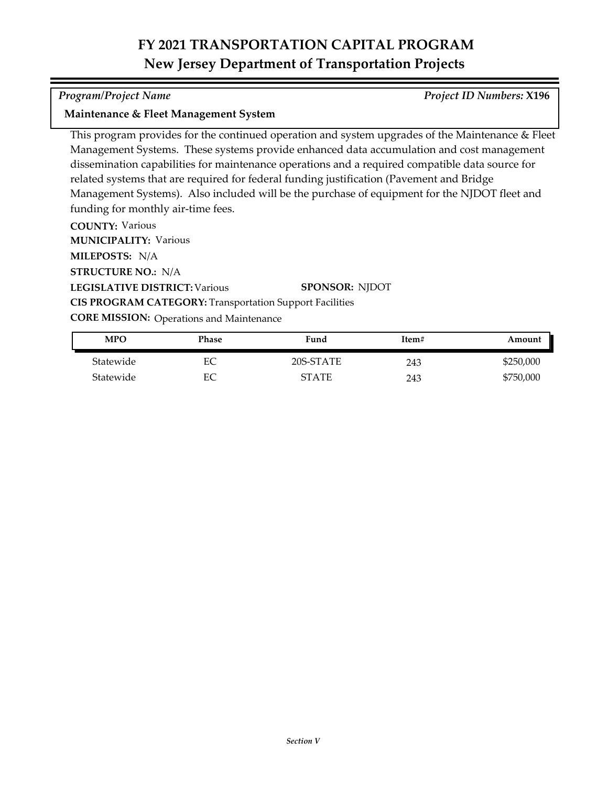*Program/Project Name Project ID Numbers:* **X196**

### **Maintenance & Fleet Management System**

This program provides for the continued operation and system upgrades of the Maintenance & Fleet Management Systems. These systems provide enhanced data accumulation and cost management dissemination capabilities for maintenance operations and a required compatible data source for related systems that are required for federal funding justification (Pavement and Bridge Management Systems). Also included will be the purchase of equipment for the NJDOT fleet and funding for monthly air-time fees.

**COUNTY:** Various

**LEGISLATIVE DISTRICT:** Various **MILEPOSTS:** N/A **STRUCTURE NO.:** N/A **MUNICIPALITY: Various SPONSOR:** NJDOT **CIS PROGRAM CATEGORY:** Transportation Support Facilities

**CORE MISSION: Operations and Maintenance** 

| MPO       | Phase | Fund         | Item# | Amount    |
|-----------|-------|--------------|-------|-----------|
| Statewide | ЕC    | 20S-STATE    | 243   | \$250,000 |
| Statewide | EС    | <b>STATE</b> | 243   | \$750,000 |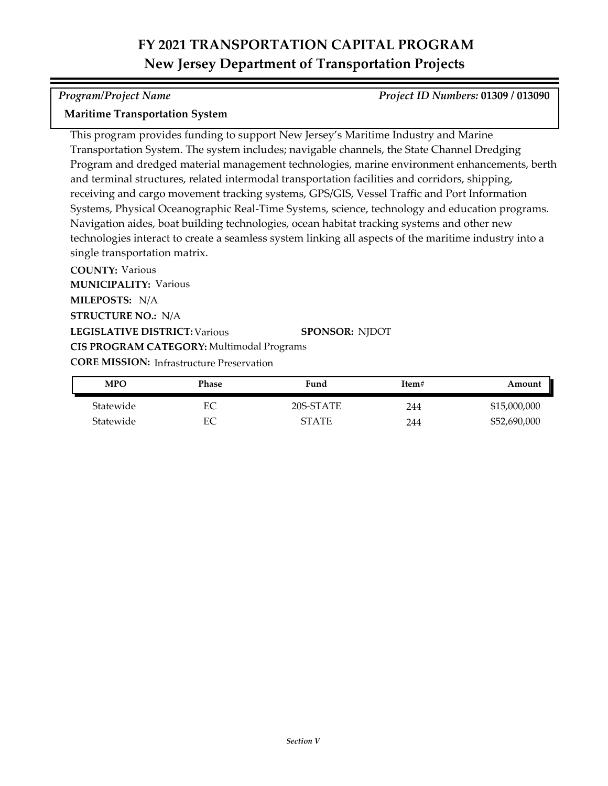### *Program/Project Name Project ID Numbers:* **01309 / 013090**

### **Maritime Transportation System**

This program provides funding to support New Jersey's Maritime Industry and Marine Transportation System. The system includes; navigable channels, the State Channel Dredging Program and dredged material management technologies, marine environment enhancements, berth and terminal structures, related intermodal transportation facilities and corridors, shipping, receiving and cargo movement tracking systems, GPS/GIS, Vessel Traffic and Port Information Systems, Physical Oceanographic Real-Time Systems, science, technology and education programs. Navigation aides, boat building technologies, ocean habitat tracking systems and other new technologies interact to create a seamless system linking all aspects of the maritime industry into a single transportation matrix.

**COUNTY:** Various **LEGISLATIVE DISTRICT:** Various **MILEPOSTS:** N/A **STRUCTURE NO.:** N/A **MUNICIPALITY: Various CORE MISSION: Infrastructure Preservation SPONSOR:** NJDOT **CIS PROGRAM CATEGORY:** Multimodal Programs

| <b>MPO</b> | Phase | Fund         | Item# | Amount       |
|------------|-------|--------------|-------|--------------|
| Statewide  | EC    | 20S-STATE    | 244   | \$15,000,000 |
| Statewide  | EС    | <b>STATE</b> | 244   | \$52,690,000 |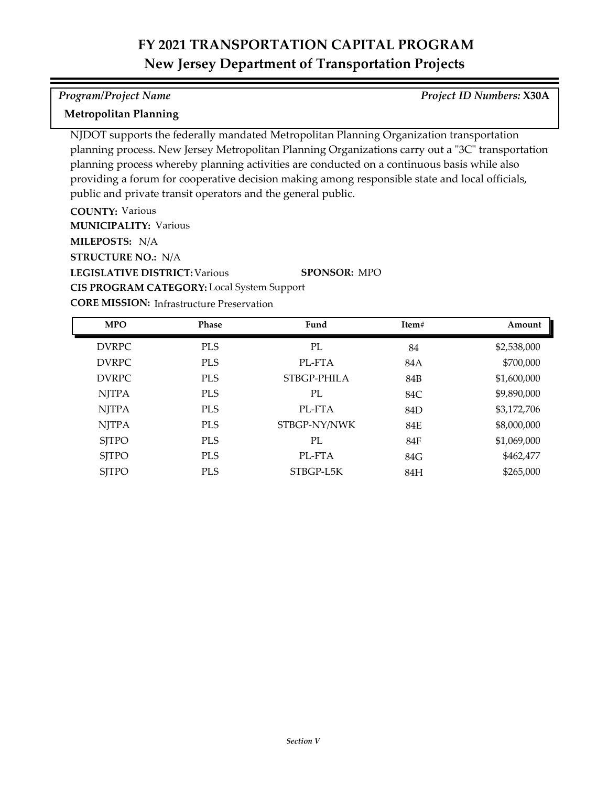### *Program/Project Name Project ID Numbers:* **X30A**

### **Metropolitan Planning**

NJDOT supports the federally mandated Metropolitan Planning Organization transportation planning process. New Jersey Metropolitan Planning Organizations carry out a "3C" transportation planning process whereby planning activities are conducted on a continuous basis while also providing a forum for cooperative decision making among responsible state and local officials, public and private transit operators and the general public.

**COUNTY:** Various **LEGISLATIVE DISTRICT:** Various **MILEPOSTS:** N/A **STRUCTURE NO.:** N/A **MUNICIPALITY: Various SPONSOR:** MPO **CIS PROGRAM CATEGORY:** Local System Support

| <b>MPO</b>   | Phase      | Fund         | Item#      | Amount      |
|--------------|------------|--------------|------------|-------------|
| <b>DVRPC</b> | <b>PLS</b> | PL           | 84         | \$2,538,000 |
| <b>DVRPC</b> | <b>PLS</b> | PL-FTA       | 84A        | \$700,000   |
| <b>DVRPC</b> | <b>PLS</b> | STBGP-PHILA  | 84B        | \$1,600,000 |
| <b>NJTPA</b> | <b>PLS</b> | PL           | 84C        | \$9,890,000 |
| <b>NJTPA</b> | <b>PLS</b> | PL-FTA       | 84D        | \$3,172,706 |
| <b>NJTPA</b> | <b>PLS</b> | STBGP-NY/NWK | 84E        | \$8,000,000 |
| <b>SJTPO</b> | <b>PLS</b> | PL           | <b>84F</b> | \$1,069,000 |
| <b>SJTPO</b> | <b>PLS</b> | PL-FTA       | 84G        | \$462,477   |
| <b>SJTPO</b> | <b>PLS</b> | STBGP-L5K    | 84H        | \$265,000   |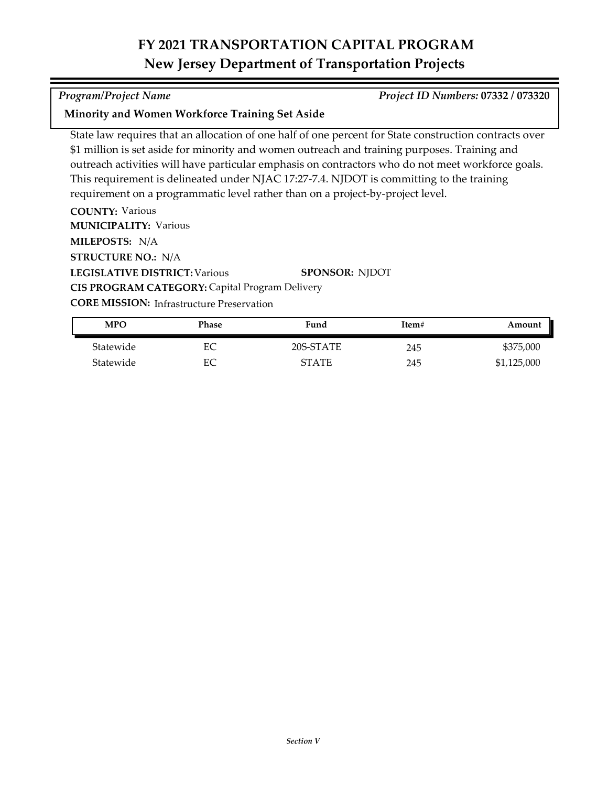### *Program/Project Name Project ID Numbers:* **07332 / 073320**

### **Minority and Women Workforce Training Set Aside**

State law requires that an allocation of one half of one percent for State construction contracts over \$1 million is set aside for minority and women outreach and training purposes. Training and outreach activities will have particular emphasis on contractors who do not meet workforce goals. This requirement is delineated under NJAC 17:27-7.4. NJDOT is committing to the training requirement on a programmatic level rather than on a project-by-project level.

**COUNTY:** Various **LEGISLATIVE DISTRICT:** Various **MILEPOSTS:** N/A **STRUCTURE NO.:** N/A **MUNICIPALITY: Various SPONSOR:** NJDOT **CIS PROGRAM CATEGORY:** Capital Program Delivery

| <b>MPO</b> | Phase | Fund      | Item# | Amount      |
|------------|-------|-----------|-------|-------------|
| Statewide  | EС    | 20S-STATE | 245   | \$375,000   |
| Statewide  | EС    | STATE     | 245   | \$1,125,000 |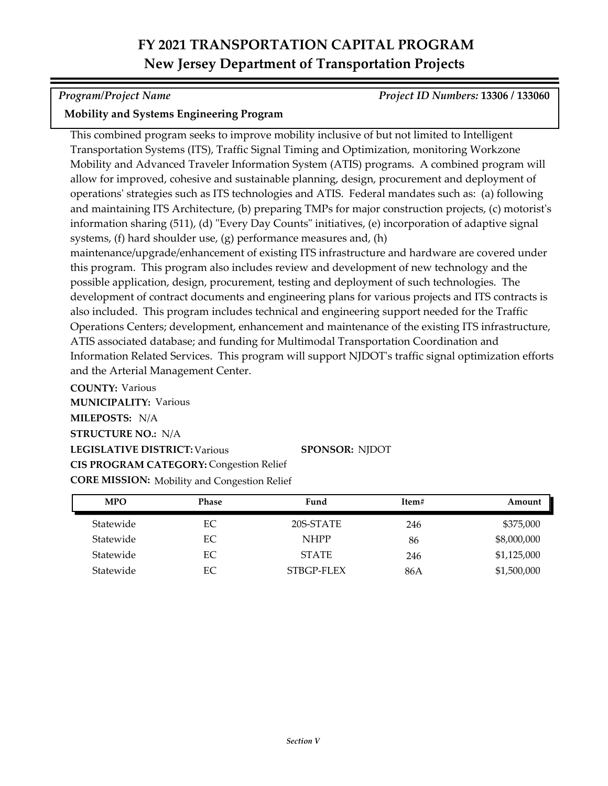*Program/Project Name Project ID Numbers:* **13306 / 133060**

### **Mobility and Systems Engineering Program**

This combined program seeks to improve mobility inclusive of but not limited to Intelligent Transportation Systems (ITS), Traffic Signal Timing and Optimization, monitoring Workzone Mobility and Advanced Traveler Information System (ATIS) programs. A combined program will allow for improved, cohesive and sustainable planning, design, procurement and deployment of operations' strategies such as ITS technologies and ATIS. Federal mandates such as: (a) following and maintaining ITS Architecture, (b) preparing TMPs for major construction projects, (c) motorist's information sharing (511), (d) "Every Day Counts" initiatives, (e) incorporation of adaptive signal systems, (f) hard shoulder use, (g) performance measures and, (h) maintenance/upgrade/enhancement of existing ITS infrastructure and hardware are covered under this program. This program also includes review and development of new technology and the possible application, design, procurement, testing and deployment of such technologies. The development of contract documents and engineering plans for various projects and ITS contracts is also included. This program includes technical and engineering support needed for the Traffic Operations Centers; development, enhancement and maintenance of the existing ITS infrastructure, ATIS associated database; and funding for Multimodal Transportation Coordination and

Information Related Services. This program will support NJDOT's traffic signal optimization efforts and the Arterial Management Center.

**COUNTY:** Various **LEGISLATIVE DISTRICT:** Various **MILEPOSTS:** N/A **STRUCTURE NO.:** N/A **MUNICIPALITY: Various CORE MISSION:** Mobility and Congestion Relief **SPONSOR:** NJDOT **CIS PROGRAM CATEGORY:** Congestion Relief

| <b>MPO</b> | <b>Phase</b> | Fund         | Item# | Amount      |
|------------|--------------|--------------|-------|-------------|
| Statewide  | EC           | 20S-STATE    | 246   | \$375,000   |
| Statewide  | EC           | <b>NHPP</b>  | 86    | \$8,000,000 |
| Statewide  | EC           | <b>STATE</b> | 246   | \$1,125,000 |
| Statewide  | EС           | STBGP-FLEX   | 86A   | \$1,500,000 |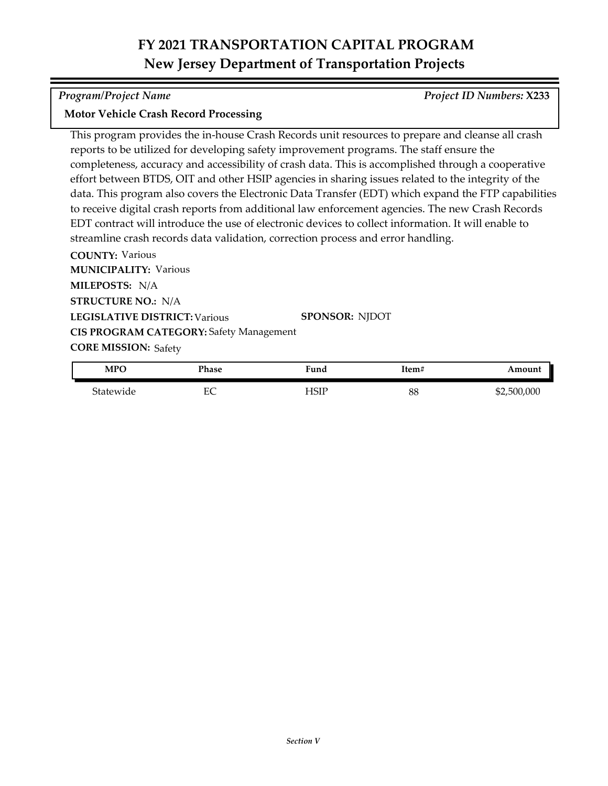*Program/Project Name Project ID Numbers:* **X233**

### **Motor Vehicle Crash Record Processing**

This program provides the in-house Crash Records unit resources to prepare and cleanse all crash reports to be utilized for developing safety improvement programs. The staff ensure the completeness, accuracy and accessibility of crash data. This is accomplished through a cooperative effort between BTDS, OIT and other HSIP agencies in sharing issues related to the integrity of the data. This program also covers the Electronic Data Transfer (EDT) which expand the FTP capabilities to receive digital crash reports from additional law enforcement agencies. The new Crash Records EDT contract will introduce the use of electronic devices to collect information. It will enable to streamline crash records data validation, correction process and error handling.

**COUNTY:** Various **LEGISLATIVE DISTRICT:** Various **MILEPOSTS:** N/A **STRUCTURE NO.:** N/A **MUNICIPALITY: Various CORE MISSION: Safety SPONSOR:** NJDOT **CIS PROGRAM CATEGORY:** Safety Management

| <b>MPO</b> | Phase | Fund  | Item# | Amount      |
|------------|-------|-------|-------|-------------|
| Statewide  | EС    | -ISIP | 88    | \$2,500,000 |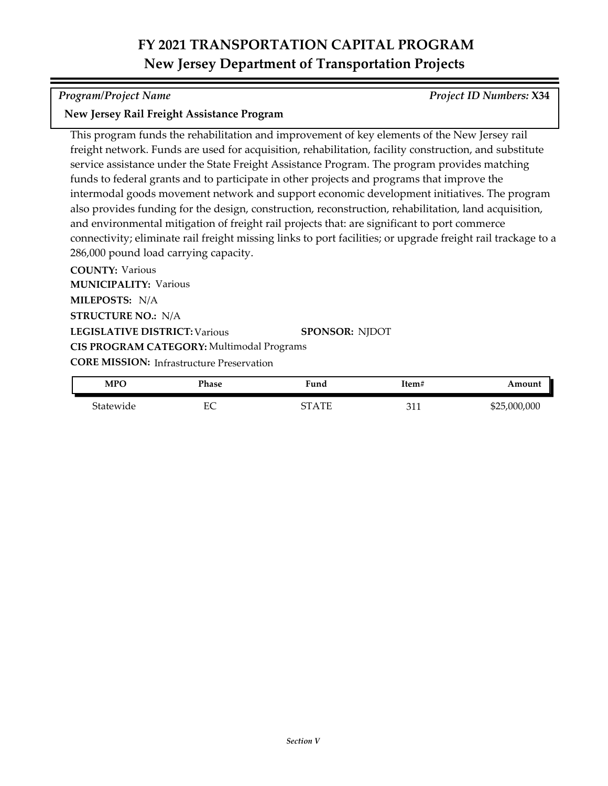*Program/Project Name Project ID Numbers:* **X34**

### **New Jersey Rail Freight Assistance Program**

This program funds the rehabilitation and improvement of key elements of the New Jersey rail freight network. Funds are used for acquisition, rehabilitation, facility construction, and substitute service assistance under the State Freight Assistance Program. The program provides matching funds to federal grants and to participate in other projects and programs that improve the intermodal goods movement network and support economic development initiatives. The program also provides funding for the design, construction, reconstruction, rehabilitation, land acquisition, and environmental mitigation of freight rail projects that: are significant to port commerce connectivity; eliminate rail freight missing links to port facilities; or upgrade freight rail trackage to a 286,000 pound load carrying capacity.

**COUNTY:** Various **LEGISLATIVE DISTRICT:** Various **MILEPOSTS:** N/A **STRUCTURE NO.:** N/A **MUNICIPALITY: Various CORE MISSION: Infrastructure Preservation SPONSOR:** NJDOT **CIS PROGRAM CATEGORY:** Multimodal Programs

| <b>MPO</b> | Phase          | Fund         | Item#              | Amount       |
|------------|----------------|--------------|--------------------|--------------|
| Statewide  | $E\cap$<br>EV. | $\Lambda$ TE | $\mathbf{a}$<br>ᇰᆠ | \$25,000,000 |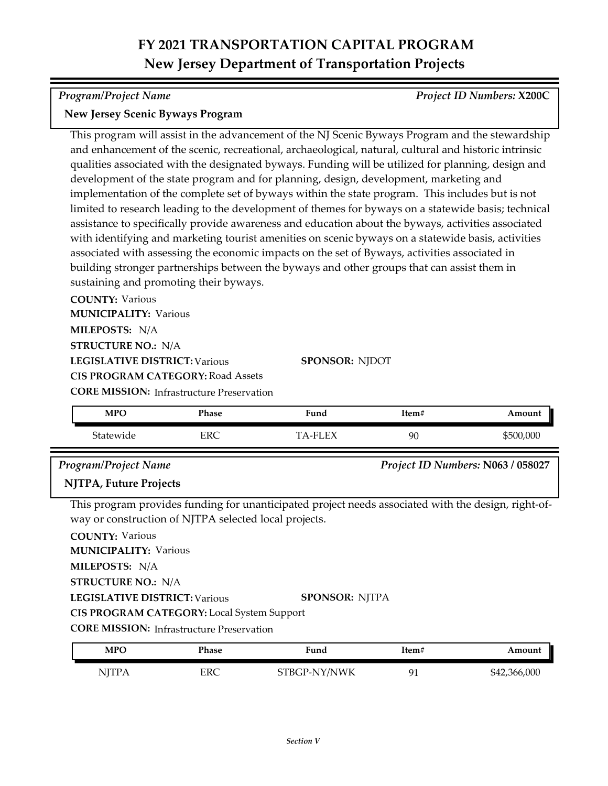*Program/Project Name Project ID Numbers:* **X200C**

### **New Jersey Scenic Byways Program**

This program will assist in the advancement of the NJ Scenic Byways Program and the stewardship and enhancement of the scenic, recreational, archaeological, natural, cultural and historic intrinsic qualities associated with the designated byways. Funding will be utilized for planning, design and development of the state program and for planning, design, development, marketing and implementation of the complete set of byways within the state program. This includes but is not limited to research leading to the development of themes for byways on a statewide basis; technical assistance to specifically provide awareness and education about the byways, activities associated with identifying and marketing tourist amenities on scenic byways on a statewide basis, activities associated with assessing the economic impacts on the set of Byways, activities associated in building stronger partnerships between the byways and other groups that can assist them in sustaining and promoting their byways.

**COUNTY:** Various **MUNICIPALITY: Various** 

**MILEPOSTS:** N/A

**STRUCTURE NO.:** N/A

**LEGISLATIVE DISTRICT:** Various

**CIS PROGRAM CATEGORY:** Road Assets

**CORE MISSION:** Infrastructure Preservation

| MPO       | Phase | Fund     | Item# | Amount    |
|-----------|-------|----------|-------|-----------|
| Statewide | ERC   | TA-FI EX | 90    | \$500,000 |

**SPONSOR:** NJDOT

### *Program/Project Name Project ID Numbers:* **N063 / 058027**

### **NJTPA, Future Projects**

This program provides funding for unanticipated project needs associated with the design, right‐of‐ way or construction of NJTPA selected local projects.

**COUNTY:** Various

**MUNICIPALITY: Various** 

**MILEPOSTS:** N/A

**STRUCTURE NO.:** N/A

**LEGISLATIVE DISTRICT:** Various **SPONSOR:** NJTPA

**CIS PROGRAM CATEGORY:** Local System Support

| MPO    | Phase | Fund         | Item#      | Amount       |
|--------|-------|--------------|------------|--------------|
| NITP A | ERC   | STBGP-NY/NWK | $\Omega$ 1 | \$42,366,000 |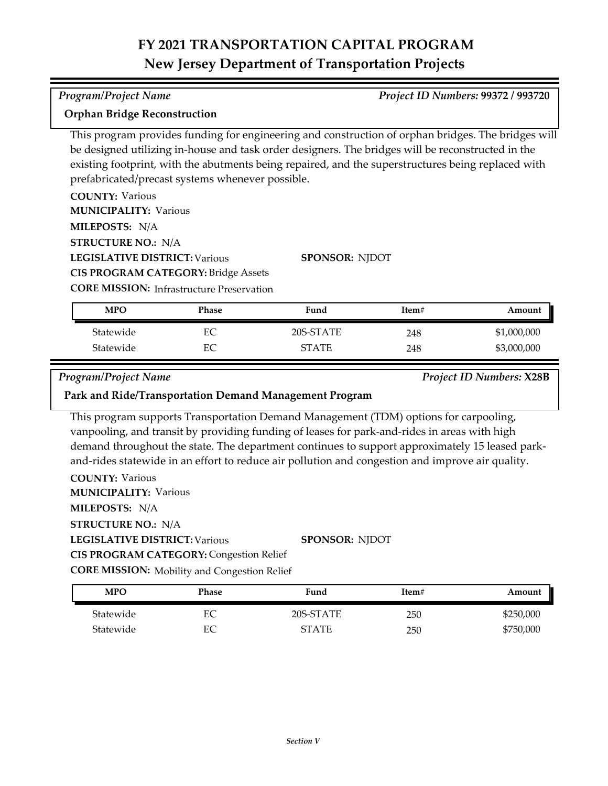### *Program/Project Name Project ID Numbers:* **99372 / 993720**

### **Orphan Bridge Reconstruction**

This program provides funding for engineering and construction of orphan bridges. The bridges will be designed utilizing in‐house and task order designers. The bridges will be reconstructed in the existing footprint, with the abutments being repaired, and the superstructures being replaced with prefabricated/precast systems whenever possible.

| <b>COUNTY: Various</b>                           |                       |
|--------------------------------------------------|-----------------------|
| <b>MUNICIPALITY: Various</b>                     |                       |
| <b>MILEPOSTS: N/A</b>                            |                       |
| <b>STRUCTURE NO.: N/A</b>                        |                       |
| <b>LEGISLATIVE DISTRICT: Various</b>             | <b>SPONSOR: NIDOT</b> |
| <b>CIS PROGRAM CATEGORY: Bridge Assets</b>       |                       |
| <b>CORE MISSION:</b> Infrastructure Preservation |                       |

| <b>MPO</b> | Phase | Fund         | Item# | Amount      |
|------------|-------|--------------|-------|-------------|
| Statewide  | ЕC    | 20S-STATE    | 248   | \$1,000,000 |
| Statewide  | EС    | <b>STATE</b> | 248   | \$3,000,000 |

*Program/Project Name Project ID Numbers:* **X28B**

### **Park and Ride/Transportation Demand Management Program**

This program supports Transportation Demand Management (TDM) options for carpooling, vanpooling, and transit by providing funding of leases for park-and-rides in areas with high demand throughout the state. The department continues to support approximately 15 leased parkand-rides statewide in an effort to reduce air pollution and congestion and improve air quality.

**COUNTY:** Various

**MUNICIPALITY: Various** 

**MILEPOSTS:** N/A

**STRUCTURE NO.:** N/A

**LEGISLATIVE DISTRICT:** Various

**SPONSOR:** NJDOT **CIS PROGRAM CATEGORY:** Congestion Relief

**CORE MISSION:** Mobility and Congestion Relief

| MPO       | Phase | Fund         | Item# | Amount    |
|-----------|-------|--------------|-------|-----------|
| Statewide | EС    | 20S-STATE    | 250   | \$250,000 |
| Statewide | EС    | <b>STATE</b> | 250   | \$750,000 |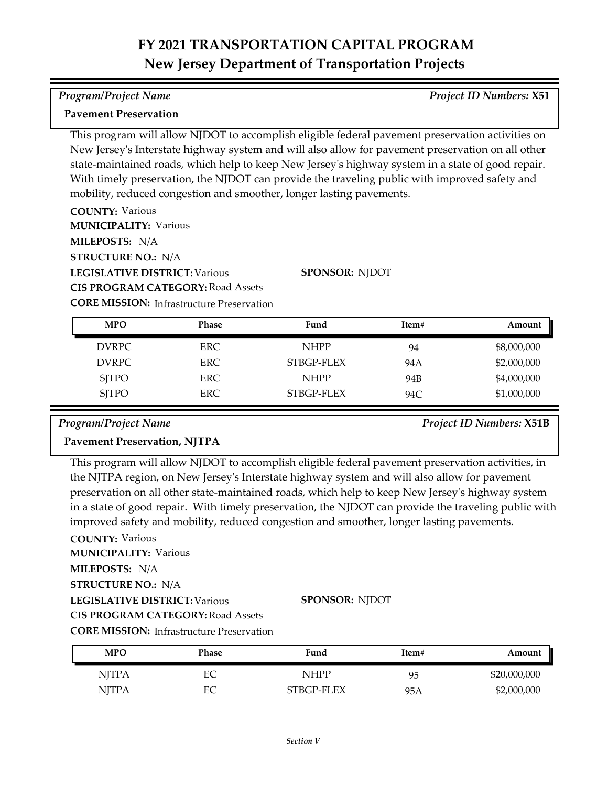### *Program/Project Name Project ID Numbers:* **X51**

### **Pavement Preservation**

This program will allow NJDOT to accomplish eligible federal pavement preservation activities on New Jersey's Interstate highway system and will also allow for pavement preservation on all other state-maintained roads, which help to keep New Jersey's highway system in a state of good repair. With timely preservation, the NJDOT can provide the traveling public with improved safety and mobility, reduced congestion and smoother, longer lasting pavements.

**COUNTY:** Various **MILEPOSTS:** N/A **STRUCTURE NO.:** N/A **MUNICIPALITY: Various** 

**LEGISLATIVE DISTRICT:** Various **CIS PROGRAM CATEGORY:** Road Assets **SPONSOR:** NJDOT

**CORE MISSION: Infrastructure Preservation** 

| <b>MPO</b>   | <b>Phase</b> | Fund        | Item# | Amount      |
|--------------|--------------|-------------|-------|-------------|
| DVRPC        | ERC.         | <b>NHPP</b> | 94    | \$8,000,000 |
| DVRPC        | ERC.         | STBGP-FLEX  | 94 A  | \$2,000,000 |
| <b>SITPO</b> | ERC.         | <b>NHPP</b> | 94B   | \$4,000,000 |
| <b>SITPO</b> | <b>ERC</b>   | STBGP-FLEX  | 94C   | \$1,000,000 |

*Program/Project Name Project ID Numbers:* **X51B**

### **Pavement Preservation, NJTPA**

This program will allow NJDOT to accomplish eligible federal pavement preservation activities, in the NJTPA region, on New Jersey's Interstate highway system and will also allow for pavement preservation on all other state-maintained roads, which help to keep New Jersey's highway system in a state of good repair. With timely preservation, the NJDOT can provide the traveling public with improved safety and mobility, reduced congestion and smoother, longer lasting pavements.

**COUNTY:** Various

**MILEPOSTS:** N/A **MUNICIPALITY: Various** 

**STRUCTURE NO.:** N/A

**LEGISLATIVE DISTRICT:** Various

**SPONSOR:** NJDOT

**CIS PROGRAM CATEGORY:** Road Assets

| <b>MPO</b>   | Phase | Fund        | Item# | Amount       |
|--------------|-------|-------------|-------|--------------|
| <b>NJTPA</b> | EС    | <b>NHPP</b> | 95    | \$20,000,000 |
| <b>NJTPA</b> | EС    | STBGP-FLEX  | 95A   | \$2,000,000  |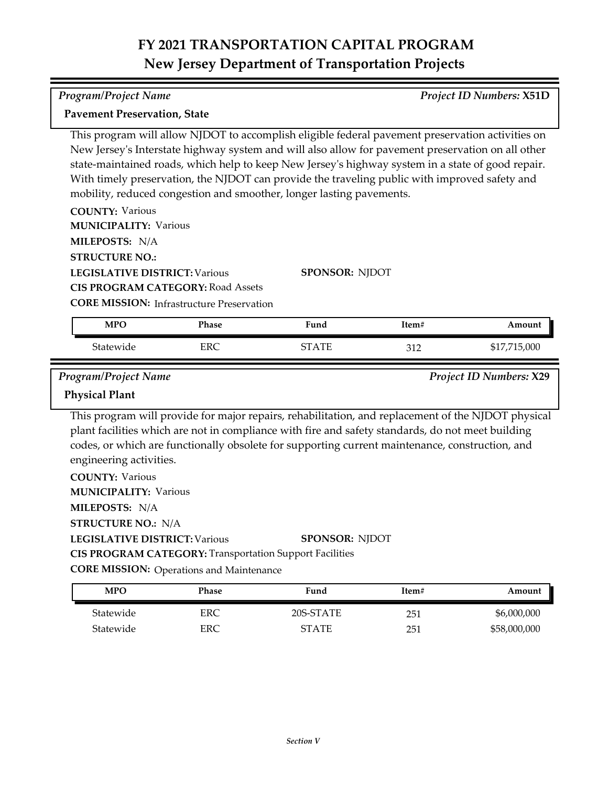*Program/Project Name Project ID Numbers:* **X51D**

This program will allow NJDOT to accomplish eligible federal pavement preservation activities on New Jersey's Interstate highway system and will also allow for pavement preservation on all other

|                                                                      | state-maintained roads, which help to keep New Jersey's highway system in a state of good repair. |
|----------------------------------------------------------------------|---------------------------------------------------------------------------------------------------|
|                                                                      | With timely preservation, the NJDOT can provide the traveling public with improved safety and     |
| mobility, reduced congestion and smoother, longer lasting pavements. |                                                                                                   |
| <b>COUNTY: Various</b>                                               |                                                                                                   |
| <b>MUNICIPALITY: Various</b>                                         |                                                                                                   |
| <b>MILEPOSTS: N/A</b>                                                |                                                                                                   |
| <b>STRUCTURE NO.:</b>                                                |                                                                                                   |
| <b>LEGISLATIVE DISTRICT: Various</b>                                 | <b>SPONSOR: NIDOT</b>                                                                             |
| <b>CIS PROGRAM CATEGORY: Road Assets</b>                             |                                                                                                   |
| <b>CORE MISSION: Infrastructure Preservation</b>                     |                                                                                                   |
|                                                                      |                                                                                                   |

| <b>MPC</b> | Phase | Fund         | 1tem#        | Amount              |
|------------|-------|--------------|--------------|---------------------|
| tatewideد  | ERC   | ' A TE<br>∼− | າ 1 າ<br>◡▴▵ | 715,000<br>$\psi$ 1 |

**Pavement Preservation, State**

*Program/Project Name Project ID Numbers:* **X29**

### **Physical Plant**

This program will provide for major repairs, rehabilitation, and replacement of the NJDOT physical plant facilities which are not in compliance with fire and safety standards, do not meet building codes, or which are functionally obsolete for supporting current maintenance, construction, and engineering activities.

**COUNTY:** Various **LEGISLATIVE DISTRICT:** Various **MILEPOSTS:** N/A **STRUCTURE NO.:** N/A **MUNICIPALITY: Various SPONSOR:** NJDOT **CIS PROGRAM CATEGORY:** Transportation Support Facilities

**CORE MISSION: Operations and Maintenance** 

| <b>MPO</b> | Phase | Fund         | Item# | Amount       |
|------------|-------|--------------|-------|--------------|
| Statewide  | ERC   | 20S-STATE    | 251   | \$6,000,000  |
| Statewide  | ERC   | <b>STATE</b> | 251   | \$58,000,000 |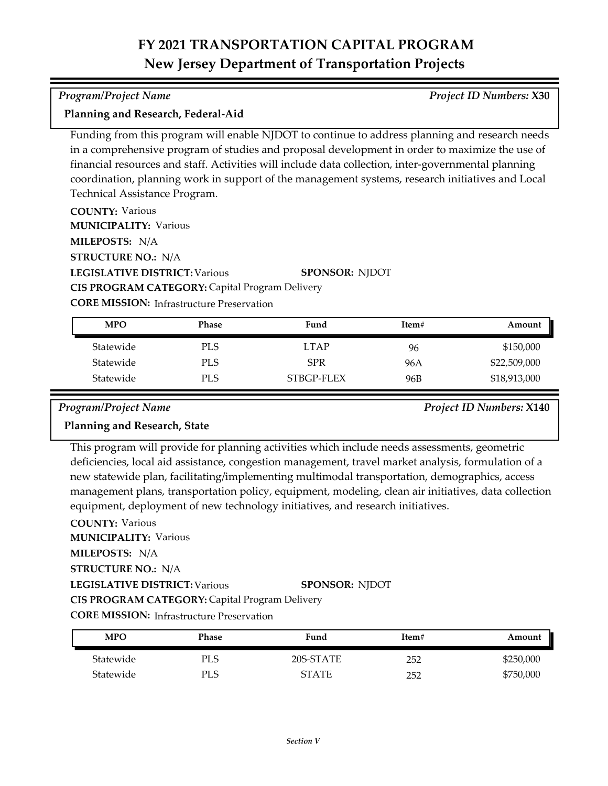### *Program/Project Name Project ID Numbers:* **X30**

### **Planning and Research, Federal-Aid**

Funding from this program will enable NJDOT to continue to address planning and research needs in a comprehensive program of studies and proposal development in order to maximize the use of financial resources and staff. Activities will include data collection, inter‐governmental planning coordination, planning work in support of the management systems, research initiatives and Local Technical Assistance Program.

**COUNTY:** Various

**MUNICIPALITY: Various** 

**MILEPOSTS:** N/A

**STRUCTURE NO.:** N/A

**LEGISLATIVE DISTRICT:** Various **CIS PROGRAM CATEGORY:** Capital Program Delivery

**SPONSOR:** NJDOT

**CORE MISSION: Infrastructure Preservation** 

| <b>MPO</b> | <b>Phase</b> | Fund        | Item# | Amount       |
|------------|--------------|-------------|-------|--------------|
| Statewide  | <b>PLS</b>   | <b>LTAP</b> | 96    | \$150,000    |
| Statewide  | <b>PLS</b>   | <b>SPR</b>  | 96A   | \$22,509,000 |
| Statewide  | <b>PLS</b>   | STBGP-FLEX  | 96B   | \$18,913,000 |

*Program/Project Name Project ID Numbers:* **X140**

### **Planning and Research, State**

This program will provide for planning activities which include needs assessments, geometric deficiencies, local aid assistance, congestion management, travel market analysis, formulation of a new statewide plan, facilitating/implementing multimodal transportation, demographics, access management plans, transportation policy, equipment, modeling, clean air initiatives, data collection equipment, deployment of new technology initiatives, and research initiatives.

## **COUNTY:** Various

**LEGISLATIVE DISTRICT:** Various **MILEPOSTS:** N/A **STRUCTURE NO.:** N/A **MUNICIPALITY: Various SPONSOR:** NJDOT

**CIS PROGRAM CATEGORY:** Capital Program Delivery

| <b>MPO</b> | Phase | Fund         | Item# | Amount    |
|------------|-------|--------------|-------|-----------|
| Statewide  | PLS   | 20S-STATE    | 252   | \$250,000 |
| Statewide  | PLS   | <b>STATE</b> | 252   | \$750,000 |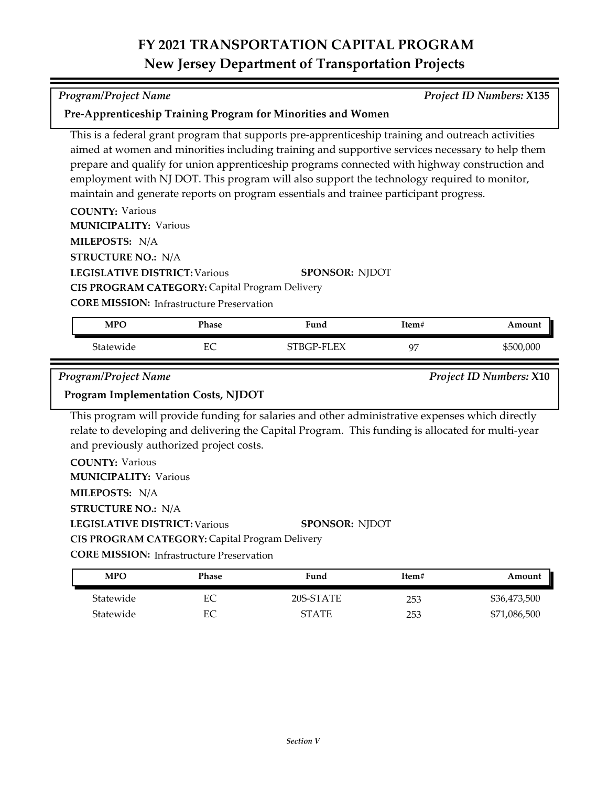*Program/Project Name Project ID Numbers:* **X135**

| <b>COUNTY: Various</b><br><b>MUNICIPALITY: Various</b>                                                                                                                  |       | This is a federal grant program that supports pre-apprenticeship training and outreach activities<br>aimed at women and minorities including training and supportive services necessary to help them<br>prepare and qualify for union apprenticeship programs connected with highway construction and<br>employment with NJ DOT. This program will also support the technology required to monitor,<br>maintain and generate reports on program essentials and trainee participant progress. |       |                         |
|-------------------------------------------------------------------------------------------------------------------------------------------------------------------------|-------|----------------------------------------------------------------------------------------------------------------------------------------------------------------------------------------------------------------------------------------------------------------------------------------------------------------------------------------------------------------------------------------------------------------------------------------------------------------------------------------------|-------|-------------------------|
| MILEPOSTS: N/A                                                                                                                                                          |       |                                                                                                                                                                                                                                                                                                                                                                                                                                                                                              |       |                         |
| <b>STRUCTURE NO.: N/A</b><br><b>LEGISLATIVE DISTRICT: Various</b><br>CIS PROGRAM CATEGORY: Capital Program Delivery<br><b>CORE MISSION: Infrastructure Preservation</b> |       | <b>SPONSOR: NJDOT</b>                                                                                                                                                                                                                                                                                                                                                                                                                                                                        |       |                         |
| <b>MPO</b>                                                                                                                                                              | Phase | Fund                                                                                                                                                                                                                                                                                                                                                                                                                                                                                         | Item# | Amount                  |
|                                                                                                                                                                         |       |                                                                                                                                                                                                                                                                                                                                                                                                                                                                                              |       |                         |
| Statewide                                                                                                                                                               | EC    | STBGP-FLEX                                                                                                                                                                                                                                                                                                                                                                                                                                                                                   | 97    | \$500,000               |
| Program/Project Name                                                                                                                                                    |       |                                                                                                                                                                                                                                                                                                                                                                                                                                                                                              |       | Project ID Numbers: X10 |
| <b>Program Implementation Costs, NJDOT</b>                                                                                                                              |       |                                                                                                                                                                                                                                                                                                                                                                                                                                                                                              |       |                         |
| and previously authorized project costs.<br><b>COUNTY: Various</b>                                                                                                      |       | This program will provide funding for salaries and other administrative expenses which directly<br>relate to developing and delivering the Capital Program. This funding is allocated for multi-year                                                                                                                                                                                                                                                                                         |       |                         |
| <b>MUNICIPALITY: Various</b>                                                                                                                                            |       |                                                                                                                                                                                                                                                                                                                                                                                                                                                                                              |       |                         |
| MILEPOSTS: N/A                                                                                                                                                          |       |                                                                                                                                                                                                                                                                                                                                                                                                                                                                                              |       |                         |
| <b>STRUCTURE NO.: N/A</b>                                                                                                                                               |       |                                                                                                                                                                                                                                                                                                                                                                                                                                                                                              |       |                         |
| <b>LEGISLATIVE DISTRICT: Various</b>                                                                                                                                    |       | <b>SPONSOR: NJDOT</b>                                                                                                                                                                                                                                                                                                                                                                                                                                                                        |       |                         |
| CIS PROGRAM CATEGORY: Capital Program Delivery                                                                                                                          |       |                                                                                                                                                                                                                                                                                                                                                                                                                                                                                              |       |                         |
| <b>CORE MISSION:</b> Infrastructure Preservation                                                                                                                        |       |                                                                                                                                                                                                                                                                                                                                                                                                                                                                                              |       |                         |

Statewide EC 20S-STATE 253 \$36,473,500 Statewide EC STATE 253 \$71,086,500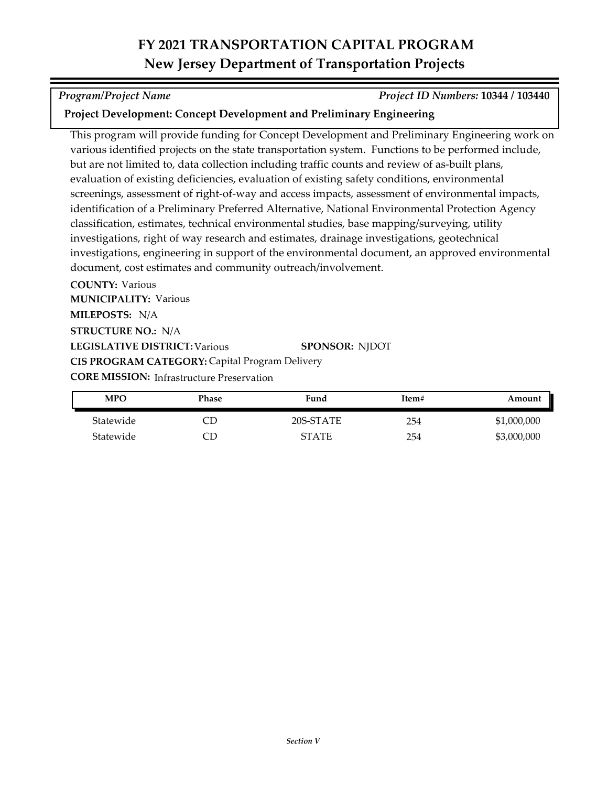*Program/Project Name Project ID Numbers:* **10344 / 103440**

### **Project Development: Concept Development and Preliminary Engineering**

This program will provide funding for Concept Development and Preliminary Engineering work on various identified projects on the state transportation system. Functions to be performed include, but are not limited to, data collection including traffic counts and review of as-built plans, evaluation of existing deficiencies, evaluation of existing safety conditions, environmental screenings, assessment of right-of-way and access impacts, assessment of environmental impacts, identification of a Preliminary Preferred Alternative, National Environmental Protection Agency classification, estimates, technical environmental studies, base mapping/surveying, utility investigations, right of way research and estimates, drainage investigations, geotechnical investigations, engineering in support of the environmental document, an approved environmental document, cost estimates and community outreach/involvement.

**COUNTY:** Various **LEGISLATIVE DISTRICT:** Various **MILEPOSTS:** N/A **STRUCTURE NO.:** N/A **MUNICIPALITY: Various CORE MISSION: Infrastructure Preservation SPONSOR:** NJDOT **CIS PROGRAM CATEGORY:** Capital Program Delivery

| MPO       | Phase | Fund         | Item# | Amount      |
|-----------|-------|--------------|-------|-------------|
| Statewide |       | 20S-STATE    | 254   | \$1,000,000 |
| Statewide |       | <b>STATE</b> | 254   | \$3,000,000 |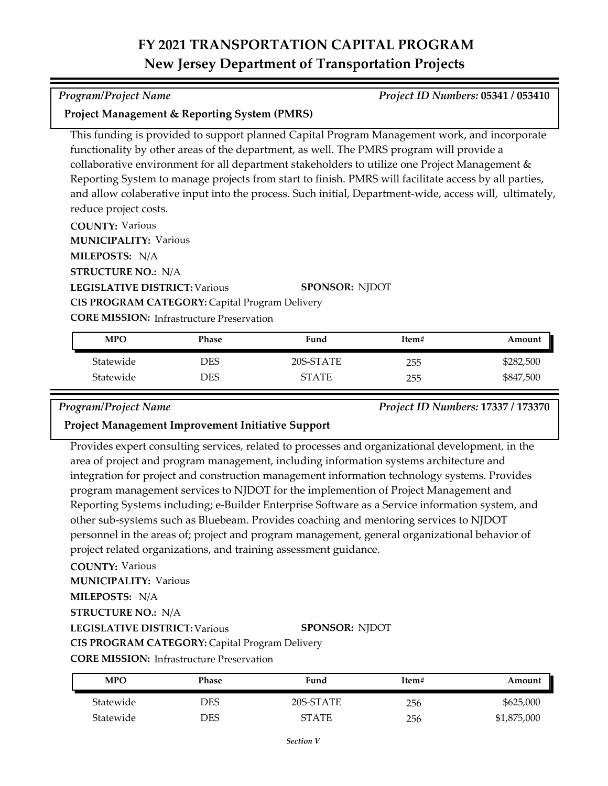### *Program/Project Name Project ID Numbers:* **05341 / 053410**

### **Project Management & Reporting System (PMRS)**

This funding is provided to support planned Capital Program Management work, and incorporate functionality by other areas of the department, as well. The PMRS program will provide a collaborative environment for all department stakeholders to utilize one Project Management & Reporting System to manage projects from start to finish. PMRS will facilitate access by all parties, and allow colaberative input into the process. Such initial, Department-wide, access will, ultimately, reduce project costs.

**COUNTY:** Various

**MUNICIPALITY: Various** 

**MILEPOSTS:** N/A

**STRUCTURE NO.:** N/A

**LEGISLATIVE DISTRICT:** Various

**SPONSOR:** NJDOT

**CIS PROGRAM CATEGORY:** Capital Program Delivery

**CORE MISSION:** Infrastructure Preservation

| <b>MPO</b> | Phase | Fund         | Item# | Amount    |
|------------|-------|--------------|-------|-----------|
| Statewide  | DES   | 20S-STATE    | 255   | \$282,500 |
| Statewide  | DES   | <b>STATE</b> | 255   | \$847,500 |

### *Program/Project Name Project ID Numbers:* **17337 / 173370**

### **Project Management Improvement Initiative Support**

Provides expert consulting services, related to processes and organizational development, in the area of project and program management, including information systems architecture and integration for project and construction management information technology systems. Provides program management services to NJDOT for the implemention of Project Management and Reporting Systems including; e-Builder Enterprise Software as a Service information system, and other sub-systems such as Bluebeam. Provides coaching and mentoring services to NJDOT personnel in the areas of; project and program management, general organizational behavior of project related organizations, and training assessment guidance.

**COUNTY:** Various

**MUNICIPALITY: Various** 

**MILEPOSTS:** N/A

**STRUCTURE NO.:** N/A

**LEGISLATIVE DISTRICT:** Various

**SPONSOR:** NJDOT

**CORE MISSION: Infrastructure Preservation** 

**CIS PROGRAM CATEGORY:** Capital Program Delivery

| <b>MPO</b> | Phase      | Fund         | Item# | Amount      |
|------------|------------|--------------|-------|-------------|
| Statewide  | <b>DES</b> | 20S-STATE    | 256   | \$625,000   |
| Statewide  | DES        | <b>STATE</b> | 256   | \$1,875,000 |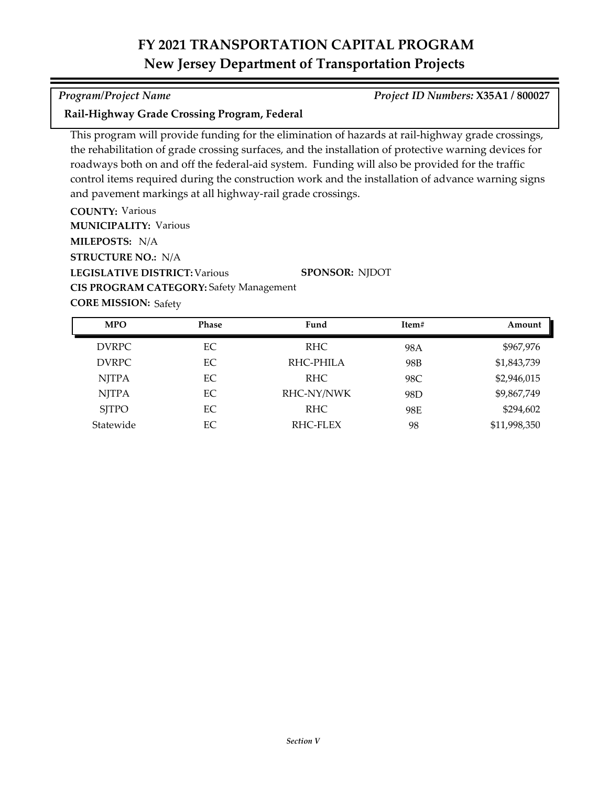### *Program/Project Name Project ID Numbers:* **X35A1 / 800027**

### **Rail-Highway Grade Crossing Program, Federal**

This program will provide funding for the elimination of hazards at rail-highway grade crossings, the rehabilitation of grade crossing surfaces, and the installation of protective warning devices for roadways both on and off the federal-aid system. Funding will also be provided for the traffic control items required during the construction work and the installation of advance warning signs and pavement markings at all highway-rail grade crossings.

**COUNTY:** Various **LEGISLATIVE DISTRICT:** Various **MILEPOSTS:** N/A **STRUCTURE NO.:** N/A **MUNICIPALITY: Various SPONSOR:** NJDOT **CIS PROGRAM CATEGORY:** Safety Management

**CORE MISSION: Safety** 

| <b>MPO</b>   | <b>Phase</b> | Fund       | Item#           | Amount       |
|--------------|--------------|------------|-----------------|--------------|
| DVRPC        | EC           | RHC.       | 98A             | \$967,976    |
| <b>DVRPC</b> | EC           | RHC-PHILA  | 98B             | \$1,843,739  |
| <b>NJTPA</b> | EC           | RHC.       | 98C             | \$2,946,015  |
| <b>NJTPA</b> | EC           | RHC-NY/NWK | 98 <sub>D</sub> | \$9,867,749  |
| <b>SITPO</b> | EC           | RHC.       | 98E             | \$294,602    |
| Statewide    | EС           | RHC-FLEX   | 98              | \$11,998,350 |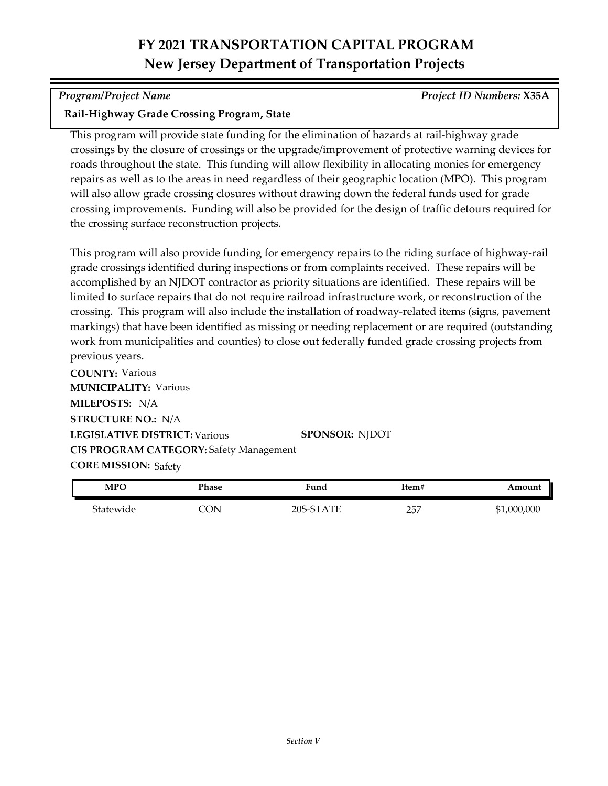*Program/Project Name Project ID Numbers:* **X35A**

### **Rail-Highway Grade Crossing Program, State**

This program will provide state funding for the elimination of hazards at rail-highway grade crossings by the closure of crossings or the upgrade/improvement of protective warning devices for roads throughout the state. This funding will allow flexibility in allocating monies for emergency repairs as well as to the areas in need regardless of their geographic location (MPO). This program will also allow grade crossing closures without drawing down the federal funds used for grade crossing improvements. Funding will also be provided for the design of traffic detours required for the crossing surface reconstruction projects.

This program will also provide funding for emergency repairs to the riding surface of highway-rail grade crossings identified during inspections or from complaints received. These repairs will be accomplished by an NJDOT contractor as priority situations are identified. These repairs will be limited to surface repairs that do not require railroad infrastructure work, or reconstruction of the crossing. This program will also include the installation of roadway-related items (signs, pavement markings) that have been identified as missing or needing replacement or are required (outstanding work from municipalities and counties) to close out federally funded grade crossing projects from previous years.

**COUNTY:** Various **LEGISLATIVE DISTRICT:** Various **MILEPOSTS:** N/A **STRUCTURE NO.:** N/A **MUNICIPALITY: Various CORE MISSION: Safety SPONSOR:** NJDOT **CIS PROGRAM CATEGORY:** Safety Management

| <b>MPO</b> | Phase | <sup>T</sup> und | Item# | Amount      |
|------------|-------|------------------|-------|-------------|
| Statewide  | `ON   | 20S-STATE        | 257   | \$1,000,000 |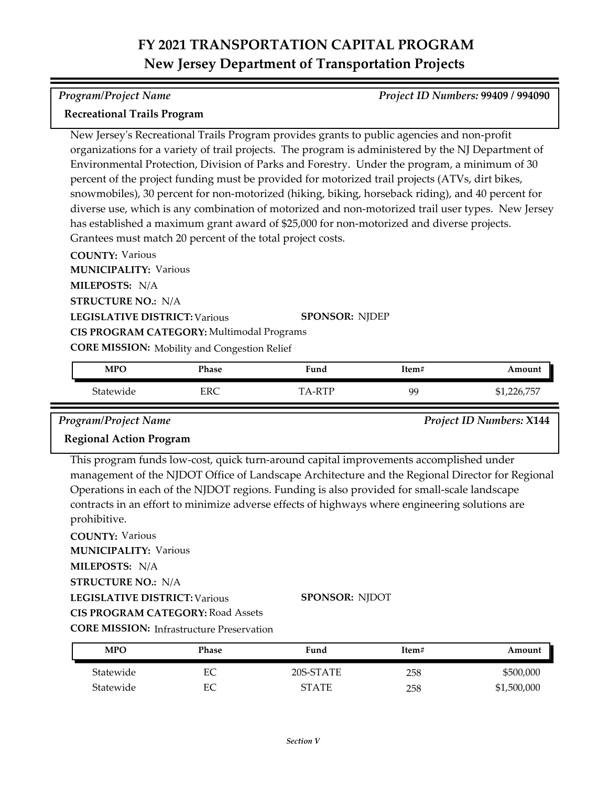### *Program/Project Name Project ID Numbers:* **99409 / 994090**

### **Recreational Trails Program**

New Jersey's Recreational Trails Program provides grants to public agencies and non-profit organizations for a variety of trail projects. The program is administered by the NJ Department of Environmental Protection, Division of Parks and Forestry. Under the program, a minimum of 30 percent of the project funding must be provided for motorized trail projects (ATVs, dirt bikes, snowmobiles), 30 percent for non-motorized (hiking, biking, horseback riding), and 40 percent for diverse use, which is any combination of motorized and non-motorized trail user types. New Jersey has established a maximum grant award of \$25,000 for non-motorized and diverse projects. Grantees must match 20 percent of the total project costs.

**COUNTY:** Various **LEGISLATIVE DISTRICT:** Various **MILEPOSTS:** N/A **STRUCTURE NO.:** N/A **MUNICIPALITY: Various CORE MISSION:** Mobility and Congestion Relief **SPONSOR:** NJDEP **CIS PROGRAM CATEGORY:** Multimodal Programs

| <b>MPO</b> | Phase | Fund | Item# | Amount                              |
|------------|-------|------|-------|-------------------------------------|
| Statewide  | ERC   | DTL. | 99    | .75 <sub>0</sub><br>ንጋሬ<br>⊿ ہں ہے∟ |

*Program/Project Name Project ID Numbers:* **X144**

### **Regional Action Program**

This program funds low‐cost, quick turn-around capital improvements accomplished under management of the NJDOT Office of Landscape Architecture and the Regional Director for Regional Operations in each of the NJDOT regions. Funding is also provided for small‐scale landscape contracts in an effort to minimize adverse effects of highways where engineering solutions are prohibitive.

**COUNTY:** Various **MUNICIPALITY: Various** 

**MILEPOSTS:** N/A

**STRUCTURE NO.:** N/A

**LEGISLATIVE DISTRICT:** Various

**SPONSOR:** NJDOT

**CIS PROGRAM CATEGORY:** Road Assets

| <b>CORE MISSION: Infrastructure Preservation</b> |  |  |
|--------------------------------------------------|--|--|
|--------------------------------------------------|--|--|

| MPO       | Phase | Fund         | Item# | Amount      |
|-----------|-------|--------------|-------|-------------|
| Statewide | EС    | 20S-STATE    | 258   | \$500,000   |
| Statewide | EС    | <b>STATE</b> | 258   | \$1,500,000 |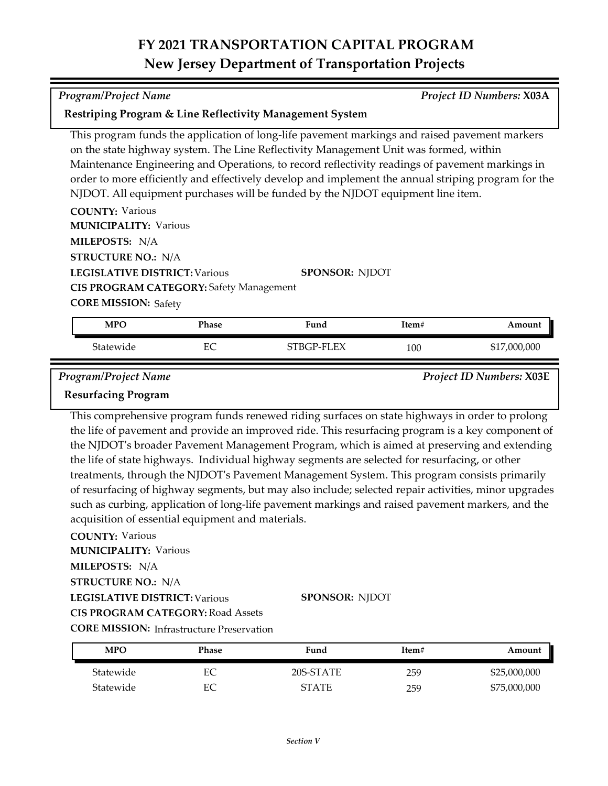| <b>Program/Project Name</b>                                                                                                                        |              |                                                                                                                                                                                                                                                                                                                                                                                                                                                                                     |       | Project ID Numbers: X03A        |
|----------------------------------------------------------------------------------------------------------------------------------------------------|--------------|-------------------------------------------------------------------------------------------------------------------------------------------------------------------------------------------------------------------------------------------------------------------------------------------------------------------------------------------------------------------------------------------------------------------------------------------------------------------------------------|-------|---------------------------------|
|                                                                                                                                                    |              | Restriping Program & Line Reflectivity Management System                                                                                                                                                                                                                                                                                                                                                                                                                            |       |                                 |
| <b>COUNTY: Various</b><br><b>MUNICIPALITY: Various</b><br>MILEPOSTS: N/A                                                                           |              | This program funds the application of long-life pavement markings and raised pavement markers<br>on the state highway system. The Line Reflectivity Management Unit was formed, within<br>Maintenance Engineering and Operations, to record reflectivity readings of pavement markings in<br>order to more efficiently and effectively develop and implement the annual striping program for the<br>NJDOT. All equipment purchases will be funded by the NJDOT equipment line item. |       |                                 |
| <b>STRUCTURE NO.: N/A</b><br><b>LEGISLATIVE DISTRICT: Various</b><br><b>CIS PROGRAM CATEGORY: Safety Management</b><br><b>CORE MISSION: Safety</b> |              | <b>SPONSOR: NJDOT</b>                                                                                                                                                                                                                                                                                                                                                                                                                                                               |       |                                 |
| <b>MPO</b>                                                                                                                                         | <b>Phase</b> | Fund                                                                                                                                                                                                                                                                                                                                                                                                                                                                                | Item# | Amount                          |
| Statewide                                                                                                                                          | EC           | STBGP-FLEX                                                                                                                                                                                                                                                                                                                                                                                                                                                                          | 100   | \$17,000,000                    |
| <b>Program/Project Name</b><br><b>Resurfacing Program</b>                                                                                          |              |                                                                                                                                                                                                                                                                                                                                                                                                                                                                                     |       | <b>Project ID Numbers: X03E</b> |

This comprehensive program funds renewed riding surfaces on state highways in order to prolong the life of pavement and provide an improved ride. This resurfacing program is a key component of the NJDOT's broader Pavement Management Program, which is aimed at preserving and extending the life of state highways. Individual highway segments are selected for resurfacing, or other treatments, through the NJDOT's Pavement Management System. This program consists primarily of resurfacing of highway segments, but may also include; selected repair activities, minor upgrades such as curbing, application of long-life pavement markings and raised pavement markers, and the acquisition of essential equipment and materials.

### **COUNTY:** Various

**MUNICIPALITY: Various** 

**MILEPOSTS:** N/A

### **STRUCTURE NO.:** N/A

**LEGISLATIVE DISTRICT:** Various

### **SPONSOR:** NJDOT

**CORE MISSION:** Infrastructure Preservation **CIS PROGRAM CATEGORY:** Road Assets

| <b>MPO</b> | Phase | Fund         | Item# | Amount       |
|------------|-------|--------------|-------|--------------|
| Statewide  | EС    | 20S-STATE    | 259   | \$25,000,000 |
| Statewide  |       | <b>STATE</b> | 259   | \$75,000,000 |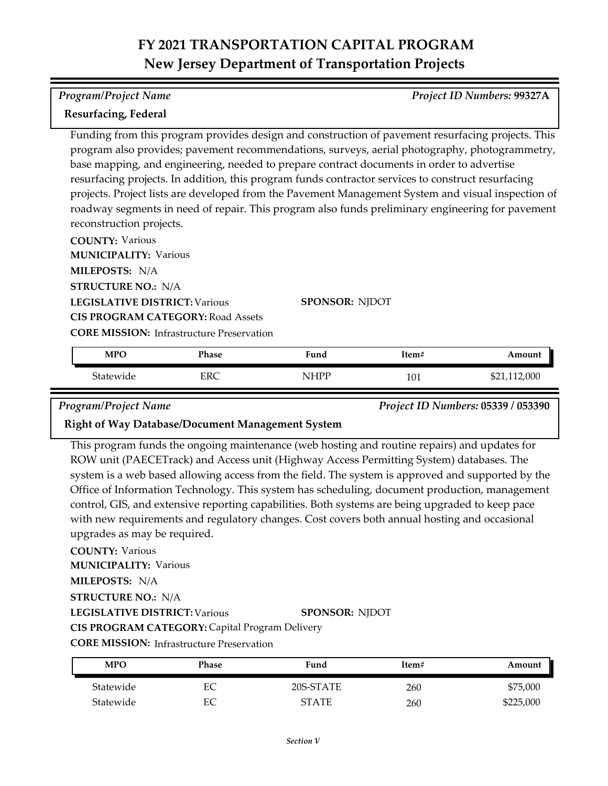### *Program/Project Name Project ID Numbers:* **99327A**

### **Resurfacing, Federal**

Funding from this program provides design and construction of pavement resurfacing projects. This program also provides; pavement recommendations, surveys, aerial photography, photogrammetry, base mapping, and engineering, needed to prepare contract documents in order to advertise resurfacing projects. In addition, this program funds contractor services to construct resurfacing projects. Project lists are developed from the Pavement Management System and visual inspection of roadway segments in need of repair. This program also funds preliminary engineering for pavement reconstruction projects.

**COUNTY:** Various **LEGISLATIVE DISTRICT:** Various **MILEPOSTS:** N/A **STRUCTURE NO.:** N/A **MUNICIPALITY: Various CORE MISSION: Infrastructure Preservation SPONSOR:** NJDOT **CIS PROGRAM CATEGORY:** Road Assets

| <b>MPO</b> | Phase | Fund  | Item# | Amount   |
|------------|-------|-------|-------|----------|
| Statewide  | ERC   | NIHPP | 101   | ,112,000 |

*Program/Project Name Project ID Numbers:* **05339 / 053390**

### **Right of Way Database/Document Management System**

This program funds the ongoing maintenance (web hosting and routine repairs) and updates for ROW unit (PAECETrack) and Access unit (Highway Access Permitting System) databases. The system is a web based allowing access from the field. The system is approved and supported by the Office of Information Technology. This system has scheduling, document production, management control, GIS, and extensive reporting capabilities. Both systems are being upgraded to keep pace with new requirements and regulatory changes. Cost covers both annual hosting and occasional upgrades as may be required.

### **COUNTY:** Various

**MUNICIPALITY: Various** 

**MILEPOSTS:** N/A

**STRUCTURE NO.:** N/A

**LEGISLATIVE DISTRICT:** Various

### **SPONSOR:** NJDOT

**CIS PROGRAM CATEGORY:** Capital Program Delivery

| <b>MPO</b> | Phase | Fund         | Item# | Amount    |
|------------|-------|--------------|-------|-----------|
| Statewide  | EС    | 20S-STATE    | 260   | \$75,000  |
| Statewide  | EС    | <b>STATE</b> | 260   | \$225,000 |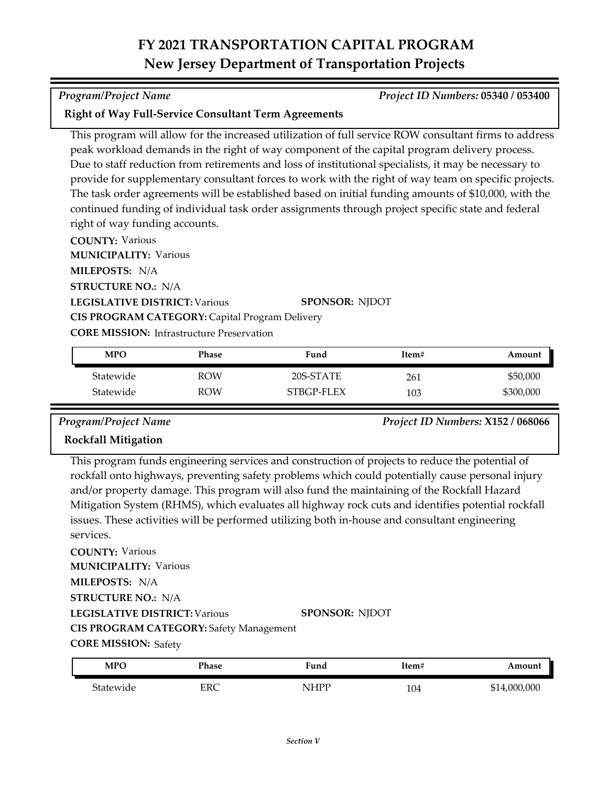### *Program/Project Name Project ID Numbers:* **05340 / 053400**

### **Right of Way Full-Service Consultant Term Agreements**

This program will allow for the increased utilization of full service ROW consultant firms to address peak workload demands in the right of way component of the capital program delivery process. Due to staff reduction from retirements and loss of institutional specialists, it may be necessary to provide for supplementary consultant forces to work with the right of way team on specific projects. The task order agreements will be established based on initial funding amounts of \$10,000, with the continued funding of individual task order assignments through project specific state and federal right of way funding accounts.

**COUNTY:** Various

**MUNICIPALITY: Various** 

**MILEPOSTS:** N/A

**STRUCTURE NO.:** N/A

**LEGISLATIVE DISTRICT:** Various

**SPONSOR:** NJDOT

**CORE MISSION: Infrastructure Preservation** 

**CIS PROGRAM CATEGORY:** Capital Program Delivery

| <b>MPO</b> | Phase      | Fund       | Item# | Amount    |
|------------|------------|------------|-------|-----------|
| Statewide  | <b>ROW</b> | 20S-STATE  | 261   | \$50,000  |
| Statewide  | <b>ROW</b> | STBGP-FLEX | 103   | \$300,000 |

*Program/Project Name Project ID Numbers:* **X152 / 068066**

### **Rockfall Mitigation**

This program funds engineering services and construction of projects to reduce the potential of rockfall onto highways, preventing safety problems which could potentially cause personal injury and/or property damage. This program will also fund the maintaining of the Rockfall Hazard Mitigation System (RHMS), which evaluates all highway rock cuts and identifies potential rockfall issues. These activities will be performed utilizing both in‐house and consultant engineering services.

**COUNTY:** Various **LEGISLATIVE DISTRICT:** Various **MILEPOSTS:** N/A **STRUCTURE NO.:** N/A **MUNICIPALITY: Various CIS PROGRAM CATEGORY:** Safety Management

**SPONSOR:** NJDOT

**CORE MISSION: Safety** 

| <b>MPO</b> | Phase | Fund       | Item# | Amount                    |
|------------|-------|------------|-------|---------------------------|
| Statewide  | ERC   | ססבדו<br>N | 104   | 000,000,µ<br>$\mathbf{C}$ |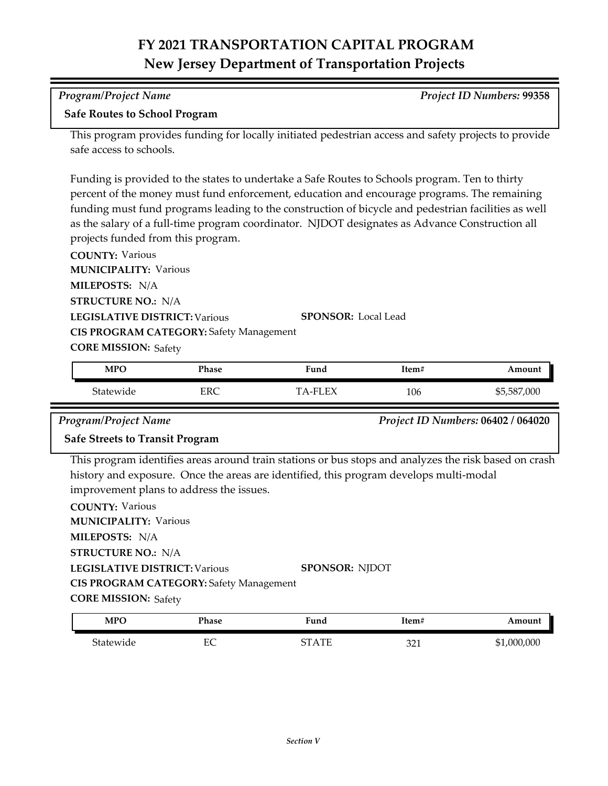| Program/Project Name                 | Project ID Numbers: 99358 |
|--------------------------------------|---------------------------|
| <b>Cafe Doutes to Cahool Drogram</b> |                           |

### **Safe Routes to School Program**

This program provides funding for locally initiated pedestrian access and safety projects to provide safe access to schools.

Funding is provided to the states to undertake a Safe Routes to Schools program. Ten to thirty percent of the money must fund enforcement, education and encourage programs. The remaining funding must fund programs leading to the construction of bicycle and pedestrian facilities as well as the salary of a full-time program coordinator. NJDOT designates as Advance Construction all projects funded from this program.

**COUNTY:** Various **LEGISLATIVE DISTRICT:** Various **MILEPOSTS:** N/A **STRUCTURE NO.:** N/A **MUNICIPALITY: Various CORE MISSION: Safety SPONSOR:** Local Lead **CIS PROGRAM CATEGORY:** Safety Management

| <b>MPO</b> | Phase | Fund      | Item# | Amount      |
|------------|-------|-----------|-------|-------------|
| Statewide  | ERC   | 'A-FI F.X | 106   | \$5,587,000 |

*Program/Project Name Project ID Numbers:* **06402 / 064020**

### **Safe Streets to Transit Program**

This program identifies areas around train stations or bus stops and analyzes the risk based on crash history and exposure. Once the areas are identified, this program develops multi-modal improvement plans to address the issues.

**COUNTY:** Various **LEGISLATIVE DISTRICT:** Various **MILEPOSTS:** N/A **STRUCTURE NO.:** N/A **MUNICIPALITY: Various CORE MISSION: Safety SPONSOR:** NJDOT **CIS PROGRAM CATEGORY:** Safety Management

| <b>MPO</b> | Phase   | Fund         | Ttem# | Amount          |
|------------|---------|--------------|-------|-----------------|
| Statewide  | EΩ<br>∽ | $\Lambda$ TE | 221   | ,000,000<br>\$1 |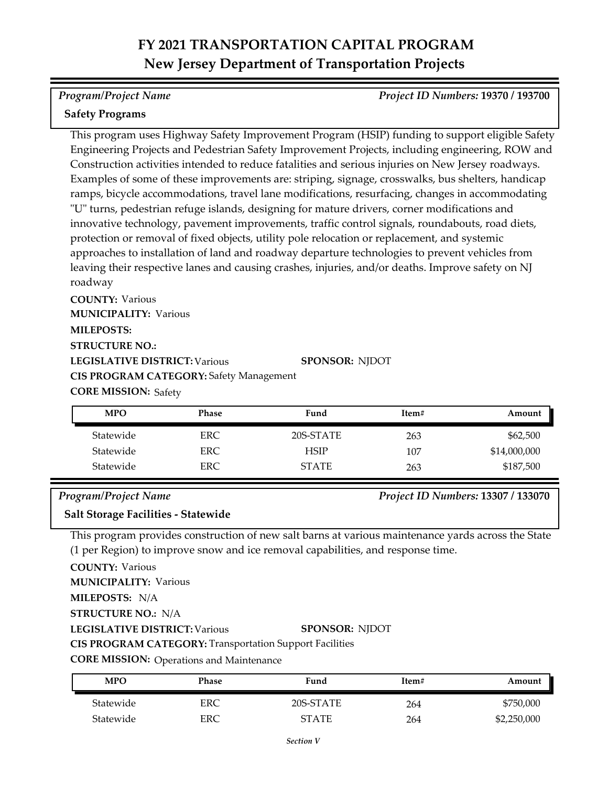### *Program/Project Name Project ID Numbers:* **19370 / 193700**

### **Safety Programs**

This program uses Highway Safety Improvement Program (HSIP) funding to support eligible Safety Engineering Projects and Pedestrian Safety Improvement Projects, including engineering, ROW and Construction activities intended to reduce fatalities and serious injuries on New Jersey roadways. Examples of some of these improvements are: striping, signage, crosswalks, bus shelters, handicap ramps, bicycle accommodations, travel lane modifications, resurfacing, changes in accommodating "U" turns, pedestrian refuge islands, designing for mature drivers, corner modifications and innovative technology, pavement improvements, traffic control signals, roundabouts, road diets, protection or removal of fixed objects, utility pole relocation or replacement, and systemic approaches to installation of land and roadway departure technologies to prevent vehicles from leaving their respective lanes and causing crashes, injuries, and/or deaths. Improve safety on NJ roadway

**COUNTY:** Various **LEGISLATIVE DISTRICT:** Various **MILEPOSTS: STRUCTURE NO.: MUNICIPALITY: Various CORE MISSION: Safety SPONSOR:** NJDOT **CIS PROGRAM CATEGORY:** Safety Management

| <b>MPO</b> | <b>Phase</b> | Fund         | Item# | Amount       |
|------------|--------------|--------------|-------|--------------|
| Statewide  | ERC.         | 20S-STATE    | 263   | \$62,500     |
| Statewide  | ERC          | <b>HSIP</b>  | 107   | \$14,000,000 |
| Statewide  | ERC          | <b>STATE</b> | 263   | \$187,500    |

### *Program/Project Name Project ID Numbers:* **13307 / 133070**

### **Salt Storage Facilities - Statewide**

This program provides construction of new salt barns at various maintenance yards across the State (1 per Region) to improve snow and ice removal capabilities, and response time.

**COUNTY:** Various

**MUNICIPALITY: Various** 

**MILEPOSTS:** N/A

**STRUCTURE NO.:** N/A

**LEGISLATIVE DISTRICT:** Various

**SPONSOR:** NJDOT

**CIS PROGRAM CATEGORY:** Transportation Support Facilities

**CORE MISSION: Operations and Maintenance** 

| <b>MPO</b> | Phase | Fund         | Item# | Amount      |
|------------|-------|--------------|-------|-------------|
| Statewide  | ERC   | 20S-STATE    | 264   | \$750,000   |
| Statewide  | ERC   | <b>STATE</b> | 264   | \$2,250,000 |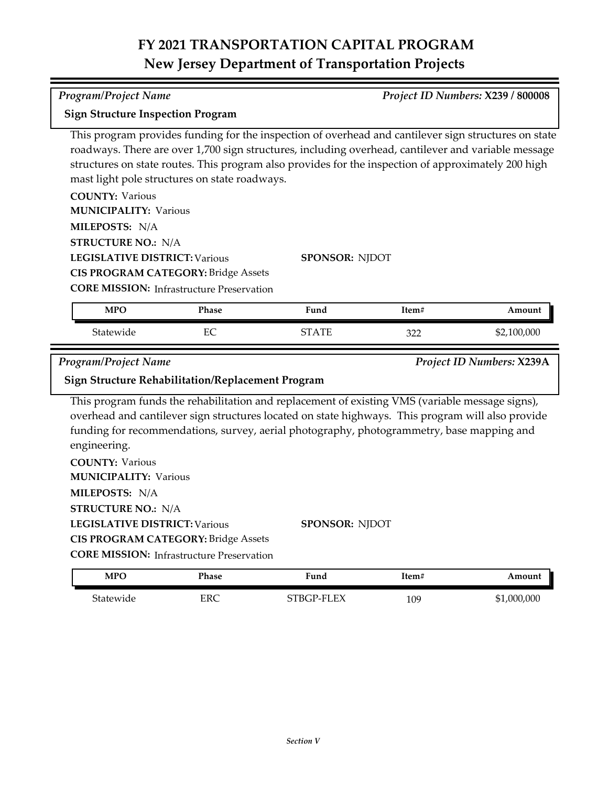*Program/Project Name Project ID Numbers:* **X239 / 800008**

| <b>Sign Structure Inspection Program</b>                                                                                                                      |                                                                                                |                                                                                                                                                                                                                                                                                                                            |       |                           |
|---------------------------------------------------------------------------------------------------------------------------------------------------------------|------------------------------------------------------------------------------------------------|----------------------------------------------------------------------------------------------------------------------------------------------------------------------------------------------------------------------------------------------------------------------------------------------------------------------------|-------|---------------------------|
|                                                                                                                                                               | mast light pole structures on state roadways.                                                  | This program provides funding for the inspection of overhead and cantilever sign structures on state<br>roadways. There are over 1,700 sign structures, including overhead, cantilever and variable message<br>structures on state routes. This program also provides for the inspection of approximately 200 high         |       |                           |
| <b>COUNTY: Various</b>                                                                                                                                        |                                                                                                |                                                                                                                                                                                                                                                                                                                            |       |                           |
| <b>MUNICIPALITY: Various</b>                                                                                                                                  |                                                                                                |                                                                                                                                                                                                                                                                                                                            |       |                           |
| MILEPOSTS: N/A                                                                                                                                                |                                                                                                |                                                                                                                                                                                                                                                                                                                            |       |                           |
| <b>STRUCTURE NO.: N/A</b>                                                                                                                                     |                                                                                                |                                                                                                                                                                                                                                                                                                                            |       |                           |
| <b>LEGISLATIVE DISTRICT: Various</b>                                                                                                                          |                                                                                                | <b>SPONSOR: NJDOT</b>                                                                                                                                                                                                                                                                                                      |       |                           |
|                                                                                                                                                               | <b>CIS PROGRAM CATEGORY: Bridge Assets</b>                                                     |                                                                                                                                                                                                                                                                                                                            |       |                           |
|                                                                                                                                                               | <b>CORE MISSION:</b> Infrastructure Preservation                                               |                                                                                                                                                                                                                                                                                                                            |       |                           |
| <b>MPO</b>                                                                                                                                                    | Phase                                                                                          | Fund                                                                                                                                                                                                                                                                                                                       | Item# | Amount                    |
| Statewide                                                                                                                                                     | EC                                                                                             | <b>STATE</b>                                                                                                                                                                                                                                                                                                               | 322   | \$2,100,000               |
|                                                                                                                                                               |                                                                                                |                                                                                                                                                                                                                                                                                                                            |       |                           |
|                                                                                                                                                               |                                                                                                |                                                                                                                                                                                                                                                                                                                            |       |                           |
| Program/Project Name                                                                                                                                          |                                                                                                |                                                                                                                                                                                                                                                                                                                            |       | Project ID Numbers: X239A |
|                                                                                                                                                               | <b>Sign Structure Rehabilitation/Replacement Program</b>                                       |                                                                                                                                                                                                                                                                                                                            |       |                           |
| engineering.<br><b>COUNTY: Various</b><br><b>MUNICIPALITY: Various</b><br>MILEPOSTS: N/A<br><b>STRUCTURE NO.: N/A</b><br><b>LEGISLATIVE DISTRICT: Various</b> |                                                                                                | This program funds the rehabilitation and replacement of existing VMS (variable message signs),<br>overhead and cantilever sign structures located on state highways. This program will also provide<br>funding for recommendations, survey, aerial photography, photogrammetry, base mapping and<br><b>SPONSOR: NJDOT</b> |       |                           |
|                                                                                                                                                               | <b>CIS PROGRAM CATEGORY: Bridge Assets</b><br><b>CORE MISSION: Infrastructure Preservation</b> |                                                                                                                                                                                                                                                                                                                            |       |                           |
| <b>MPO</b>                                                                                                                                                    | Phase                                                                                          | Fund                                                                                                                                                                                                                                                                                                                       | Item# | Amount                    |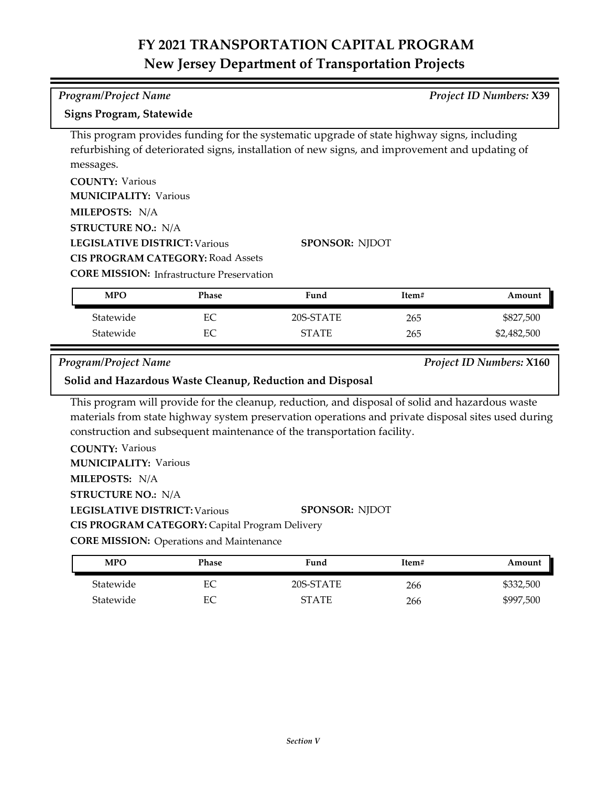## *Program/Project Name Project ID Numbers:* **X39**

### **Signs Program, Statewide**

This program provides funding for the systematic upgrade of state highway signs, including refurbishing of deteriorated signs, installation of new signs, and improvement and updating of messages.

**COUNTY:** Various **LEGISLATIVE DISTRICT:** Various **MILEPOSTS:** N/A **STRUCTURE NO.:** N/A **MUNICIPALITY: Various CIS PROGRAM CATEGORY:** Road Assets

**SPONSOR:** NJDOT

**CORE MISSION:** Infrastructure Preservation

| <b>MPO</b> | Phase | Fund         | Item# | Amount      |
|------------|-------|--------------|-------|-------------|
| Statewide  | EС    | 20S-STATE    | 265   | \$827,500   |
| Statewide  |       | <b>STATE</b> | 265   | \$2,482,500 |

*Program/Project Name Project ID Numbers:* **X160**

### **Solid and Hazardous Waste Cleanup, Reduction and Disposal**

This program will provide for the cleanup, reduction, and disposal of solid and hazardous waste materials from state highway system preservation operations and private disposal sites used during construction and subsequent maintenance of the transportation facility.

**COUNTY:** Various **LEGISLATIVE DISTRICT:** Various **MILEPOSTS:** N/A **STRUCTURE NO.:** N/A **MUNICIPALITY: Various SPONSOR:** NJDOT **CIS PROGRAM CATEGORY:** Capital Program Delivery

**CORE MISSION: Operations and Maintenance** 

| MPO       | Phase | Fund      | Item# | Amount    |
|-----------|-------|-----------|-------|-----------|
| Statewide | EС    | 20S-STATE | 266   | \$332,500 |
| Statewide | EС    | ST A TE   | 266   | \$997,500 |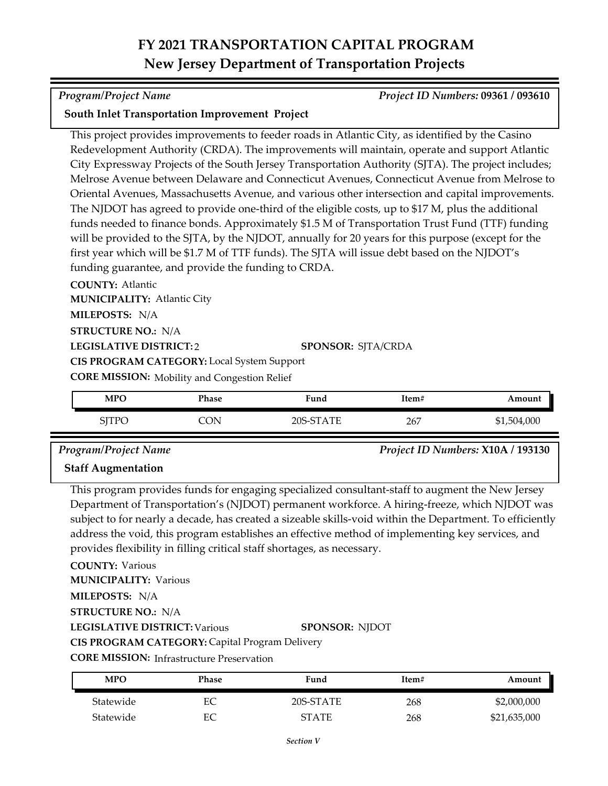### *Program/Project Name Project ID Numbers:* **09361 / 093610**

### **South Inlet Transportation Improvement Project**

This project provides improvements to feeder roads in Atlantic City, as identified by the Casino Redevelopment Authority (CRDA). The improvements will maintain, operate and support Atlantic City Expressway Projects of the South Jersey Transportation Authority (SJTA). The project includes; Melrose Avenue between Delaware and Connecticut Avenues, Connecticut Avenue from Melrose to Oriental Avenues, Massachusetts Avenue, and various other intersection and capital improvements. The NJDOT has agreed to provide one-third of the eligible costs, up to \$17 M, plus the additional funds needed to finance bonds. Approximately \$1.5 M of Transportation Trust Fund (TTF) funding will be provided to the SJTA, by the NJDOT, annually for 20 years for this purpose (except for the first year which will be \$1.7 M of TTF funds). The SJTA will issue debt based on the NJDOT's funding guarantee, and provide the funding to CRDA.

**COUNTY:** Atlantic **LEGISLATIVE DISTRICT:** 2 **MILEPOSTS:** N/A **STRUCTURE NO.:** N/A **MUNICIPALITY: Atlantic City CORE MISSION:** Mobility and Congestion Relief **SPONSOR:** SJTA/CRDA **CIS PROGRAM CATEGORY:** Local System Support

| <b>MPO</b>       | Phase | Fund      | Item# | Amount      |
|------------------|-------|-----------|-------|-------------|
| TTPC<br>'' 1 1 V | ON    | 20S-STATE | 267   | \$1,504,000 |

*Program/Project Name Project ID Numbers:* **X10A / 193130 Staff Augmentation**

This program provides funds for engaging specialized consultant-staff to augment the New Jersey Department of Transportation's (NJDOT) permanent workforce. A hiring-freeze, which NJDOT was subject to for nearly a decade, has created a sizeable skills-void within the Department. To efficiently address the void, this program establishes an effective method of implementing key services, and provides flexibility in filling critical staff shortages, as necessary.

**COUNTY:** Various

**MUNICIPALITY: Various** 

**MILEPOSTS:** N/A

**STRUCTURE NO.:** N/A

**LEGISLATIVE DISTRICT:** Various

**SPONSOR:** NJDOT

**CIS PROGRAM CATEGORY:** Capital Program Delivery

| <b>MPO</b> | Phase | Fund         | Item# | Amount       |
|------------|-------|--------------|-------|--------------|
| Statewide  | EС    | 20S-STATE    | 268   | \$2,000,000  |
| Statewide  | ЕC    | <b>STATE</b> | 268   | \$21,635,000 |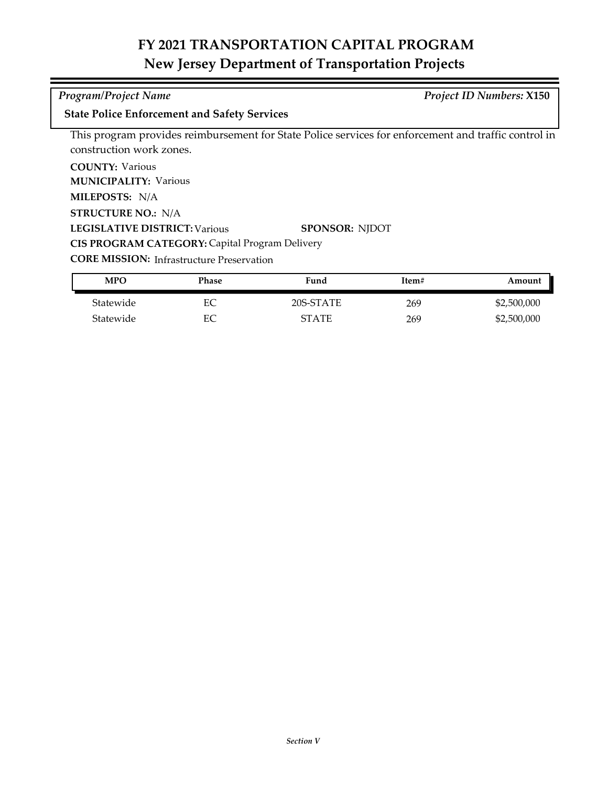### *Program/Project Name Project ID Numbers:* **X150**

### **State Police Enforcement and Safety Services**

This program provides reimbursement for State Police services for enforcement and traffic control in construction work zones.

**COUNTY:** Various

**MUNICIPALITY: Various** 

**MILEPOSTS:** N/A

**STRUCTURE NO.:** N/A

**LEGISLATIVE DISTRICT:** Various

**CIS PROGRAM CATEGORY:** Capital Program Delivery

**CORE MISSION: Infrastructure Preservation** 

| <b>MPO</b> | Phase | Fund         | Item# | Amount      |
|------------|-------|--------------|-------|-------------|
| Statewide  | ЕC    | 20S-STATE    | 269   | \$2,500,000 |
| Statewide  | EС    | <b>STATE</b> | 269   | \$2,500,000 |

**SPONSOR:** NJDOT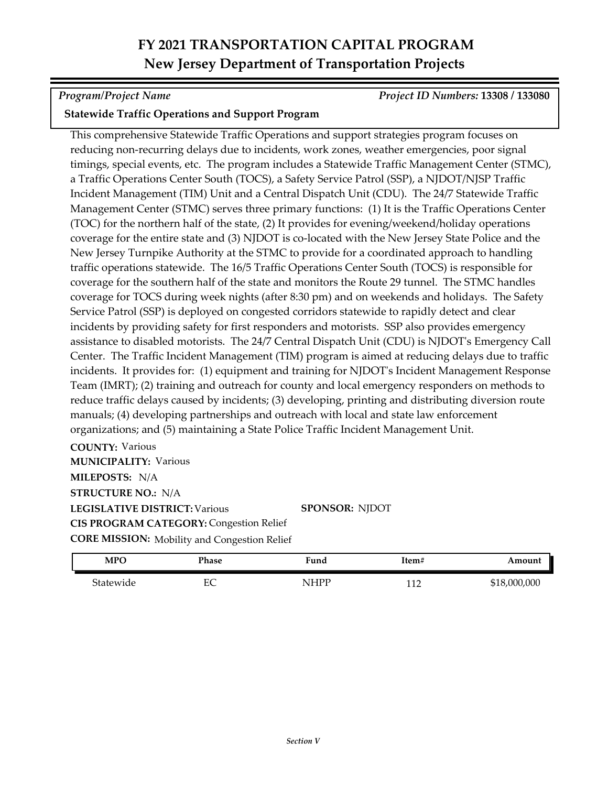*Program/Project Name Project ID Numbers:* **13308 / 133080**

### **Statewide Traffic Operations and Support Program**

This comprehensive Statewide Traffic Operations and support strategies program focuses on reducing non-recurring delays due to incidents, work zones, weather emergencies, poor signal timings, special events, etc. The program includes a Statewide Traffic Management Center (STMC), a Traffic Operations Center South (TOCS), a Safety Service Patrol (SSP), a NJDOT/NJSP Traffic Incident Management (TIM) Unit and a Central Dispatch Unit (CDU). The 24/7 Statewide Traffic Management Center (STMC) serves three primary functions: (1) It is the Traffic Operations Center (TOC) for the northern half of the state, (2) It provides for evening/weekend/holiday operations coverage for the entire state and (3) NJDOT is co-located with the New Jersey State Police and the New Jersey Turnpike Authority at the STMC to provide for a coordinated approach to handling traffic operations statewide. The 16/5 Traffic Operations Center South (TOCS) is responsible for coverage for the southern half of the state and monitors the Route 29 tunnel. The STMC handles coverage for TOCS during week nights (after 8:30 pm) and on weekends and holidays. The Safety Service Patrol (SSP) is deployed on congested corridors statewide to rapidly detect and clear incidents by providing safety for first responders and motorists. SSP also provides emergency assistance to disabled motorists. The 24/7 Central Dispatch Unit (CDU) is NJDOT's Emergency Call Center. The Traffic Incident Management (TIM) program is aimed at reducing delays due to traffic incidents. It provides for: (1) equipment and training for NJDOT's Incident Management Response Team (IMRT); (2) training and outreach for county and local emergency responders on methods to reduce traffic delays caused by incidents; (3) developing, printing and distributing diversion route manuals; (4) developing partnerships and outreach with local and state law enforcement organizations; and (5) maintaining a State Police Traffic Incident Management Unit.

**COUNTY:** Various **LEGISLATIVE DISTRICT:** Various **MILEPOSTS:** N/A **STRUCTURE NO.:** N/A **MUNICIPALITY: Various CORE MISSION:** Mobility and Congestion Relief **CIS PROGRAM CATEGORY: Congestion Relief** 

**SPONSOR:** NJDOT

| <b>MPO</b> | Phase    | Fund        | Item#     | Amount       |
|------------|----------|-------------|-----------|--------------|
| Statewide  | гΩ<br>ĿC | <b>NHPP</b> | <u>__</u> | \$18,000,000 |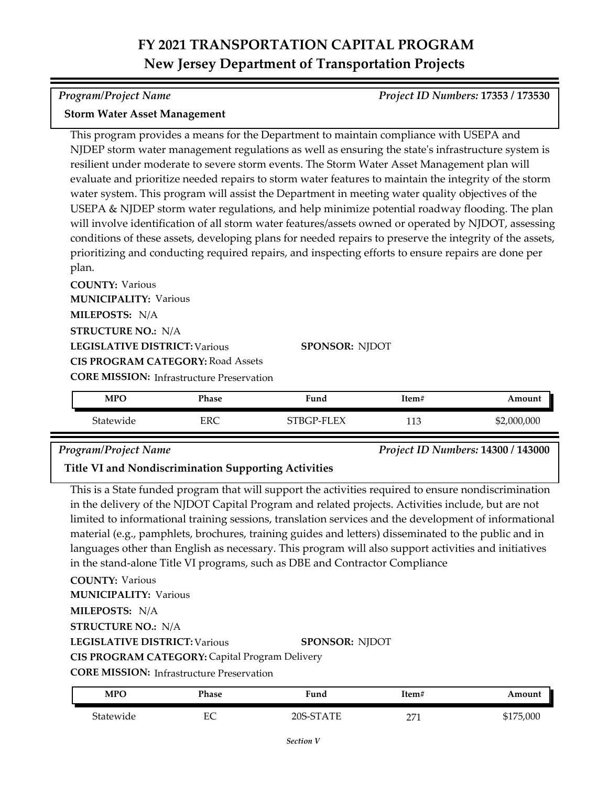*Program/Project Name Project ID Numbers:* **17353 / 173530**

### **Storm Water Asset Management**

This program provides a means for the Department to maintain compliance with USEPA and NJDEP storm water management regulations as well as ensuring the state's infrastructure system is resilient under moderate to severe storm events. The Storm Water Asset Management plan will evaluate and prioritize needed repairs to storm water features to maintain the integrity of the storm water system. This program will assist the Department in meeting water quality objectives of the USEPA & NJDEP storm water regulations, and help minimize potential roadway flooding. The plan will involve identification of all storm water features/assets owned or operated by NJDOT, assessing conditions of these assets, developing plans for needed repairs to preserve the integrity of the assets, prioritizing and conducting required repairs, and inspecting efforts to ensure repairs are done per plan.

**COUNTY:** Various **LEGISLATIVE DISTRICT:** Various **MILEPOSTS:** N/A **STRUCTURE NO.:** N/A **MUNICIPALITY: Various CORE MISSION: Infrastructure Preservation SPONSOR:** NJDOT **CIS PROGRAM CATEGORY:** Road Assets

Statewide ERC STBGP-FLEX 113 \$2,000,000 **MPO Phase Fund Item# Amount**

### *Program/Project Name Project ID Numbers:* **14300 / 143000**

**Title VI and Nondiscrimination Supporting Activities**

This is a State funded program that will support the activities required to ensure nondiscrimination in the delivery of the NJDOT Capital Program and related projects. Activities include, but are not limited to informational training sessions, translation services and the development of informational material (e.g., pamphlets, brochures, training guides and letters) disseminated to the public and in languages other than English as necessary. This program will also support activities and initiatives in the stand-alone Title VI programs, such as DBE and Contractor Compliance

**COUNTY:** Various **LEGISLATIVE DISTRICT:** Various **MILEPOSTS:** N/A **STRUCTURE NO.:** N/A **MUNICIPALITY: Various SPONSOR:** NJDOT **CIS PROGRAM CATEGORY:** Capital Program Delivery

| MPO       | Phase   | Fund                  | Item#        | Amount    |
|-----------|---------|-----------------------|--------------|-----------|
| Statewide | гΩ<br>∽ | $20S_{\pm}$<br>-STATE | $\sim$<br>-- | \$175,000 |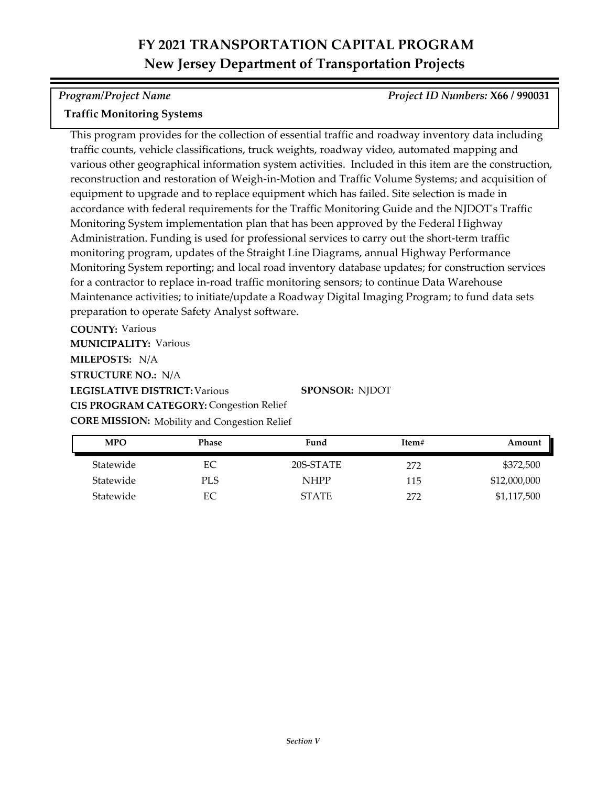*Program/Project Name Project ID Numbers:* **X66 / 990031**

### **Traffic Monitoring Systems**

This program provides for the collection of essential traffic and roadway inventory data including traffic counts, vehicle classifications, truck weights, roadway video, automated mapping and various other geographical information system activities. Included in this item are the construction, reconstruction and restoration of Weigh-in-Motion and Traffic Volume Systems; and acquisition of equipment to upgrade and to replace equipment which has failed. Site selection is made in accordance with federal requirements for the Traffic Monitoring Guide and the NJDOT's Traffic Monitoring System implementation plan that has been approved by the Federal Highway Administration. Funding is used for professional services to carry out the short-term traffic monitoring program, updates of the Straight Line Diagrams, annual Highway Performance Monitoring System reporting; and local road inventory database updates; for construction services for a contractor to replace in-road traffic monitoring sensors; to continue Data Warehouse Maintenance activities; to initiate/update a Roadway Digital Imaging Program; to fund data sets preparation to operate Safety Analyst software.

**COUNTY:** Various **LEGISLATIVE DISTRICT:** Various **MILEPOSTS:** N/A **STRUCTURE NO.:** N/A **MUNICIPALITY: Various CORE MISSION:** Mobility and Congestion Relief **CIS PROGRAM CATEGORY: Congestion Relief** 

**SPONSOR:** NJDOT

| <b>MPO</b> | <b>Phase</b> | Fund         | Item# | Amount       |
|------------|--------------|--------------|-------|--------------|
| Statewide  | EС           | 20S-STATE    | 272   | \$372,500    |
| Statewide  | PLS          | <b>NHPP</b>  | 115   | \$12,000,000 |
| Statewide  | EС           | <b>STATE</b> | 272   | \$1,117,500  |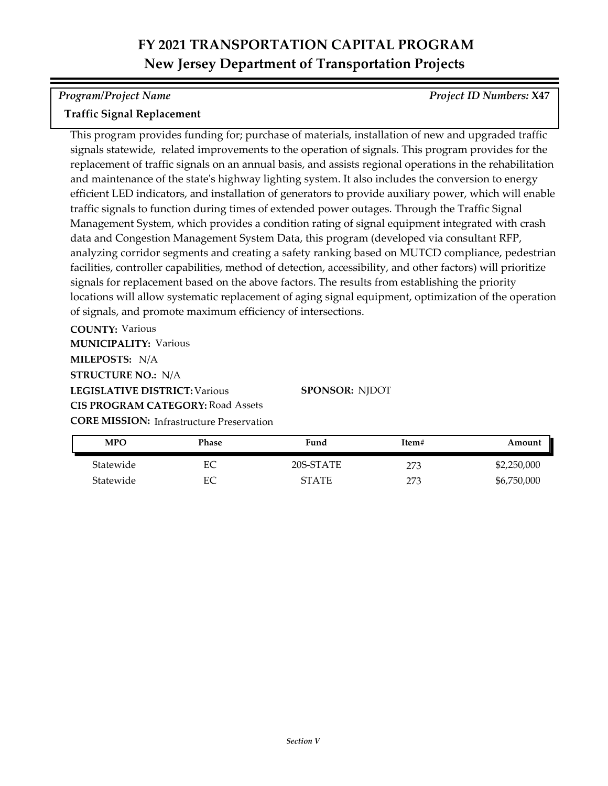*Program/Project Name Project ID Numbers:* **X47**

### **Traffic Signal Replacement**

This program provides funding for; purchase of materials, installation of new and upgraded traffic signals statewide, related improvements to the operation of signals. This program provides for the replacement of traffic signals on an annual basis, and assists regional operations in the rehabilitation and maintenance of the state's highway lighting system. It also includes the conversion to energy efficient LED indicators, and installation of generators to provide auxiliary power, which will enable traffic signals to function during times of extended power outages. Through the Traffic Signal Management System, which provides a condition rating of signal equipment integrated with crash data and Congestion Management System Data, this program (developed via consultant RFP, analyzing corridor segments and creating a safety ranking based on MUTCD compliance, pedestrian facilities, controller capabilities, method of detection, accessibility, and other factors) will prioritize signals for replacement based on the above factors. The results from establishing the priority locations will allow systematic replacement of aging signal equipment, optimization of the operation of signals, and promote maximum efficiency of intersections.

**COUNTY:** Various **LEGISLATIVE DISTRICT:** Various **MILEPOSTS:** N/A **STRUCTURE NO.:** N/A **MUNICIPALITY: Various CORE MISSION:** Infrastructure Preservation **CIS PROGRAM CATEGORY:** Road Assets

**SPONSOR:** NJDOT

| <b>MPO</b> | Phase | Fund         | Item# | Amount      |
|------------|-------|--------------|-------|-------------|
| Statewide  | ЕC    | 20S-STATE    | 273   | \$2,250,000 |
| Statewide  | ЕC    | <b>STATE</b> | 273   | \$6,750,000 |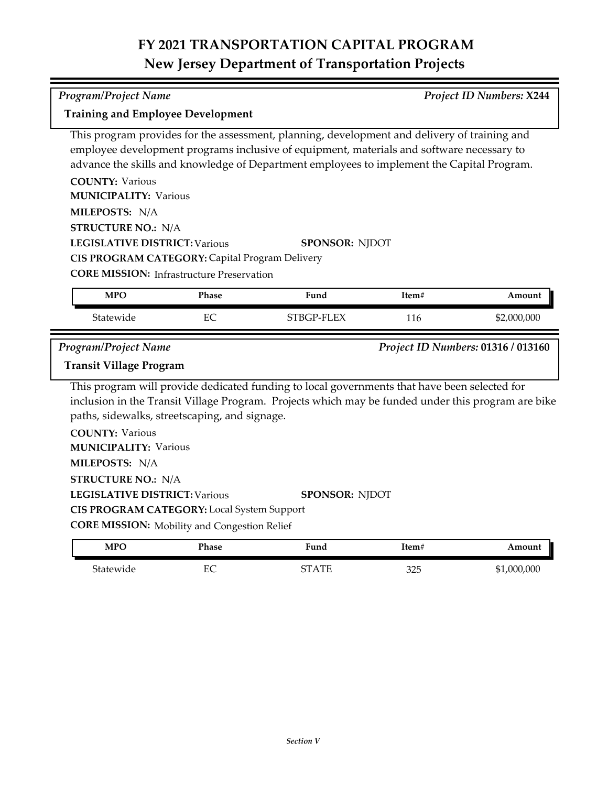*Program/Project Name Project ID Numbers:* **X244**

**Training and Employee Development**

|                                                                                                          |              | This program provides for the assessment, planning, development and delivery of training and<br>employee development programs inclusive of equipment, materials and software necessary to<br>advance the skills and knowledge of Department employees to implement the Capital Program. |       |                                    |
|----------------------------------------------------------------------------------------------------------|--------------|-----------------------------------------------------------------------------------------------------------------------------------------------------------------------------------------------------------------------------------------------------------------------------------------|-------|------------------------------------|
| <b>COUNTY: Various</b>                                                                                   |              |                                                                                                                                                                                                                                                                                         |       |                                    |
| <b>MUNICIPALITY: Various</b>                                                                             |              |                                                                                                                                                                                                                                                                                         |       |                                    |
| MILEPOSTS: N/A                                                                                           |              |                                                                                                                                                                                                                                                                                         |       |                                    |
| <b>STRUCTURE NO.: N/A</b>                                                                                |              |                                                                                                                                                                                                                                                                                         |       |                                    |
| <b>LEGISLATIVE DISTRICT: Various</b>                                                                     |              | <b>SPONSOR: NJDOT</b>                                                                                                                                                                                                                                                                   |       |                                    |
| CIS PROGRAM CATEGORY: Capital Program Delivery                                                           |              |                                                                                                                                                                                                                                                                                         |       |                                    |
| <b>CORE MISSION:</b> Infrastructure Preservation                                                         |              |                                                                                                                                                                                                                                                                                         |       |                                    |
| <b>MPO</b>                                                                                               | Phase        | Fund                                                                                                                                                                                                                                                                                    | Item# | Amount                             |
| Statewide                                                                                                | EC           | STBGP-FLEX                                                                                                                                                                                                                                                                              | 116   | \$2,000,000                        |
| <b>Program/Project Name</b>                                                                              |              |                                                                                                                                                                                                                                                                                         |       | Project ID Numbers: 01316 / 013160 |
| <b>Transit Village Program</b>                                                                           |              | This program will provide dedicated funding to local governments that have been selected for<br>inclusion in the Transit Village Program. Projects which may be funded under this program are bike                                                                                      |       |                                    |
| paths, sidewalks, streetscaping, and signage.<br><b>COUNTY: Various</b><br><b>MUNICIPALITY: Various</b>  |              |                                                                                                                                                                                                                                                                                         |       |                                    |
| MILEPOSTS: N/A                                                                                           |              |                                                                                                                                                                                                                                                                                         |       |                                    |
| <b>STRUCTURE NO.: N/A</b>                                                                                |              |                                                                                                                                                                                                                                                                                         |       |                                    |
| <b>LEGISLATIVE DISTRICT: Various</b>                                                                     |              | <b>SPONSOR: NJDOT</b>                                                                                                                                                                                                                                                                   |       |                                    |
| <b>CIS PROGRAM CATEGORY:</b> Local System Support<br><b>CORE MISSION:</b> Mobility and Congestion Relief |              |                                                                                                                                                                                                                                                                                         |       |                                    |
| <b>MPO</b>                                                                                               | <b>Phase</b> | Fund                                                                                                                                                                                                                                                                                    | Item# | Amount                             |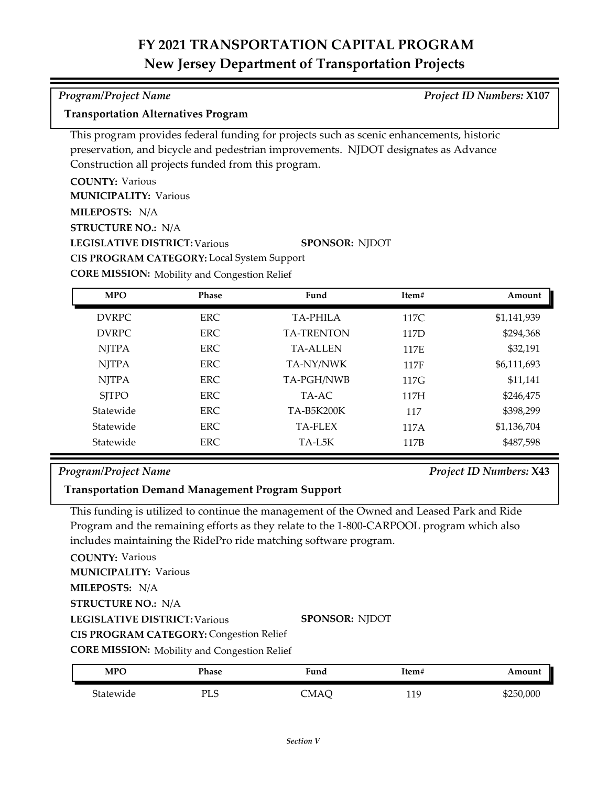### *Program/Project Name Project ID Numbers:* **X107**

### **Transportation Alternatives Program**

This program provides federal funding for projects such as scenic enhancements, historic preservation, and bicycle and pedestrian improvements. NJDOT designates as Advance Construction all projects funded from this program.

**COUNTY:** Various **LEGISLATIVE DISTRICT:** Various **MILEPOSTS:** N/A **STRUCTURE NO.:** N/A **MUNICIPALITY: Various SPONSOR:** NJDOT **CIS PROGRAM CATEGORY:** Local System Support

**CORE MISSION:** Mobility and Congestion Relief

| <b>MPO</b>   | <b>Phase</b> | Fund              | Item# | Amount      |
|--------------|--------------|-------------------|-------|-------------|
| <b>DVRPC</b> | ERC.         | <b>TA-PHILA</b>   | 117C  | \$1,141,939 |
| <b>DVRPC</b> | ERC.         | <b>TA-TRENTON</b> | 117D  | \$294,368   |
| <b>NJTPA</b> | ERC.         | <b>TA-ALLEN</b>   | 117E  | \$32,191    |
| <b>NJTPA</b> | <b>ERC</b>   | TA-NY/NWK         | 117F  | \$6,111,693 |
| <b>NJTPA</b> | ERC.         | TA-PGH/NWB        | 117G  | \$11,141    |
| <b>SITPO</b> | ERC.         | TA-AC             | 117H  | \$246,475   |
| Statewide    | ERC.         | TA-B5K200K        | 117   | \$398,299   |
| Statewide    | ERC.         | <b>TA-FLEX</b>    | 117A  | \$1,136,704 |
| Statewide    | ERC.         | TA-L5K            | 117B  | \$487,598   |

### *Program/Project Name Project ID Numbers:* **X43**

### **Transportation Demand Management Program Support**

This funding is utilized to continue the management of the Owned and Leased Park and Ride Program and the remaining efforts as they relate to the 1‐800‐CARPOOL program which also includes maintaining the RidePro ride matching software program.

**COUNTY:** Various

**MUNICIPALITY: Various** 

**MILEPOSTS:** N/A

**STRUCTURE NO.:** N/A

**LEGISLATIVE DISTRICT:** Various

**SPONSOR:** NJDOT

**CIS PROGRAM CATEGORY:** Congestion Relief

**CORE MISSION:** Mobility and Congestion Relief

| <b>MPO</b> | Phase        | Fund | Item#        | Amount    |
|------------|--------------|------|--------------|-----------|
| Statewide  | пт с<br>ن⊔ َ | CMAC | 11 Q<br>11 J | \$250,000 |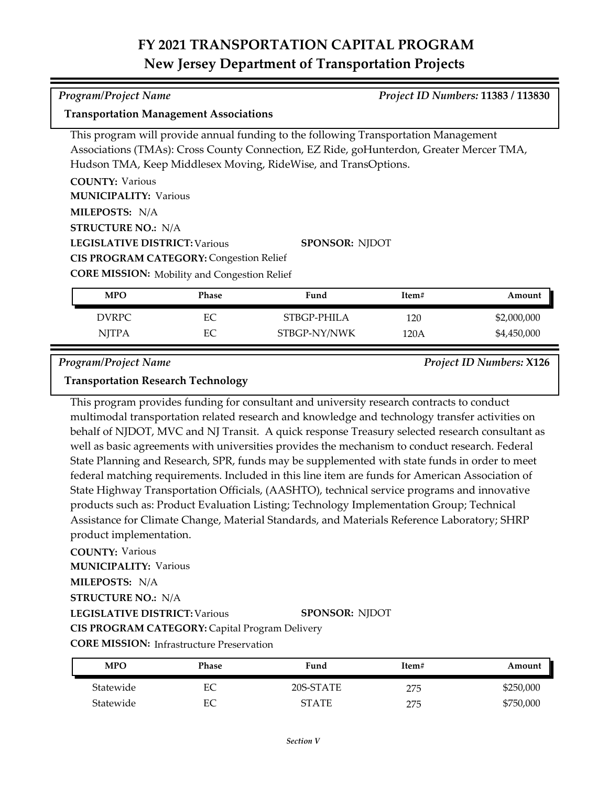**Transportation Management Associations**

This program will provide annual funding to the following Transportation Management Associations (TMAs): Cross County Connection, EZ Ride, goHunterdon, Greater Mercer TMA, Hudson TMA, Keep Middlesex Moving, RideWise, and TransOptions.

| <b>COUNTY: Various</b>                              |                       |
|-----------------------------------------------------|-----------------------|
| <b>MUNICIPALITY: Various</b>                        |                       |
| <b>MILEPOSTS: N/A</b>                               |                       |
| <b>STRUCTURE NO.: N/A</b>                           |                       |
| <b>LEGISLATIVE DISTRICT: Various</b>                | <b>SPONSOR: NJDOT</b> |
| <b>CIS PROGRAM CATEGORY: Congestion Relief</b>      |                       |
| <b>CORE MISSION:</b> Mobility and Congestion Relief |                       |

| <b>MPO</b>   | <b>Phase</b> | Fund         | Item# | Amount      |
|--------------|--------------|--------------|-------|-------------|
| <b>DVRPC</b> | EС           | STBGP-PHILA  | 120   | \$2,000,000 |
| <b>NJTPA</b> | EС           | STBGP-NY/NWK | 120A  | \$4,450,000 |

*Program/Project Name Project ID Numbers:* **X126**

### **Transportation Research Technology**

This program provides funding for consultant and university research contracts to conduct multimodal transportation related research and knowledge and technology transfer activities on behalf of NJDOT, MVC and NJ Transit. A quick response Treasury selected research consultant as well as basic agreements with universities provides the mechanism to conduct research. Federal State Planning and Research, SPR, funds may be supplemented with state funds in order to meet federal matching requirements. Included in this line item are funds for American Association of State Highway Transportation Officials, (AASHTO), technical service programs and innovative products such as: Product Evaluation Listing; Technology Implementation Group; Technical Assistance for Climate Change, Material Standards, and Materials Reference Laboratory; SHRP product implementation.

### **COUNTY:** Various

**MUNICIPALITY: Various** 

**MILEPOSTS:** N/A

**STRUCTURE NO.:** N/A

**LEGISLATIVE DISTRICT:** Various

**SPONSOR:** NJDOT

**CIS PROGRAM CATEGORY:** Capital Program Delivery

**CORE MISSION:** Infrastructure Preservation

| MPO       | Phase | Fund         | Item#    | Amount    |
|-----------|-------|--------------|----------|-----------|
| Statewide | EС    | 20S-STATE    | 275      | \$250,000 |
| Statewide | EС    | <b>STATE</b> | クワド<br>∠ | \$750,000 |

*Program/Project Name Project ID Numbers:* **11383 / 113830**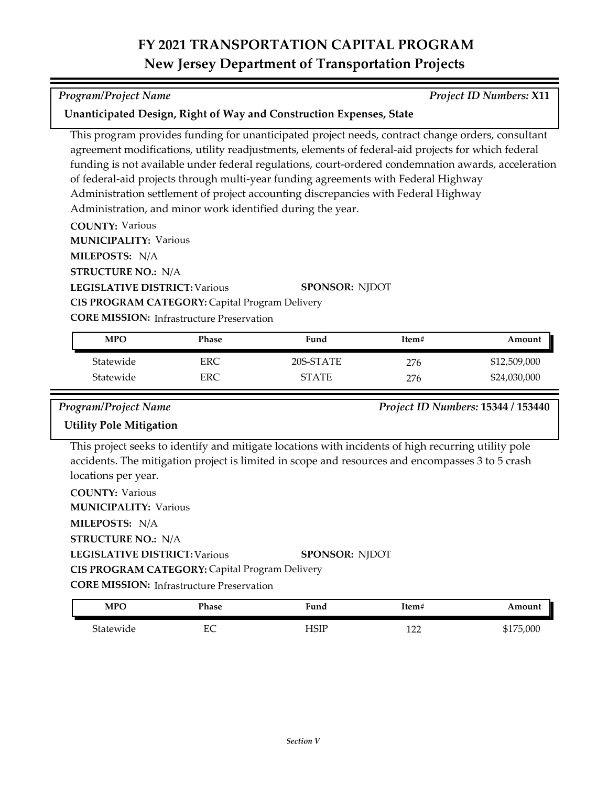This program provides funding for unanticipated project needs, contract change orders, consultant agreement modifications, utility readjustments, elements of federal-aid projects for which federal funding is not available under federal regulations, court-ordered condemnation awards, acceleration

of federal-aid projects through multi-year funding agreements with Federal Highway Administration settlement of project accounting discrepancies with Federal Highway

| MILEPOSTS: N/A                                         |            |                                                                                                                                                                                                         |       |                                    |
|--------------------------------------------------------|------------|---------------------------------------------------------------------------------------------------------------------------------------------------------------------------------------------------------|-------|------------------------------------|
| <b>STRUCTURE NO.: N/A</b>                              |            |                                                                                                                                                                                                         |       |                                    |
| <b>LEGISLATIVE DISTRICT: Various</b>                   |            | <b>SPONSOR: NJDOT</b>                                                                                                                                                                                   |       |                                    |
| CIS PROGRAM CATEGORY: Capital Program Delivery         |            |                                                                                                                                                                                                         |       |                                    |
| <b>CORE MISSION:</b> Infrastructure Preservation       |            |                                                                                                                                                                                                         |       |                                    |
| <b>MPO</b>                                             | Phase      | Fund                                                                                                                                                                                                    | Item# | Amount                             |
| Statewide                                              | ERC        | 20S-STATE                                                                                                                                                                                               | 276   | \$12,509,000                       |
| Statewide                                              | <b>ERC</b> | <b>STATE</b>                                                                                                                                                                                            | 276   | \$24,030,000                       |
| Program/Project Name                                   |            |                                                                                                                                                                                                         |       | Project ID Numbers: 15344 / 153440 |
| <b>Utility Pole Mitigation</b>                         |            |                                                                                                                                                                                                         |       |                                    |
|                                                        |            | This project seeks to identify and mitigate locations with incidents of high recurring utility pole<br>accidents. The mitigation project is limited in scope and resources and encompasses 3 to 5 crash |       |                                    |
| locations per year.                                    |            |                                                                                                                                                                                                         |       |                                    |
| <b>COUNTY: Various</b><br><b>MUNICIPALITY: Various</b> |            |                                                                                                                                                                                                         |       |                                    |
|                                                        |            |                                                                                                                                                                                                         |       |                                    |
| MILEPOSTS: N/A<br><b>STRUCTURE NO.: N/A</b>            |            |                                                                                                                                                                                                         |       |                                    |
| <b>LEGISLATIVE DISTRICT: Various</b>                   |            | <b>SPONSOR: NJDOT</b>                                                                                                                                                                                   |       |                                    |
|                                                        |            |                                                                                                                                                                                                         |       |                                    |
| CIS PROGRAM CATEGORY: Capital Program Delivery         |            |                                                                                                                                                                                                         |       |                                    |
| <b>CORE MISSION:</b> Infrastructure Preservation       |            |                                                                                                                                                                                                         |       |                                    |

| <b>MPO</b>         | Phase    | 'iuna            | ⊥tem#     | Amount      |
|--------------------|----------|------------------|-----------|-------------|
| $\sim$<br>tatewide | ПC<br>عد | ப<br>للدب<br>--- | 100<br>∸∸ | ,000<br>411 |

*Program/Project Name Project ID Numbers:* **X11**

Administration, and minor work identified during the year.

**Unanticipated Design, Right of Way and Construction Expenses, State**

**COUNTY:** Various

**MUNICIPALITY: Various**